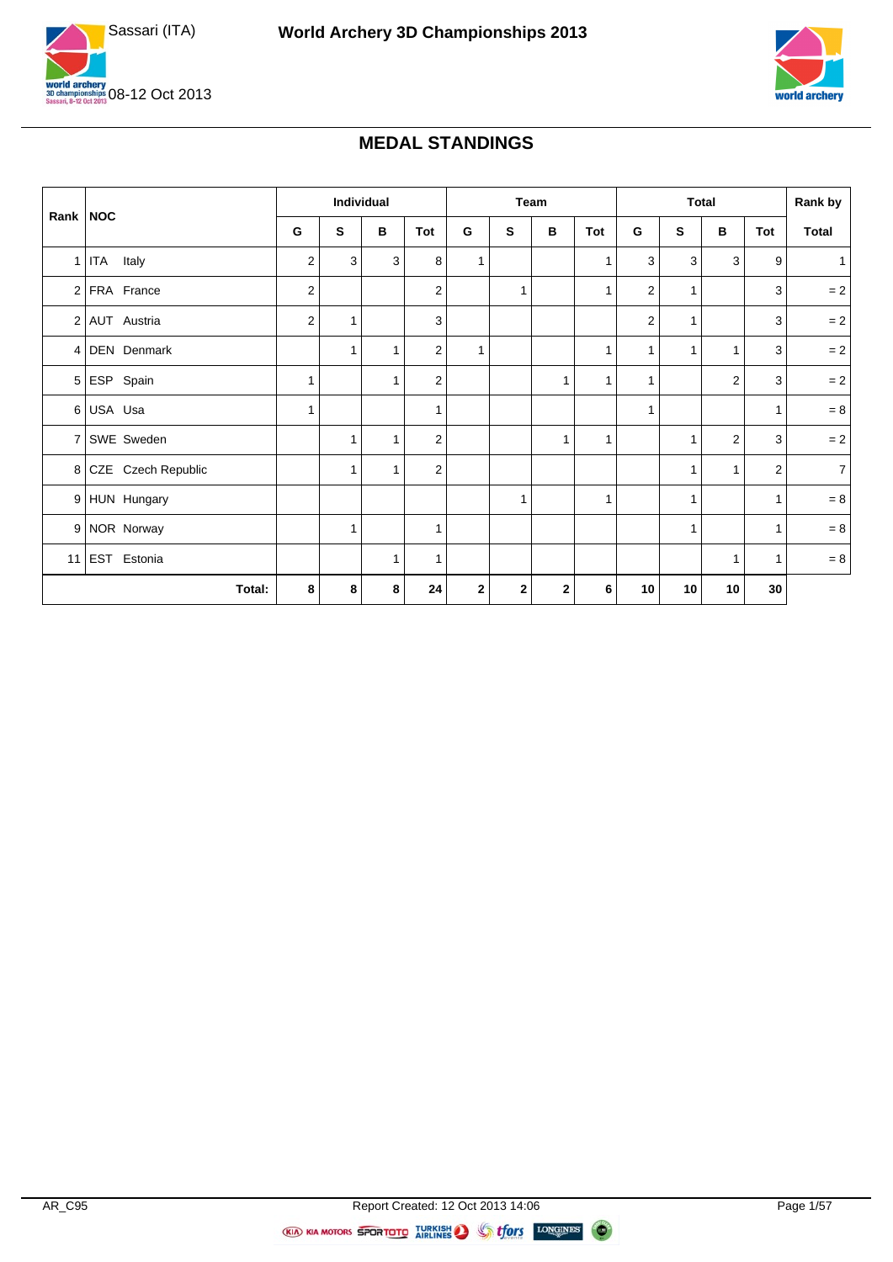



#### **MEDAL STANDINGS**

|          |                      |                |              | Individual |                |              |             | Team         |              |                |              | <b>Total</b>   |              | Rank by        |
|----------|----------------------|----------------|--------------|------------|----------------|--------------|-------------|--------------|--------------|----------------|--------------|----------------|--------------|----------------|
| Rank NOC |                      | G              | S            | в          | Tot            | G            | S           | в            | Tot          | G              | S            | в              | Tot          | <b>Total</b>   |
|          | 1 ITA Italy          | 2              | $\mathbf{3}$ | 3          | 8              | $\mathbf{1}$ |             |              | $\mathbf{1}$ | 3              | 3            | 3              | 9            | 1              |
|          | 2 FRA France         | $\overline{2}$ |              |            | $\overline{c}$ |              | 1           |              | $\mathbf{1}$ | 2              | 1            |                | 3            | $= 2$          |
|          | 2 AUT Austria        | $\overline{2}$ | $\mathbf{1}$ |            | 3              |              |             |              |              | $\overline{2}$ | 1            |                | 3            | $= 2$          |
|          | 4 DEN Denmark        |                | $\mathbf{1}$ | 1          | $\overline{2}$ | 1            |             |              | 1            | 1              | $\mathbf{1}$ | $\mathbf{1}$   | 3            | $= 2$          |
|          | 5 ESP Spain          |                |              | 1          | 2              |              |             | 1            | $\mathbf{1}$ | 1              |              | $\overline{c}$ | 3            | $=2$           |
|          | 6 USA Usa            | 1              |              |            | 1              |              |             |              |              | 1              |              |                | $\mathbf{1}$ | $=8$           |
|          | 7 SWE Sweden         |                | $\mathbf{1}$ | 1          | 2              |              |             | $\mathbf{1}$ | $\mathbf{1}$ |                | 1            | $\overline{2}$ | 3            | $= 2$          |
|          | 8 CZE Czech Republic |                | $\mathbf{1}$ | 1          | $\overline{2}$ |              |             |              |              |                | 1            | $\mathbf{1}$   | $\mathbf{2}$ | 7 <sup>1</sup> |
|          | 9 HUN Hungary        |                |              |            |                |              | 1           |              | $\mathbf{1}$ |                | 1            |                | $\mathbf{1}$ | $=8$           |
|          | 9 NOR Norway         |                | $\mathbf{1}$ |            | 1              |              |             |              |              |                | 1            |                | $\mathbf{1}$ | $=8$           |
|          | 11 EST Estonia       |                |              | 1          | 1              |              |             |              |              |                |              | 1              | $\mathbf{1}$ | $= 8$          |
|          | Total:               | 8              | 8            | 8          | 24             | $\mathbf{2}$ | $\mathbf 2$ | $\mathbf{2}$ | 6            | 10             | 10           | 10             | 30           |                |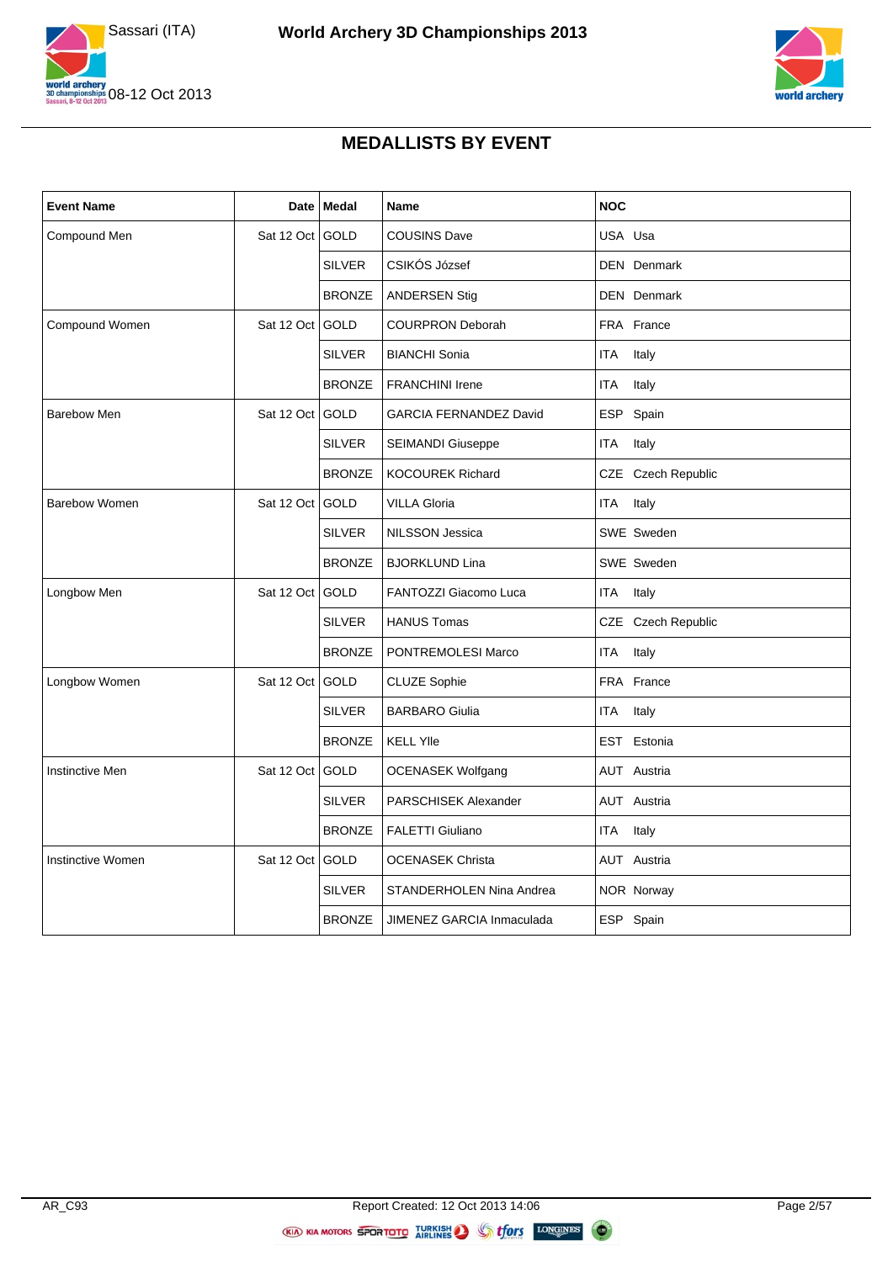



#### **MEDALLISTS BY EVENT**

| <b>Event Name</b>      | Date            | <b>Medal</b>  | Name                          | <b>NOC</b>          |
|------------------------|-----------------|---------------|-------------------------------|---------------------|
| Compound Men           | Sat 12 Oct      | <b>GOLD</b>   | <b>COUSINS Dave</b>           | USA Usa             |
|                        |                 | <b>SILVER</b> | CSIKÓS József                 | <b>DEN</b> Denmark  |
|                        |                 | <b>BRONZE</b> | <b>ANDERSEN Stig</b>          | <b>DEN</b> Denmark  |
| <b>Compound Women</b>  | Sat 12 Oct      | <b>GOLD</b>   | <b>COURPRON Deborah</b>       | FRA France          |
|                        |                 | <b>SILVER</b> | <b>BIANCHI Sonia</b>          | <b>ITA</b><br>Italy |
|                        |                 | <b>BRONZE</b> | <b>FRANCHINI Irene</b>        | <b>ITA</b><br>Italy |
| <b>Barebow Men</b>     | Sat 12 Oct      | GOLD          | <b>GARCIA FERNANDEZ David</b> | ESP Spain           |
|                        |                 | <b>SILVER</b> | SEIMANDI Giuseppe             | <b>ITA</b><br>Italy |
|                        |                 | <b>BRONZE</b> | <b>KOCOUREK Richard</b>       | CZE Czech Republic  |
| <b>Barebow Women</b>   | Sat 12 Oct GOLD |               | <b>VILLA Gloria</b>           | <b>ITA</b><br>Italy |
|                        |                 | <b>SILVER</b> | <b>NILSSON Jessica</b>        | SWE Sweden          |
|                        |                 | <b>BRONZE</b> | <b>BJORKLUND Lina</b>         | SWE Sweden          |
| Longbow Men            | Sat 12 Oct      | GOLD          | FANTOZZI Giacomo Luca         | <b>ITA</b><br>Italy |
|                        |                 | <b>SILVER</b> | <b>HANUS Tomas</b>            | CZE Czech Republic  |
|                        |                 | <b>BRONZE</b> | PONTREMOLESI Marco            | <b>ITA</b><br>Italy |
| Longbow Women          | Sat 12 Oct      | GOLD          | <b>CLUZE Sophie</b>           | FRA France          |
|                        |                 | <b>SILVER</b> | <b>BARBARO Giulia</b>         | ITA<br>Italy        |
|                        |                 | <b>BRONZE</b> | <b>KELL YIIe</b>              | EST Estonia         |
| <b>Instinctive Men</b> | Sat 12 Oct      | GOLD          | <b>OCENASEK Wolfgang</b>      | <b>AUT</b> Austria  |
|                        |                 | <b>SILVER</b> | PARSCHISEK Alexander          | AUT Austria         |
|                        |                 | <b>BRONZE</b> | FALETTI Giuliano              | ITA<br>Italy        |
| Instinctive Women      | Sat 12 Oct      | GOLD          | <b>OCENASEK Christa</b>       | AUT Austria         |
|                        |                 | <b>SILVER</b> | STANDERHOLEN Nina Andrea      | NOR Norway          |
|                        |                 | <b>BRONZE</b> | JIMENEZ GARCIA Inmaculada     | ESP Spain           |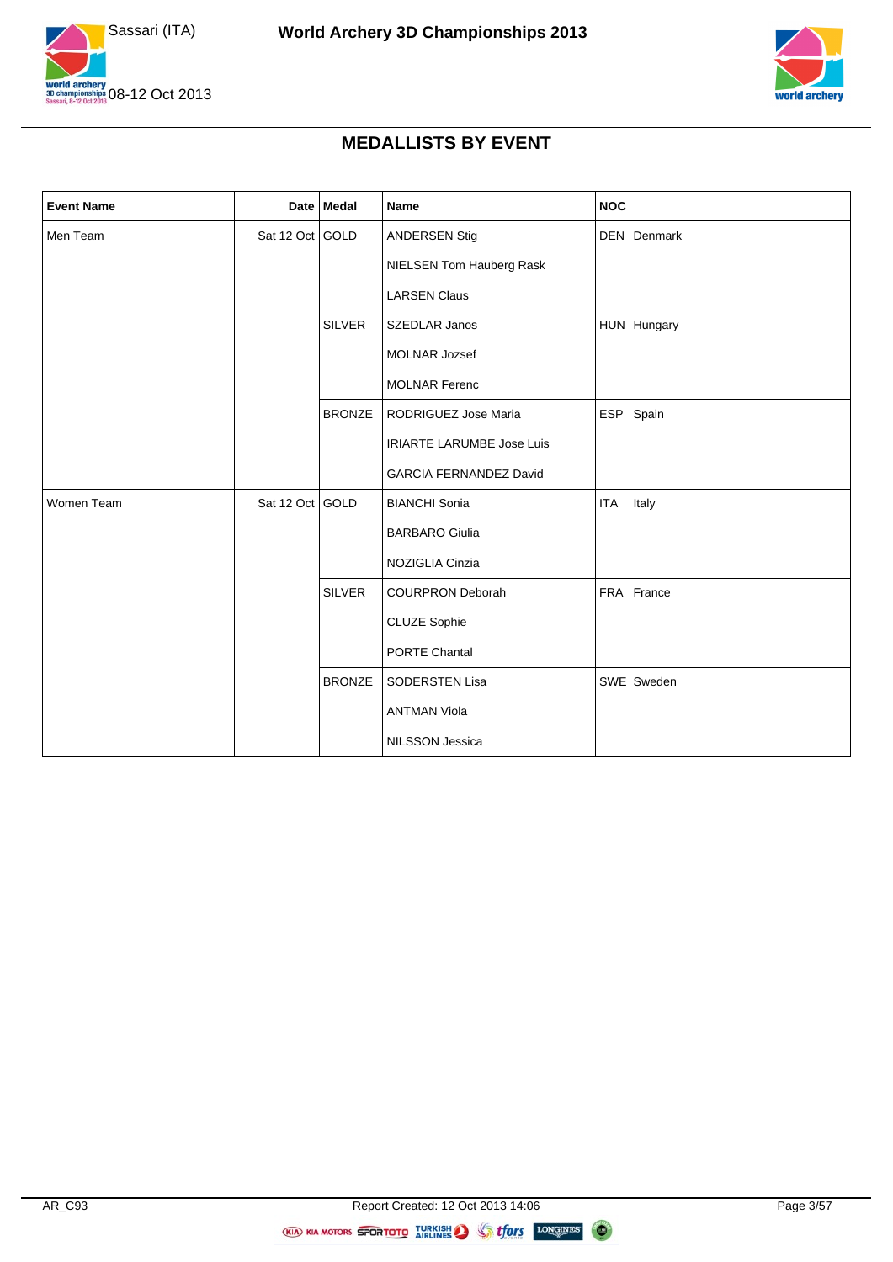



#### **MEDALLISTS BY EVENT**

| <b>Event Name</b> |                 | Date Medal    | Name                             | <b>NOC</b>   |
|-------------------|-----------------|---------------|----------------------------------|--------------|
| Men Team          | Sat 12 Oct GOLD |               | <b>ANDERSEN Stig</b>             | DEN Denmark  |
|                   |                 |               | NIELSEN Tom Hauberg Rask         |              |
|                   |                 |               | <b>LARSEN Claus</b>              |              |
|                   |                 | <b>SILVER</b> | SZEDLAR Janos                    | HUN Hungary  |
|                   |                 |               | MOLNAR Jozsef                    |              |
|                   |                 |               | <b>MOLNAR Ferenc</b>             |              |
|                   |                 | <b>BRONZE</b> | RODRIGUEZ Jose Maria             | ESP Spain    |
|                   |                 |               | <b>IRIARTE LARUMBE Jose Luis</b> |              |
|                   |                 |               | <b>GARCIA FERNANDEZ David</b>    |              |
| Women Team        | Sat 12 Oct GOLD |               | <b>BIANCHI Sonia</b>             | Italy<br>ITA |
|                   |                 |               | <b>BARBARO Giulia</b>            |              |
|                   |                 |               | NOZIGLIA Cinzia                  |              |
|                   |                 | <b>SILVER</b> | <b>COURPRON Deborah</b>          | FRA France   |
|                   |                 |               | CLUZE Sophie                     |              |
|                   |                 |               | PORTE Chantal                    |              |
|                   |                 | <b>BRONZE</b> | SODERSTEN Lisa                   | SWE Sweden   |
|                   |                 |               | <b>ANTMAN Viola</b>              |              |
|                   |                 |               | NILSSON Jessica                  |              |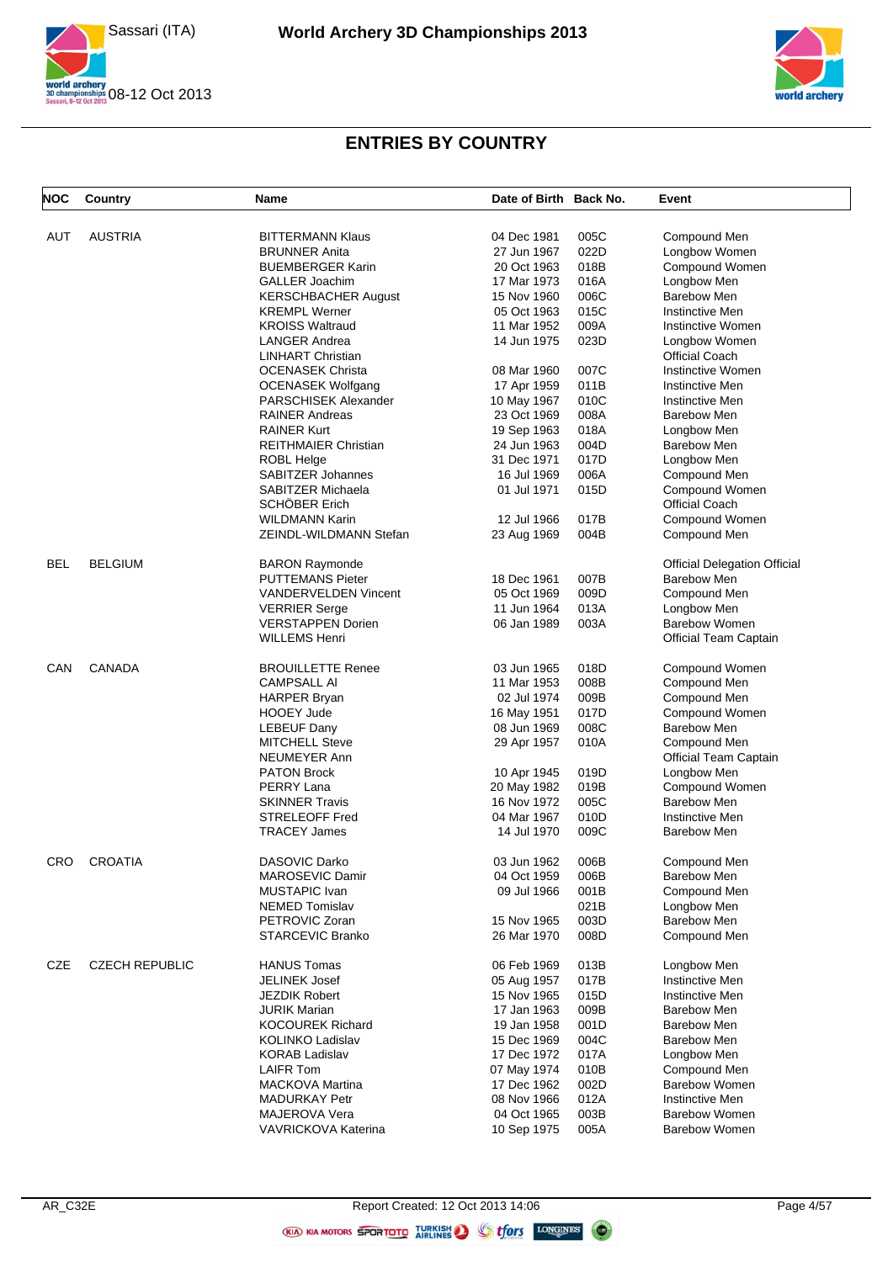



| <b>NOC</b> | Country               | Name                                           | Date of Birth Back No. |      | Event                               |
|------------|-----------------------|------------------------------------------------|------------------------|------|-------------------------------------|
| AUT        | <b>AUSTRIA</b>        | <b>BITTERMANN Klaus</b>                        | 04 Dec 1981            | 005C | Compound Men                        |
|            |                       | <b>BRUNNER Anita</b>                           | 27 Jun 1967            | 022D | Longbow Women                       |
|            |                       | <b>BUEMBERGER Karin</b>                        | 20 Oct 1963            | 018B | Compound Women                      |
|            |                       | <b>GALLER Joachim</b>                          | 17 Mar 1973            | 016A | Longbow Men                         |
|            |                       | <b>KERSCHBACHER August</b>                     | 15 Nov 1960            | 006C | Barebow Men                         |
|            |                       | <b>KREMPL Werner</b>                           | 05 Oct 1963            | 015C | Instinctive Men                     |
|            |                       | <b>KROISS Waltraud</b>                         | 11 Mar 1952            | 009A | Instinctive Women                   |
|            |                       | <b>LANGER Andrea</b>                           | 14 Jun 1975            | 023D | Longbow Women                       |
|            |                       | <b>LINHART Christian</b>                       |                        |      | <b>Official Coach</b>               |
|            |                       | <b>OCENASEK Christa</b>                        | 08 Mar 1960            | 007C | Instinctive Women                   |
|            |                       |                                                |                        | 011B |                                     |
|            |                       | <b>OCENASEK Wolfgang</b>                       | 17 Apr 1959            |      | <b>Instinctive Men</b>              |
|            |                       | <b>PARSCHISEK Alexander</b>                    | 10 May 1967            | 010C | Instinctive Men                     |
|            |                       | <b>RAINER Andreas</b>                          | 23 Oct 1969            | 008A | Barebow Men                         |
|            |                       | <b>RAINER Kurt</b>                             | 19 Sep 1963            | 018A | Longbow Men                         |
|            |                       | <b>REITHMAIER Christian</b>                    | 24 Jun 1963            | 004D | <b>Barebow Men</b>                  |
|            |                       | <b>ROBL Helge</b>                              | 31 Dec 1971            | 017D | Longbow Men                         |
|            |                       | <b>SABITZER Johannes</b>                       | 16 Jul 1969            | 006A | Compound Men                        |
|            |                       | SABITZER Michaela                              | 01 Jul 1971            | 015D | Compound Women                      |
|            |                       | SCHÖBER Erich                                  |                        |      | <b>Official Coach</b>               |
|            |                       | <b>WILDMANN Karin</b>                          | 12 Jul 1966            | 017B | Compound Women                      |
|            |                       | ZEINDL-WILDMANN Stefan                         | 23 Aug 1969            | 004B | Compound Men                        |
| <b>BEL</b> | <b>BELGIUM</b>        | <b>BARON Raymonde</b>                          |                        |      | <b>Official Delegation Official</b> |
|            |                       | <b>PUTTEMANS Pieter</b>                        | 18 Dec 1961            | 007B | Barebow Men                         |
|            |                       | VANDERVELDEN Vincent                           | 05 Oct 1969            | 009D | Compound Men                        |
|            |                       | <b>VERRIER Serge</b>                           | 11 Jun 1964            | 013A | Longbow Men                         |
|            |                       | <b>VERSTAPPEN Dorien</b>                       | 06 Jan 1989            | 003A | <b>Barebow Women</b>                |
|            |                       | <b>WILLEMS Henri</b>                           |                        |      | Official Team Captain               |
| CAN        | CANADA                | <b>BROUILLETTE Renee</b>                       | 03 Jun 1965            | 018D | Compound Women                      |
|            |                       | <b>CAMPSALL AI</b>                             | 11 Mar 1953            | 008B | Compound Men                        |
|            |                       | <b>HARPER Bryan</b>                            | 02 Jul 1974            | 009B | Compound Men                        |
|            |                       | <b>HOOEY Jude</b>                              | 16 May 1951            | 017D | Compound Women                      |
|            |                       | <b>LEBEUF Dany</b>                             | 08 Jun 1969            | 008C | Barebow Men                         |
|            |                       | <b>MITCHELL Steve</b>                          | 29 Apr 1957            | 010A | Compound Men                        |
|            |                       | NEUMEYER Ann                                   |                        |      | Official Team Captain               |
|            |                       | <b>PATON Brock</b>                             | 10 Apr 1945            | 019D | Longbow Men                         |
|            |                       | PERRY Lana                                     | 20 May 1982            | 019B | Compound Women                      |
|            |                       |                                                |                        |      | Barebow Men                         |
|            |                       | <b>SKINNER Travis</b><br><b>STRELEOFF Fred</b> | 16 Nov 1972            | 005C |                                     |
|            |                       |                                                | 04 Mar 1967            | 010D | <b>Instinctive Men</b>              |
|            |                       | <b>TRACEY James</b>                            | 14 Jul 1970            | 009C | <b>Barebow Men</b>                  |
| CRO        | <b>CROATIA</b>        | DASOVIC Darko                                  | 03 Jun 1962            | 006B | Compound Men                        |
|            |                       | MAROSEVIC Damir                                | 04 Oct 1959            | 006B | <b>Barebow Men</b>                  |
|            |                       | <b>MUSTAPIC Ivan</b>                           | 09 Jul 1966            | 001B | Compound Men                        |
|            |                       | <b>NEMED Tomislav</b>                          |                        | 021B | Longbow Men                         |
|            |                       | PETROVIC Zoran                                 | 15 Nov 1965            | 003D | <b>Barebow Men</b>                  |
|            |                       | <b>STARCEVIC Branko</b>                        | 26 Mar 1970            | 008D | Compound Men                        |
| CZE        | <b>CZECH REPUBLIC</b> | <b>HANUS Tomas</b>                             | 06 Feb 1969            | 013B | Longbow Men                         |
|            |                       | <b>JELINEK Josef</b>                           | 05 Aug 1957            | 017B | <b>Instinctive Men</b>              |
|            |                       | <b>JEZDIK Robert</b>                           | 15 Nov 1965            | 015D | <b>Instinctive Men</b>              |
|            |                       | <b>JURIK Marian</b>                            | 17 Jan 1963            | 009B | Barebow Men                         |
|            |                       | <b>KOCOUREK Richard</b>                        | 19 Jan 1958            | 001D | <b>Barebow Men</b>                  |
|            |                       |                                                |                        |      |                                     |
|            |                       | <b>KOLINKO Ladislav</b>                        | 15 Dec 1969            | 004C | <b>Barebow Men</b>                  |
|            |                       | <b>KORAB Ladislav</b>                          | 17 Dec 1972            | 017A | Longbow Men                         |
|            |                       | <b>LAIFR Tom</b>                               | 07 May 1974            | 010B | Compound Men                        |
|            |                       | <b>MACKOVA Martina</b>                         | 17 Dec 1962            | 002D | Barebow Women                       |
|            |                       | <b>MADURKAY Petr</b>                           | 08 Nov 1966            | 012A | <b>Instinctive Men</b>              |
|            |                       | MAJEROVA Vera                                  | 04 Oct 1965            | 003B | <b>Barebow Women</b>                |
|            |                       | VAVRICKOVA Katerina                            | 10 Sep 1975            | 005A | <b>Barebow Women</b>                |

(KIA) KIA MOTORS SPORTOTO AIRLINES O **ffors** LONGINES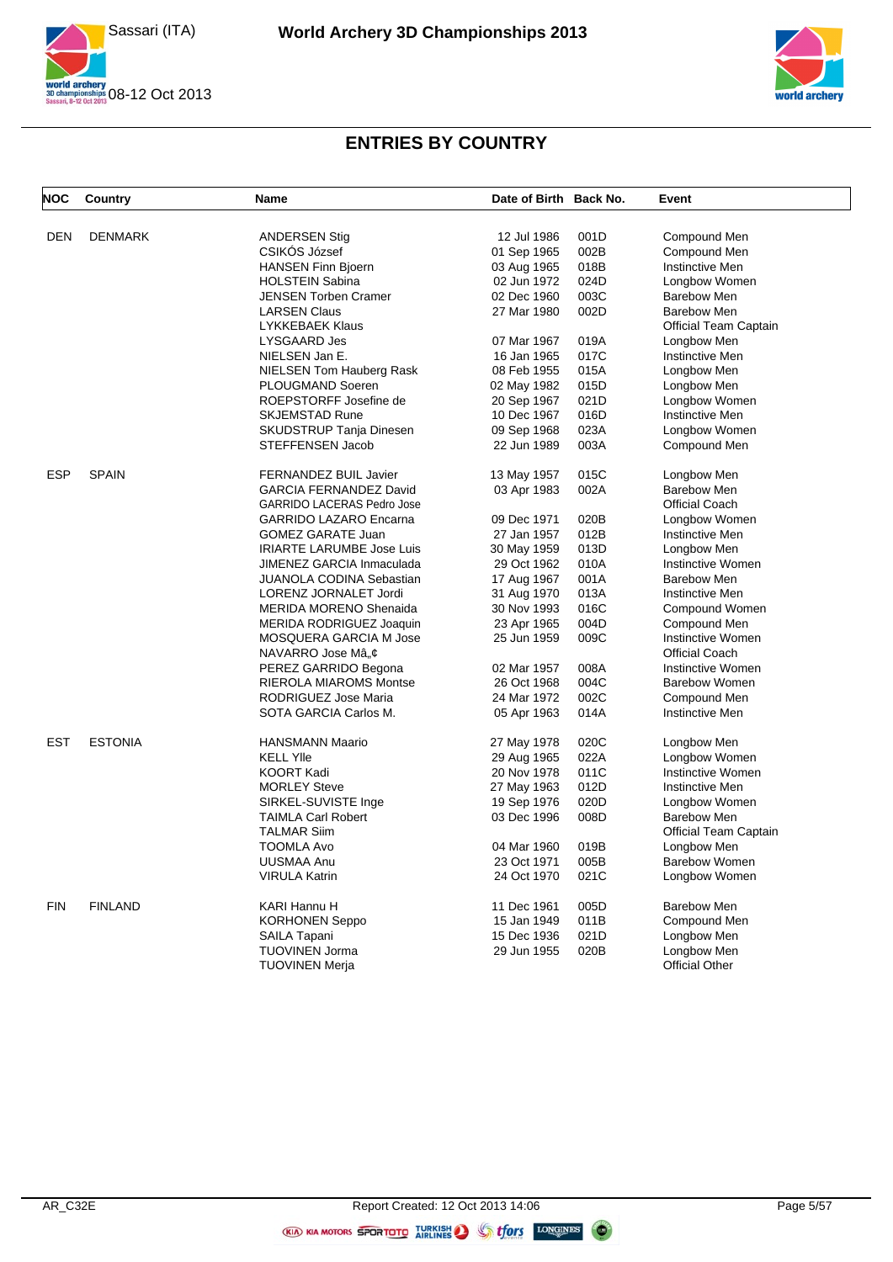



| <b>NOC</b> | Country        | Name                              | Date of Birth Back No. |      | Event                        |
|------------|----------------|-----------------------------------|------------------------|------|------------------------------|
| <b>DEN</b> | <b>DENMARK</b> | <b>ANDERSEN Stig</b>              | 12 Jul 1986            | 001D | Compound Men                 |
|            |                | CSIKÓS József                     | 01 Sep 1965            | 002B | Compound Men                 |
|            |                | <b>HANSEN Finn Bjoern</b>         | 03 Aug 1965            | 018B | Instinctive Men              |
|            |                | <b>HOLSTEIN Sabina</b>            | 02 Jun 1972            | 024D | Longbow Women                |
|            |                | JENSEN Torben Cramer              | 02 Dec 1960            | 003C | <b>Barebow Men</b>           |
|            |                | <b>LARSEN Claus</b>               | 27 Mar 1980            | 002D | <b>Barebow Men</b>           |
|            |                | <b>LYKKEBAEK Klaus</b>            |                        |      | <b>Official Team Captain</b> |
|            |                | LYSGAARD Jes                      | 07 Mar 1967            | 019A | Longbow Men                  |
|            |                | NIELSEN Jan E.                    | 16 Jan 1965            | 017C | <b>Instinctive Men</b>       |
|            |                | NIELSEN Tom Hauberg Rask          | 08 Feb 1955            | 015A | Longbow Men                  |
|            |                | PLOUGMAND Soeren                  | 02 May 1982            | 015D | Longbow Men                  |
|            |                | ROEPSTORFF Josefine de            | 20 Sep 1967            | 021D | Longbow Women                |
|            |                | <b>SKJEMSTAD Rune</b>             | 10 Dec 1967            | 016D | <b>Instinctive Men</b>       |
|            |                | SKUDSTRUP Tanja Dinesen           | 09 Sep 1968            | 023A | Longbow Women                |
|            |                | STEFFENSEN Jacob                  | 22 Jun 1989            | 003A |                              |
|            |                |                                   |                        |      | Compound Men                 |
| <b>ESP</b> | <b>SPAIN</b>   | <b>FERNANDEZ BUIL Javier</b>      | 13 May 1957            | 015C | Longbow Men                  |
|            |                | GARCIA FERNANDEZ David            | 03 Apr 1983            | 002A | <b>Barebow Men</b>           |
|            |                | <b>GARRIDO LACERAS Pedro Jose</b> |                        |      | <b>Official Coach</b>        |
|            |                | <b>GARRIDO LAZARO Encarna</b>     | 09 Dec 1971            | 020B | Longbow Women                |
|            |                | <b>GOMEZ GARATE Juan</b>          | 27 Jan 1957            | 012B | <b>Instinctive Men</b>       |
|            |                | <b>IRIARTE LARUMBE Jose Luis</b>  | 30 May 1959            | 013D | Longbow Men                  |
|            |                | JIMENEZ GARCIA Inmaculada         | 29 Oct 1962            | 010A | Instinctive Women            |
|            |                | JUANOLA CODINA Sebastian          | 17 Aug 1967            | 001A | <b>Barebow Men</b>           |
|            |                | LORENZ JORNALET Jordi             | 31 Aug 1970            | 013A | <b>Instinctive Men</b>       |
|            |                | <b>MERIDA MORENO Shenaida</b>     | 30 Nov 1993            | 016C | Compound Women               |
|            |                | MERIDA RODRIGUEZ Joaquin          | 23 Apr 1965            | 004D | Compound Men                 |
|            |                | MOSQUERA GARCIA M Jose            | 25 Jun 1959            | 009C | Instinctive Women            |
|            |                | NAVARRO Jose Mâ"¢                 |                        |      | <b>Official Coach</b>        |
|            |                | PEREZ GARRIDO Begona              | 02 Mar 1957            | 008A | Instinctive Women            |
|            |                | RIEROLA MIAROMS Montse            | 26 Oct 1968            | 004C | Barebow Women                |
|            |                | RODRIGUEZ Jose Maria              | 24 Mar 1972            | 002C | Compound Men                 |
|            |                | SOTA GARCIA Carlos M.             | 05 Apr 1963            | 014A | Instinctive Men              |
| <b>EST</b> | <b>ESTONIA</b> | <b>HANSMANN Maario</b>            | 27 May 1978            | 020C | Longbow Men                  |
|            |                | <b>KELL YIIe</b>                  | 29 Aug 1965            | 022A | Longbow Women                |
|            |                | <b>KOORT Kadi</b>                 | 20 Nov 1978            | 011C | Instinctive Women            |
|            |                | <b>MORLEY Steve</b>               | 27 May 1963            | 012D | <b>Instinctive Men</b>       |
|            |                | SIRKEL-SUVISTE Inge               | 19 Sep 1976            | 020D | Longbow Women                |
|            |                | <b>TAIMLA Carl Robert</b>         | 03 Dec 1996            | 008D | <b>Barebow Men</b>           |
|            |                | <b>TALMAR Siim</b>                |                        |      | Official Team Captain        |
|            |                | <b>TOOMLA Avo</b>                 | 04 Mar 1960            | 019B | Longbow Men                  |
|            |                | <b>UUSMAA Anu</b>                 | 23 Oct 1971            | 005B | <b>Barebow Women</b>         |
|            |                | <b>VIRULA Katrin</b>              | 24 Oct 1970            | 021C | Longbow Women                |
| <b>FIN</b> | <b>FINLAND</b> | KARI Hannu H                      | 11 Dec 1961            | 005D | <b>Barebow Men</b>           |
|            |                | <b>KORHONEN Seppo</b>             | 15 Jan 1949            | 011B | Compound Men                 |
|            |                | SAILA Tapani                      | 15 Dec 1936            | 021D | Longbow Men                  |
|            |                | <b>TUOVINEN Jorma</b>             | 29 Jun 1955            | 020B | Longbow Men                  |
|            |                | TUOVINEN Merja                    |                        |      | <b>Official Other</b>        |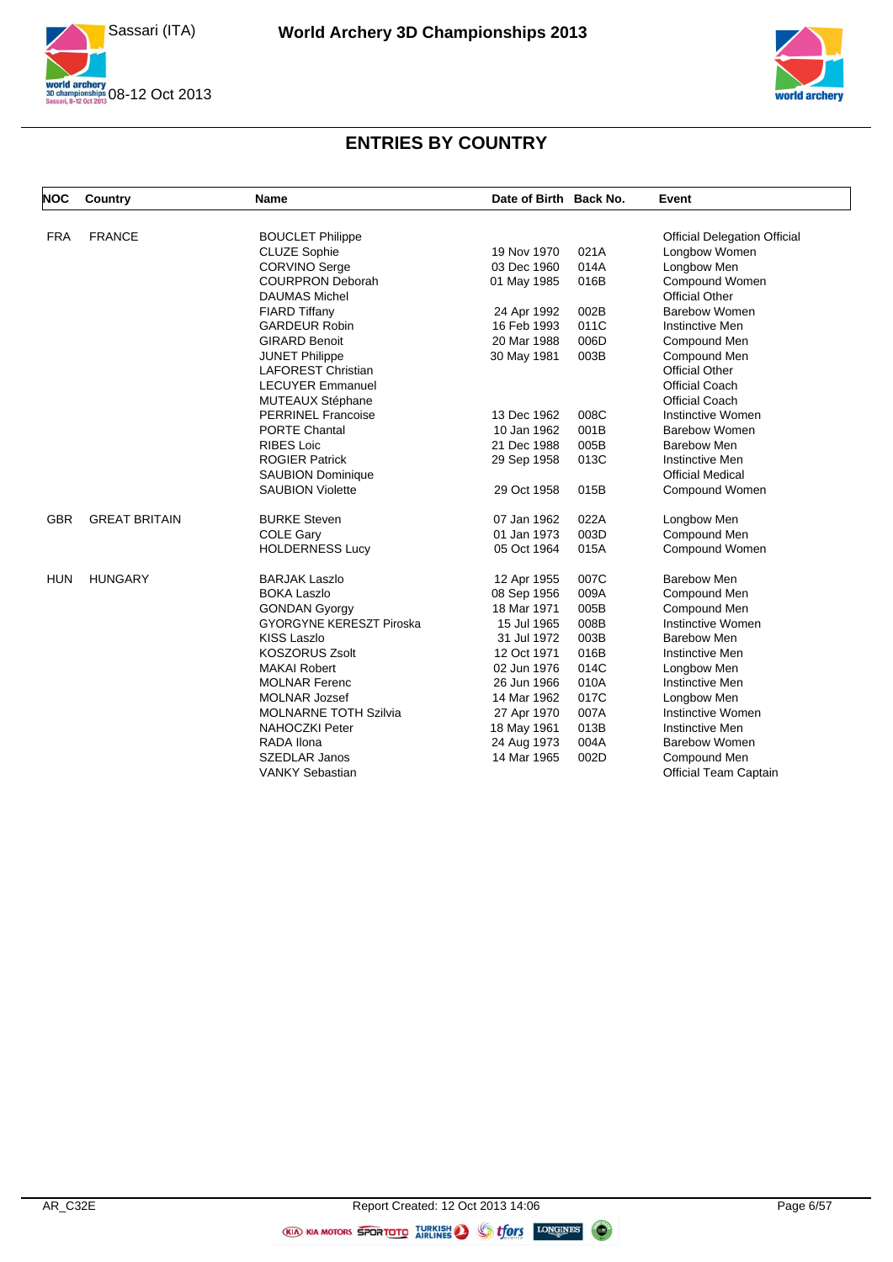



| <b>NOC</b> | Country              | Name                            | Date of Birth Back No. |      | Event                               |
|------------|----------------------|---------------------------------|------------------------|------|-------------------------------------|
| <b>FRA</b> | <b>FRANCE</b>        | <b>BOUCLET Philippe</b>         |                        |      | <b>Official Delegation Official</b> |
|            |                      | <b>CLUZE Sophie</b>             | 19 Nov 1970            | 021A | Longbow Women                       |
|            |                      | <b>CORVINO Serge</b>            | 03 Dec 1960            | 014A | Longbow Men                         |
|            |                      | <b>COURPRON Deborah</b>         | 01 May 1985            | 016B | Compound Women                      |
|            |                      | <b>DAUMAS Michel</b>            |                        |      | <b>Official Other</b>               |
|            |                      | FIARD Tiffany                   | 24 Apr 1992            | 002B | Barebow Women                       |
|            |                      | <b>GARDEUR Robin</b>            | 16 Feb 1993            | 011C | Instinctive Men                     |
|            |                      | <b>GIRARD Benoit</b>            | 20 Mar 1988            | 006D | Compound Men                        |
|            |                      | <b>JUNET Philippe</b>           | 30 May 1981            | 003B | Compound Men                        |
|            |                      | <b>LAFOREST Christian</b>       |                        |      | <b>Official Other</b>               |
|            |                      | <b>LECUYER Emmanuel</b>         |                        |      | <b>Official Coach</b>               |
|            |                      | <b>MUTEAUX Stéphane</b>         |                        |      | <b>Official Coach</b>               |
|            |                      | <b>PERRINEL Francoise</b>       | 13 Dec 1962            | 008C | Instinctive Women                   |
|            |                      | <b>PORTE Chantal</b>            | 10 Jan 1962            | 001B | <b>Barebow Women</b>                |
|            |                      | <b>RIBES Loic</b>               | 21 Dec 1988            | 005B | <b>Barebow Men</b>                  |
|            |                      | <b>ROGIER Patrick</b>           | 29 Sep 1958            | 013C | Instinctive Men                     |
|            |                      | <b>SAUBION Dominique</b>        |                        |      | <b>Official Medical</b>             |
|            |                      | <b>SAUBION Violette</b>         | 29 Oct 1958            | 015B | Compound Women                      |
| <b>GBR</b> | <b>GREAT BRITAIN</b> | <b>BURKE Steven</b>             | 07 Jan 1962            | 022A | Longbow Men                         |
|            |                      | <b>COLE Gary</b>                | 01 Jan 1973            | 003D | Compound Men                        |
|            |                      | <b>HOLDERNESS Lucy</b>          | 05 Oct 1964            | 015A | Compound Women                      |
| <b>HUN</b> | <b>HUNGARY</b>       | <b>BARJAK Laszlo</b>            | 12 Apr 1955            | 007C | <b>Barebow Men</b>                  |
|            |                      | <b>BOKA Laszlo</b>              | 08 Sep 1956            | 009A | Compound Men                        |
|            |                      | <b>GONDAN Gyorgy</b>            | 18 Mar 1971            | 005B | Compound Men                        |
|            |                      | <b>GYORGYNE KERESZT Piroska</b> | 15 Jul 1965            | 008B | <b>Instinctive Women</b>            |
|            |                      | <b>KISS Laszlo</b>              | 31 Jul 1972            | 003B | Barebow Men                         |
|            |                      | <b>KOSZORUS Zsolt</b>           | 12 Oct 1971            | 016B | <b>Instinctive Men</b>              |
|            |                      | <b>MAKAI Robert</b>             | 02 Jun 1976            | 014C | Longbow Men                         |
|            |                      | <b>MOLNAR Ferenc</b>            | 26 Jun 1966            | 010A | Instinctive Men                     |
|            |                      | <b>MOLNAR Jozsef</b>            | 14 Mar 1962            | 017C | Longbow Men                         |
|            |                      | <b>MOLNARNE TOTH Szilvia</b>    | 27 Apr 1970            | 007A | Instinctive Women                   |
|            |                      | <b>NAHOCZKI Peter</b>           | 18 May 1961            | 013B | Instinctive Men                     |
|            |                      | <b>RADA Ilona</b>               | 24 Aug 1973            | 004A | <b>Barebow Women</b>                |
|            |                      | <b>SZEDLAR Janos</b>            | 14 Mar 1965            | 002D | Compound Men                        |
|            |                      | <b>VANKY Sebastian</b>          |                        |      | <b>Official Team Captain</b>        |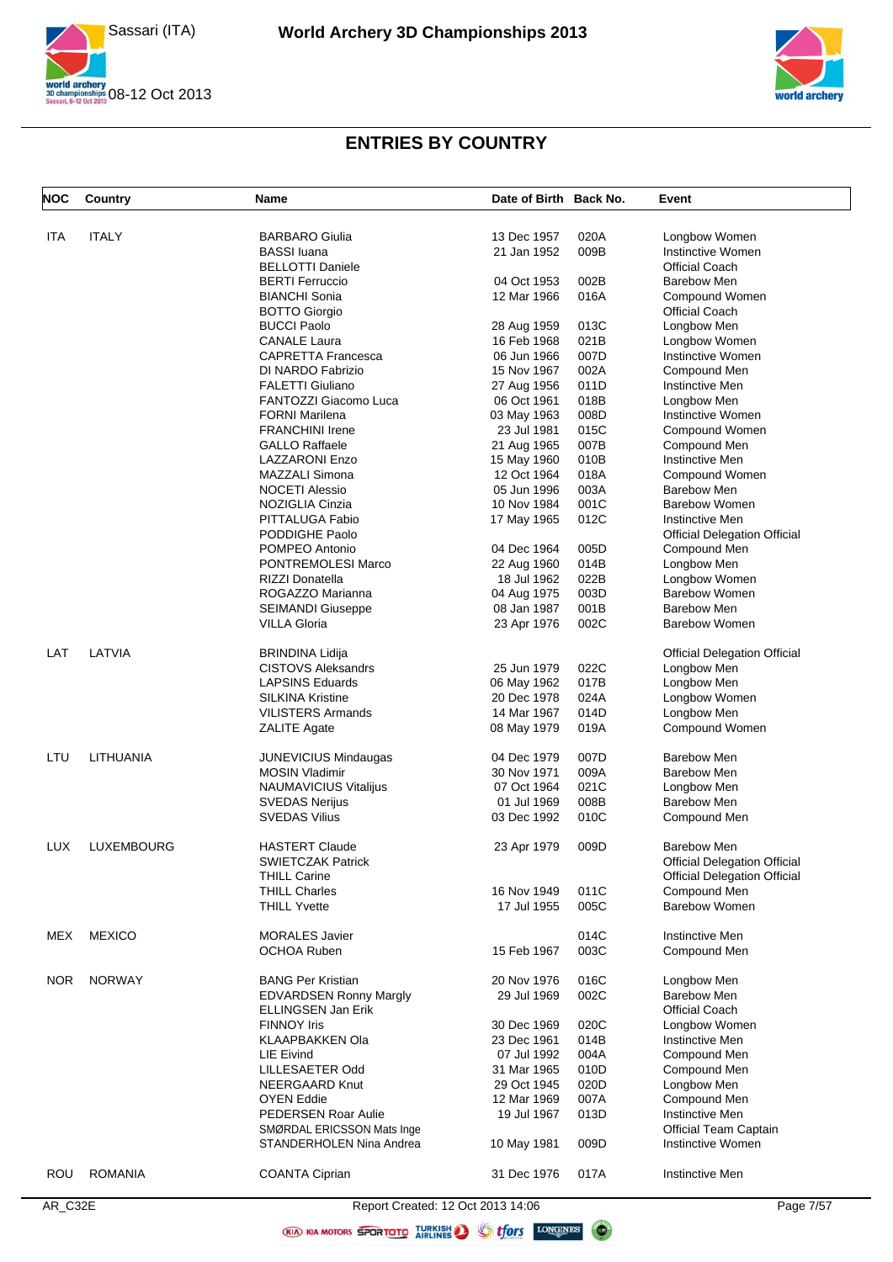



| <b>NOC</b> | Country        | Name                              | Date of Birth Back No. |      | Event                               |
|------------|----------------|-----------------------------------|------------------------|------|-------------------------------------|
|            |                |                                   |                        |      |                                     |
| ITA        | <b>ITALY</b>   | <b>BARBARO Giulia</b>             | 13 Dec 1957            | 020A | Longbow Women                       |
|            |                | <b>BASSI</b> luana                | 21 Jan 1952            | 009B | Instinctive Women                   |
|            |                | <b>BELLOTTI Daniele</b>           |                        |      | <b>Official Coach</b>               |
|            |                | <b>BERTI Ferruccio</b>            | 04 Oct 1953            | 002B | <b>Barebow Men</b>                  |
|            |                | <b>BIANCHI Sonia</b>              | 12 Mar 1966            | 016A | Compound Women                      |
|            |                | <b>BOTTO Giorgio</b>              |                        |      | <b>Official Coach</b>               |
|            |                | <b>BUCCI Paolo</b>                | 28 Aug 1959            | 013C | Longbow Men                         |
|            |                | <b>CANALE Laura</b>               | 16 Feb 1968            | 021B | Longbow Women                       |
|            |                | <b>CAPRETTA Francesca</b>         | 06 Jun 1966            | 007D | Instinctive Women                   |
|            |                | DI NARDO Fabrizio                 | 15 Nov 1967            | 002A | Compound Men                        |
|            |                | <b>FALETTI Giuliano</b>           | 27 Aug 1956            | 011D | Instinctive Men                     |
|            |                | FANTOZZI Giacomo Luca             | 06 Oct 1961            | 018B | Longbow Men                         |
|            |                | <b>FORNI Marilena</b>             | 03 May 1963            | 008D | Instinctive Women                   |
|            |                | <b>FRANCHINI Irene</b>            | 23 Jul 1981            | 015C | Compound Women                      |
|            |                | <b>GALLO Raffaele</b>             | 21 Aug 1965            | 007B | Compound Men                        |
|            |                | <b>LAZZARONI Enzo</b>             | 15 May 1960            | 010B | Instinctive Men                     |
|            |                | MAZZALI Simona                    | 12 Oct 1964            | 018A | Compound Women                      |
|            |                | <b>NOCETI Alessio</b>             | 05 Jun 1996            | 003A | <b>Barebow Men</b>                  |
|            |                | NOZIGLIA Cinzia                   | 10 Nov 1984            | 001C | <b>Barebow Women</b>                |
|            |                | PITTALUGA Fabio                   |                        | 012C | <b>Instinctive Men</b>              |
|            |                |                                   | 17 May 1965            |      |                                     |
|            |                | PODDIGHE Paolo                    |                        |      | <b>Official Delegation Official</b> |
|            |                | POMPEO Antonio                    | 04 Dec 1964            | 005D | Compound Men                        |
|            |                | PONTREMOLESI Marco                | 22 Aug 1960            | 014B | Longbow Men                         |
|            |                | <b>RIZZI Donatella</b>            | 18 Jul 1962            | 022B | Longbow Women                       |
|            |                | ROGAZZO Marianna                  | 04 Aug 1975            | 003D | <b>Barebow Women</b>                |
|            |                | <b>SEIMANDI Giuseppe</b>          | 08 Jan 1987            | 001B | <b>Barebow Men</b>                  |
|            |                | <b>VILLA Gloria</b>               | 23 Apr 1976            | 002C | <b>Barebow Women</b>                |
| LAT        | LATVIA         | <b>BRINDINA Lidija</b>            |                        |      | <b>Official Delegation Official</b> |
|            |                | <b>CISTOVS Aleksandrs</b>         | 25 Jun 1979            | 022C |                                     |
|            |                | <b>LAPSINS Eduards</b>            |                        | 017B | Longbow Men                         |
|            |                |                                   | 06 May 1962            |      | Longbow Men                         |
|            |                | <b>SILKINA Kristine</b>           | 20 Dec 1978            | 024A | Longbow Women                       |
|            |                | <b>VILISTERS Armands</b>          | 14 Mar 1967            | 014D | Longbow Men                         |
|            |                | <b>ZALITE Agate</b>               | 08 May 1979            | 019A | Compound Women                      |
| LTU        | LITHUANIA      | <b>JUNEVICIUS Mindaugas</b>       | 04 Dec 1979            | 007D | <b>Barebow Men</b>                  |
|            |                | <b>MOSIN Vladimir</b>             | 30 Nov 1971            | 009A | <b>Barebow Men</b>                  |
|            |                | NAUMAVICIUS Vitalijus             | 07 Oct 1964            | 021C | Longbow Men                         |
|            |                | <b>SVEDAS Nerijus</b>             | 01 Jul 1969            | 008B | <b>Barebow Men</b>                  |
|            |                | <b>SVEDAS Vilius</b>              | 03 Dec 1992            | 010C | Compound Men                        |
|            |                |                                   |                        |      |                                     |
| <b>LUX</b> | LUXEMBOURG     | <b>HASTERT Claude</b>             | 23 Apr 1979            | 009D | Barebow Men                         |
|            |                | <b>SWIETCZAK Patrick</b>          |                        |      | <b>Official Delegation Official</b> |
|            |                | <b>THILL Carine</b>               |                        |      | <b>Official Delegation Official</b> |
|            |                | <b>THILL Charles</b>              | 16 Nov 1949            | 011C | Compound Men                        |
|            |                | <b>THILL Yvette</b>               | 17 Jul 1955            | 005C | <b>Barebow Women</b>                |
|            |                |                                   |                        |      |                                     |
| <b>MEX</b> | <b>MEXICO</b>  | <b>MORALES Javier</b>             |                        | 014C | Instinctive Men                     |
|            |                | <b>OCHOA Ruben</b>                | 15 Feb 1967            | 003C | Compound Men                        |
|            |                |                                   |                        |      |                                     |
| NOR        | <b>NORWAY</b>  | <b>BANG Per Kristian</b>          | 20 Nov 1976            | 016C | Longbow Men                         |
|            |                | <b>EDVARDSEN Ronny Margly</b>     | 29 Jul 1969            | 002C | <b>Barebow Men</b>                  |
|            |                | <b>ELLINGSEN Jan Erik</b>         |                        |      | Official Coach                      |
|            |                | <b>FINNOY Iris</b>                | 30 Dec 1969            | 020C | Longbow Women                       |
|            |                | <b>KLAAPBAKKEN Ola</b>            | 23 Dec 1961            | 014B | Instinctive Men                     |
|            |                | <b>LIE Eivind</b>                 | 07 Jul 1992            | 004A | Compound Men                        |
|            |                | LILLESAETER Odd                   | 31 Mar 1965            | 010D | Compound Men                        |
|            |                | <b>NEERGAARD Knut</b>             | 29 Oct 1945            | 020D | Longbow Men                         |
|            |                | <b>OYEN Eddie</b>                 | 12 Mar 1969            | 007A | Compound Men                        |
|            |                | PEDERSEN Roar Aulie               | 19 Jul 1967            | 013D | Instinctive Men                     |
|            |                | SMØRDAL ERICSSON Mats Inge        |                        |      | Official Team Captain               |
|            |                | STANDERHOLEN Nina Andrea          | 10 May 1981            | 009D | Instinctive Women                   |
|            |                |                                   |                        |      |                                     |
| ROU        | <b>ROMANIA</b> | <b>COANTA Ciprian</b>             | 31 Dec 1976            | 017A | Instinctive Men                     |
|            |                |                                   |                        |      |                                     |
| AR_C32E    |                | Report Created: 12 Oct 2013 14:06 |                        |      | Page 7/57                           |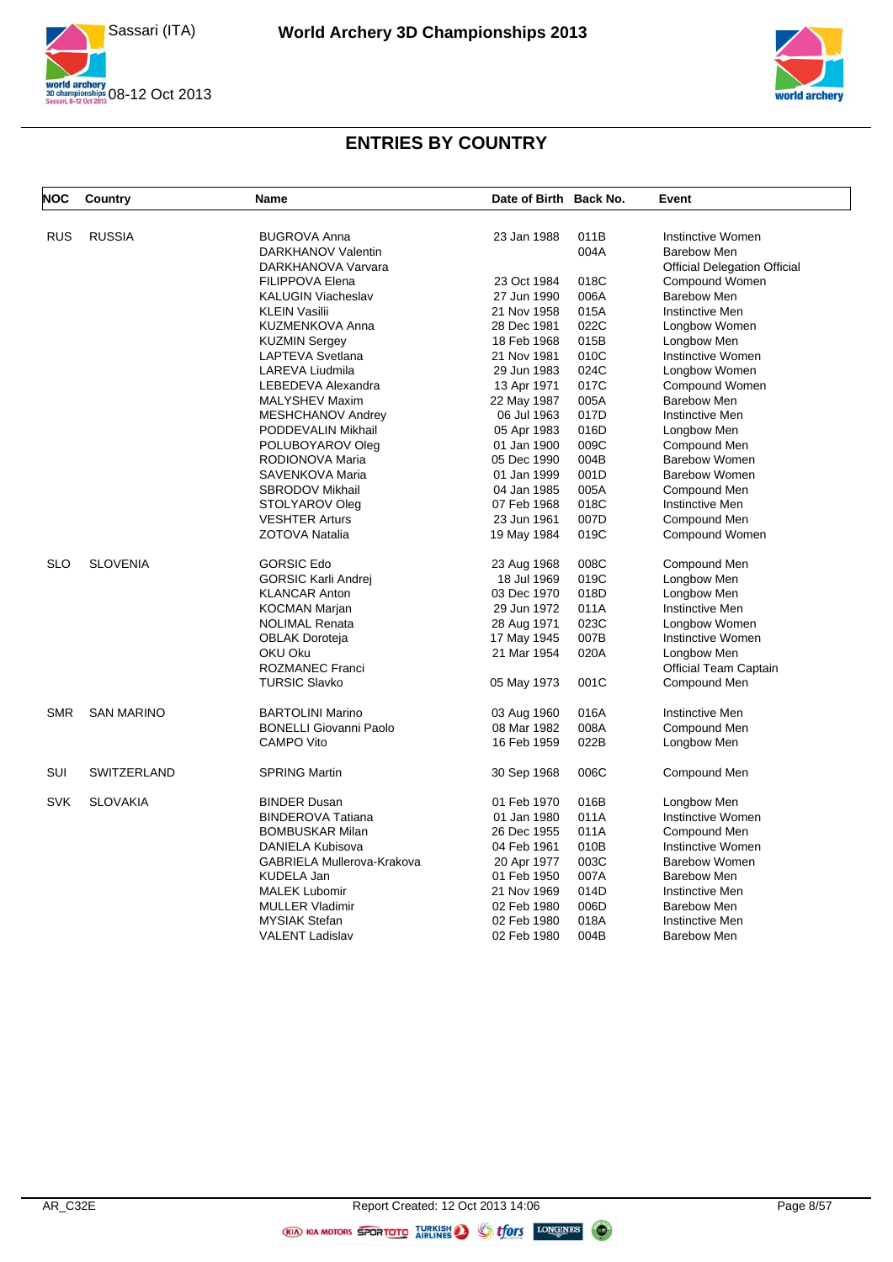



| <b>NOC</b> | Country            | Name                                           | Date of Birth Back No. |      | Event                               |
|------------|--------------------|------------------------------------------------|------------------------|------|-------------------------------------|
| <b>RUS</b> | <b>RUSSIA</b>      | <b>BUGROVA Anna</b>                            | 23 Jan 1988            | 011B | Instinctive Women                   |
|            |                    | DARKHANOV Valentin                             |                        | 004A | Barebow Men                         |
|            |                    | DARKHANOVA Varvara                             |                        |      | <b>Official Delegation Official</b> |
|            |                    | <b>FILIPPOVA Elena</b>                         | 23 Oct 1984            | 018C | Compound Women                      |
|            |                    | <b>KALUGIN Viacheslav</b>                      | 27 Jun 1990            | 006A | <b>Barebow Men</b>                  |
|            |                    | <b>KLEIN Vasilii</b>                           | 21 Nov 1958            | 015A | <b>Instinctive Men</b>              |
|            |                    | KUZMENKOVA Anna                                | 28 Dec 1981            | 022C | Longbow Women                       |
|            |                    | <b>KUZMIN Sergey</b>                           | 18 Feb 1968            | 015B | Longbow Men                         |
|            |                    | LAPTEVA Svetlana                               | 21 Nov 1981            | 010C | Instinctive Women                   |
|            |                    | LAREVA Liudmila                                | 29 Jun 1983            | 024C | Longbow Women                       |
|            |                    | LEBEDEVA Alexandra                             | 13 Apr 1971            | 017C | Compound Women                      |
|            |                    | <b>MALYSHEV Maxim</b>                          | 22 May 1987            | 005A | <b>Barebow Men</b>                  |
|            |                    | MESHCHANOV Andrey                              | 06 Jul 1963            | 017D | Instinctive Men                     |
|            |                    | PODDEVALIN Mikhail                             | 05 Apr 1983            | 016D | Longbow Men                         |
|            |                    | POLUBOYAROV Oleg                               | 01 Jan 1900            | 009C | Compound Men                        |
|            |                    | RODIONOVA Maria                                | 05 Dec 1990            | 004B | <b>Barebow Women</b>                |
|            |                    | SAVENKOVA Maria                                | 01 Jan 1999            | 001D | <b>Barebow Women</b>                |
|            |                    |                                                |                        |      |                                     |
|            |                    | <b>SBRODOV Mikhail</b>                         | 04 Jan 1985            | 005A | Compound Men                        |
|            |                    | STOLYAROV Oleg                                 | 07 Feb 1968            | 018C | Instinctive Men                     |
|            |                    | <b>VESHTER Arturs</b>                          | 23 Jun 1961            | 007D | Compound Men                        |
|            |                    | ZOTOVA Natalia                                 | 19 May 1984            | 019C | Compound Women                      |
| <b>SLO</b> | <b>SLOVENIA</b>    | <b>GORSIC Edo</b>                              | 23 Aug 1968            | 008C | Compound Men                        |
|            |                    | <b>GORSIC Karli Andrej</b>                     | 18 Jul 1969            | 019C | Longbow Men                         |
|            |                    | <b>KLANCAR Anton</b>                           | 03 Dec 1970            | 018D | Longbow Men                         |
|            |                    | KOCMAN Marjan                                  | 29 Jun 1972            | 011A | <b>Instinctive Men</b>              |
|            |                    | <b>NOLIMAL Renata</b>                          | 28 Aug 1971            | 023C | Longbow Women                       |
|            |                    | <b>OBLAK Doroteja</b>                          | 17 May 1945            | 007B | Instinctive Women                   |
|            |                    | OKU Oku                                        | 21 Mar 1954            | 020A | Longbow Men                         |
|            |                    | <b>ROZMANEC Franci</b>                         |                        |      | Official Team Captain               |
|            |                    | <b>TURSIC Slavko</b>                           | 05 May 1973            | 001C | Compound Men                        |
| <b>SMR</b> | <b>SAN MARINO</b>  | <b>BARTOLINI Marino</b>                        | 03 Aug 1960            | 016A | Instinctive Men                     |
|            |                    | <b>BONELLI Giovanni Paolo</b>                  | 08 Mar 1982            | 008A | Compound Men                        |
|            |                    | <b>CAMPO Vito</b>                              | 16 Feb 1959            | 022B | Longbow Men                         |
| SUI        | <b>SWITZERLAND</b> | <b>SPRING Martin</b>                           | 30 Sep 1968            | 006C | Compound Men                        |
| <b>SVK</b> | <b>SLOVAKIA</b>    | <b>BINDER Dusan</b>                            | 01 Feb 1970            | 016B | Longbow Men                         |
|            |                    | <b>BINDEROVA Tatiana</b>                       | 01 Jan 1980            | 011A | Instinctive Women                   |
|            |                    | <b>BOMBUSKAR Milan</b>                         | 26 Dec 1955            | 011A | Compound Men                        |
|            |                    | DANIELA Kubisova                               | 04 Feb 1961            | 010B | Instinctive Women                   |
|            |                    | GABRIELA Mullerova-Krakova                     | 20 Apr 1977            | 003C | <b>Barebow Women</b>                |
|            |                    | KUDELA Jan                                     | 01 Feb 1950            | 007A | <b>Barebow Men</b>                  |
|            |                    |                                                | 21 Nov 1969            | 014D | Instinctive Men                     |
|            |                    | <b>MALEK Lubomir</b><br><b>MULLER Vladimir</b> | 02 Feb 1980            | 006D | Barebow Men                         |
|            |                    |                                                |                        |      |                                     |
|            |                    | <b>MYSIAK Stefan</b>                           | 02 Feb 1980            | 018A | <b>Instinctive Men</b>              |
|            |                    | <b>VALENT Ladislav</b>                         | 02 Feb 1980            | 004B | Barebow Men                         |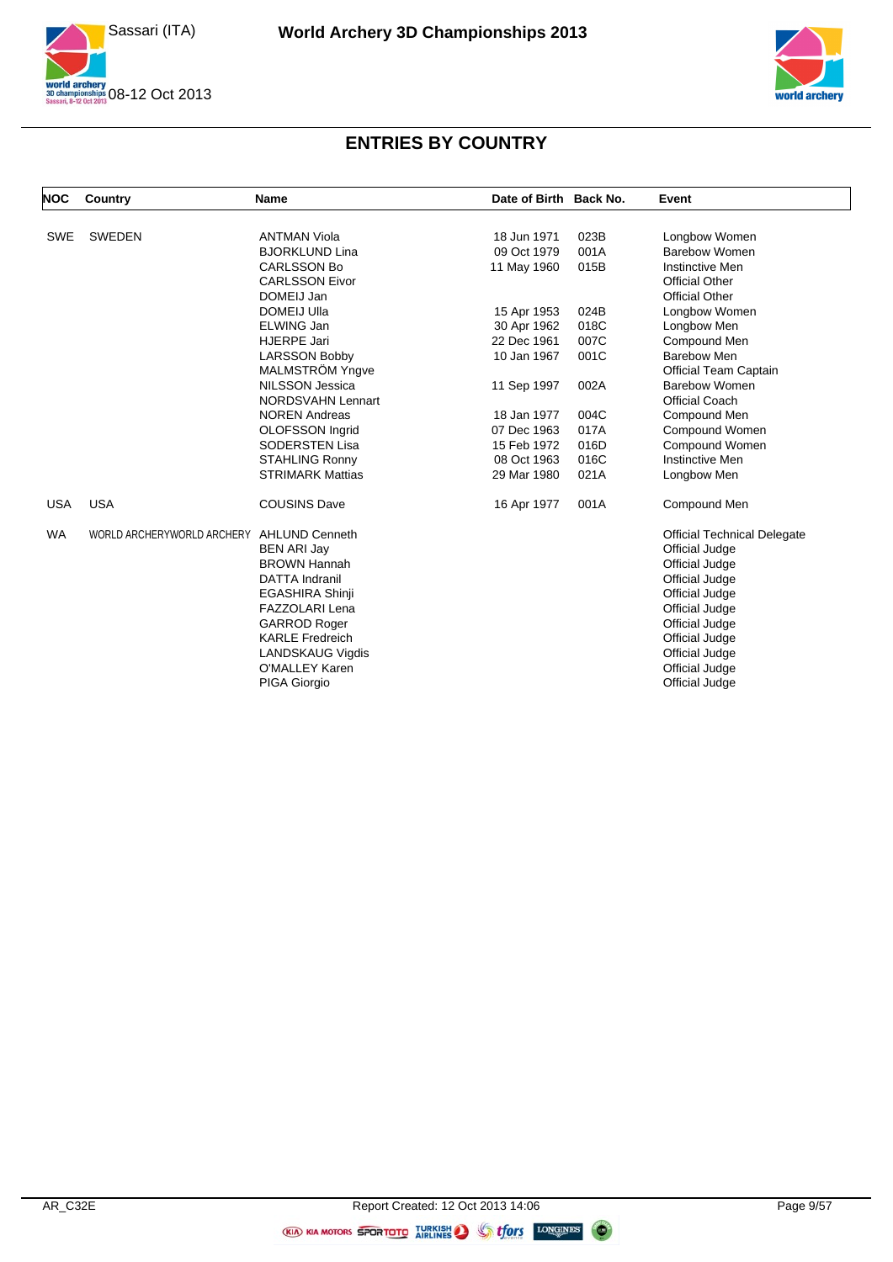



| <b>NOC</b> | Country                    | <b>Name</b>              | Date of Birth Back No. |      | Event                              |
|------------|----------------------------|--------------------------|------------------------|------|------------------------------------|
|            |                            |                          |                        |      |                                    |
| SWE        | <b>SWEDEN</b>              | <b>ANTMAN Viola</b>      | 18 Jun 1971            | 023B | Longbow Women                      |
|            |                            | <b>BJORKLUND Lina</b>    | 09 Oct 1979            | 001A | <b>Barebow Women</b>               |
|            |                            | <b>CARLSSON Bo</b>       | 11 May 1960            | 015B | Instinctive Men                    |
|            |                            | <b>CARLSSON Eivor</b>    |                        |      | <b>Official Other</b>              |
|            |                            | DOMEIJ Jan               |                        |      | <b>Official Other</b>              |
|            |                            | <b>DOMEIJ Ulla</b>       | 15 Apr 1953            | 024B | Longbow Women                      |
|            |                            | ELWING Jan               | 30 Apr 1962            | 018C | Longbow Men                        |
|            |                            | HJERPE Jari              | 22 Dec 1961            | 007C | Compound Men                       |
|            |                            | <b>LARSSON Bobby</b>     | 10 Jan 1967            | 001C | <b>Barebow Men</b>                 |
|            |                            | MALMSTRÖM Yngve          |                        |      | <b>Official Team Captain</b>       |
|            |                            | <b>NILSSON Jessica</b>   | 11 Sep 1997            | 002A | <b>Barebow Women</b>               |
|            |                            | <b>NORDSVAHN Lennart</b> |                        |      | <b>Official Coach</b>              |
|            |                            | <b>NOREN Andreas</b>     | 18 Jan 1977            | 004C | Compound Men                       |
|            |                            | OLOFSSON Ingrid          | 07 Dec 1963            | 017A | Compound Women                     |
|            |                            | <b>SODERSTEN Lisa</b>    | 15 Feb 1972            | 016D | Compound Women                     |
|            |                            | <b>STAHLING Ronny</b>    | 08 Oct 1963            | 016C | <b>Instinctive Men</b>             |
|            |                            | <b>STRIMARK Mattias</b>  | 29 Mar 1980            | 021A | Longbow Men                        |
| <b>USA</b> | <b>USA</b>                 | <b>COUSINS Dave</b>      | 16 Apr 1977            | 001A | Compound Men                       |
| <b>WA</b>  | WORLD ARCHERYWORLD ARCHERY | <b>AHLUND Cenneth</b>    |                        |      | <b>Official Technical Delegate</b> |
|            |                            | <b>BEN ARI Jay</b>       |                        |      | Official Judge                     |
|            |                            | <b>BROWN Hannah</b>      |                        |      | Official Judge                     |
|            |                            | <b>DATTA Indranil</b>    |                        |      | Official Judge                     |
|            |                            | <b>EGASHIRA Shinji</b>   |                        |      | Official Judge                     |
|            |                            | <b>FAZZOLARI Lena</b>    |                        |      | Official Judge                     |
|            |                            | <b>GARROD Roger</b>      |                        |      | Official Judge                     |
|            |                            | <b>KARLE Fredreich</b>   |                        |      | Official Judge                     |
|            |                            | <b>LANDSKAUG Vigdis</b>  |                        |      | Official Judge                     |
|            |                            | O'MALLEY Karen           |                        |      | Official Judge                     |
|            |                            | PIGA Giorgio             |                        |      | Official Judge                     |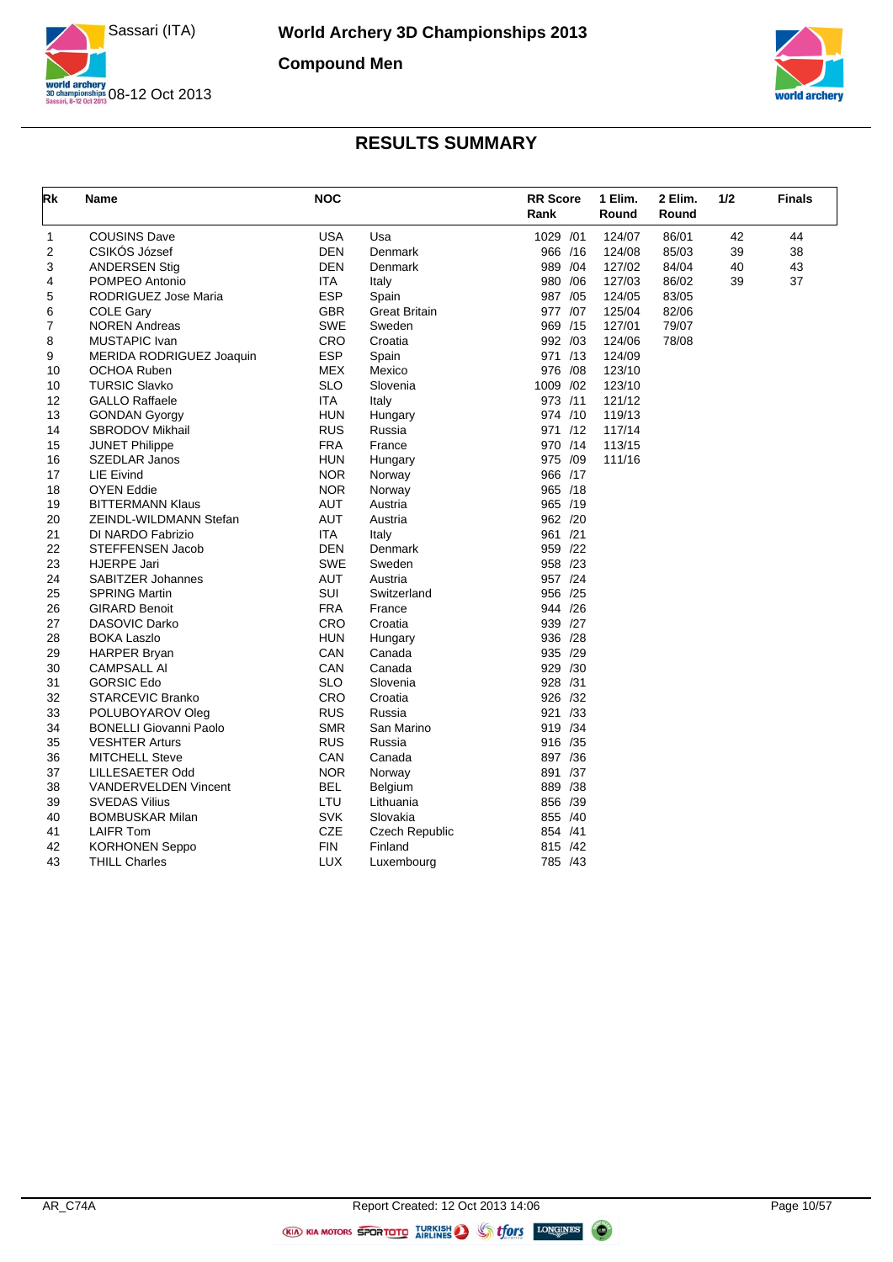



| <b>USA</b><br><b>COUSINS Dave</b><br>Usa<br>1029 /01<br>124/07<br>86/01<br>42<br>44<br>1<br><b>DEN</b><br>$\overline{2}$<br>CSIKOS József<br>Denmark<br>966 /16<br>124/08<br>85/03<br>39<br>38<br><b>DEN</b><br>989 /04<br>127/02<br>40<br>43<br>3<br><b>ANDERSEN Stig</b><br>Denmark<br>84/04<br>POMPEO Antonio<br><b>ITA</b><br>980 / 06<br>127/03<br>86/02<br>39<br>37<br>Italy<br>4<br><b>ESP</b><br>987 /05<br>5<br>RODRIGUEZ Jose Maria<br>124/05<br>83/05<br>Spain<br><b>COLE Gary</b><br><b>GBR</b><br><b>Great Britain</b><br>977 /07<br>125/04<br>82/06<br>6<br><b>SWE</b><br>79/07<br>7<br><b>NOREN Andreas</b><br>969 /15<br>127/01<br>Sweden<br>CRO<br>MUSTAPIC Ivan<br>Croatia<br>992 /03<br>124/06<br>78/08<br>8<br><b>ESP</b><br>971 /13<br>9<br>MERIDA RODRIGUEZ Joaquin<br>124/09<br>Spain<br><b>MEX</b><br><b>OCHOA Ruben</b><br>Mexico<br>976 / 08<br>123/10<br>10<br><b>SLO</b><br>1009 /02<br>123/10<br><b>TURSIC Slavko</b><br>10<br>Slovenia<br>ITA<br>973 /11<br>12<br><b>GALLO Raffaele</b><br>Italy<br>121/12<br><b>HUN</b><br>13<br>974 /10<br>119/13<br><b>GONDAN Gyorgy</b><br>Hungary<br><b>RUS</b><br>14<br>SBRODOV Mikhail<br>Russia<br>971 /12<br>117/14<br><b>FRA</b><br>15<br>970 /14<br>113/15<br><b>JUNET Philippe</b><br>France<br><b>HUN</b><br>975 /09<br>16<br>SZEDLAR Janos<br>111/16<br>Hungary<br><b>NOR</b><br>966 /17<br>17<br>LIE Eivind<br>Norway<br><b>NOR</b><br>18<br><b>OYEN Eddie</b><br>965 /18<br>Norway<br><b>AUT</b><br>965 /19<br><b>BITTERMANN Klaus</b><br>Austria<br>19<br><b>AUT</b><br>962 /20<br>ZEINDL-WILDMANN Stefan<br>Austria<br>20<br>961 /21<br>ITA.<br>21<br>DI NARDO Fabrizio<br>Italy<br><b>DEN</b><br>STEFFENSEN Jacob<br>Denmark<br>959 /22<br>22<br><b>SWE</b><br>23<br><b>HJERPE Jari</b><br>958 /23<br>Sweden<br><b>AUT</b><br>957 /24<br><b>SABITZER Johannes</b><br>Austria<br>24<br>SUI<br>956 /25<br>25<br><b>SPRING Martin</b><br>Switzerland<br><b>FRA</b><br>26<br><b>GIRARD Benoit</b><br>France<br>944 /26<br>CRO<br><b>DASOVIC Darko</b><br>939 /27<br>27<br>Croatia<br><b>HUN</b><br>28<br><b>BOKA Laszlo</b><br>936 /28<br>Hungary<br>CAN<br>935 /29<br>29<br><b>HARPER Bryan</b><br>Canada<br>CAN<br><b>CAMPSALL AI</b><br>Canada<br>929 /30<br>30<br><b>GORSIC Edo</b><br><b>SLO</b><br>928 /31<br>31<br>Slovenia<br>CRO<br>926 /32<br>32<br><b>STARCEVIC Branko</b><br>Croatia<br><b>RUS</b><br>921 /33<br>33<br>POLUBOYAROV Oleg<br>Russia<br><b>SMR</b><br><b>BONELLI Giovanni Paolo</b><br>San Marino<br>919 /34<br>34<br><b>VESHTER Arturs</b><br><b>RUS</b><br>Russia<br>916 /35<br>35<br>CAN<br>36<br><b>MITCHELL Steve</b><br>Canada<br>897 /36<br><b>NOR</b><br>891 /37<br>37<br>LILLESAETER Odd<br>Norway<br><b>BEL</b><br>38<br><b>VANDERVELDEN Vincent</b><br>Belgium<br>889 /38<br><b>SVEDAS Vilius</b><br>LTU<br>856 /39<br>39<br>Lithuania<br><b>SVK</b><br><b>BOMBUSKAR Milan</b><br>Slovakia<br>855 /40<br>40<br>CZE<br><b>LAIFR Tom</b><br>854 /41<br>41<br><b>Czech Republic</b><br>FIN<br>42<br><b>KORHONEN Seppo</b><br>Finland<br>815 /42 | Rk | Name                 | <b>NOC</b> |            | <b>RR</b> Score<br>Rank | 1 Elim.<br>Round | 2 Elim.<br>Round | 1/2 | <b>Finals</b> |
|---------------------------------------------------------------------------------------------------------------------------------------------------------------------------------------------------------------------------------------------------------------------------------------------------------------------------------------------------------------------------------------------------------------------------------------------------------------------------------------------------------------------------------------------------------------------------------------------------------------------------------------------------------------------------------------------------------------------------------------------------------------------------------------------------------------------------------------------------------------------------------------------------------------------------------------------------------------------------------------------------------------------------------------------------------------------------------------------------------------------------------------------------------------------------------------------------------------------------------------------------------------------------------------------------------------------------------------------------------------------------------------------------------------------------------------------------------------------------------------------------------------------------------------------------------------------------------------------------------------------------------------------------------------------------------------------------------------------------------------------------------------------------------------------------------------------------------------------------------------------------------------------------------------------------------------------------------------------------------------------------------------------------------------------------------------------------------------------------------------------------------------------------------------------------------------------------------------------------------------------------------------------------------------------------------------------------------------------------------------------------------------------------------------------------------------------------------------------------------------------------------------------------------------------------------------------------------------------------------------------------------------------------------------------------------------------------------------------------------------------------------------------------------------------------------------------------------------------------------------------------------------------------------------------------------------------------------------------------------------------------------------------------------------------------------------|----|----------------------|------------|------------|-------------------------|------------------|------------------|-----|---------------|
|                                                                                                                                                                                                                                                                                                                                                                                                                                                                                                                                                                                                                                                                                                                                                                                                                                                                                                                                                                                                                                                                                                                                                                                                                                                                                                                                                                                                                                                                                                                                                                                                                                                                                                                                                                                                                                                                                                                                                                                                                                                                                                                                                                                                                                                                                                                                                                                                                                                                                                                                                                                                                                                                                                                                                                                                                                                                                                                                                                                                                                                               |    |                      |            |            |                         |                  |                  |     |               |
|                                                                                                                                                                                                                                                                                                                                                                                                                                                                                                                                                                                                                                                                                                                                                                                                                                                                                                                                                                                                                                                                                                                                                                                                                                                                                                                                                                                                                                                                                                                                                                                                                                                                                                                                                                                                                                                                                                                                                                                                                                                                                                                                                                                                                                                                                                                                                                                                                                                                                                                                                                                                                                                                                                                                                                                                                                                                                                                                                                                                                                                               |    |                      |            |            |                         |                  |                  |     |               |
|                                                                                                                                                                                                                                                                                                                                                                                                                                                                                                                                                                                                                                                                                                                                                                                                                                                                                                                                                                                                                                                                                                                                                                                                                                                                                                                                                                                                                                                                                                                                                                                                                                                                                                                                                                                                                                                                                                                                                                                                                                                                                                                                                                                                                                                                                                                                                                                                                                                                                                                                                                                                                                                                                                                                                                                                                                                                                                                                                                                                                                                               |    |                      |            |            |                         |                  |                  |     |               |
|                                                                                                                                                                                                                                                                                                                                                                                                                                                                                                                                                                                                                                                                                                                                                                                                                                                                                                                                                                                                                                                                                                                                                                                                                                                                                                                                                                                                                                                                                                                                                                                                                                                                                                                                                                                                                                                                                                                                                                                                                                                                                                                                                                                                                                                                                                                                                                                                                                                                                                                                                                                                                                                                                                                                                                                                                                                                                                                                                                                                                                                               |    |                      |            |            |                         |                  |                  |     |               |
|                                                                                                                                                                                                                                                                                                                                                                                                                                                                                                                                                                                                                                                                                                                                                                                                                                                                                                                                                                                                                                                                                                                                                                                                                                                                                                                                                                                                                                                                                                                                                                                                                                                                                                                                                                                                                                                                                                                                                                                                                                                                                                                                                                                                                                                                                                                                                                                                                                                                                                                                                                                                                                                                                                                                                                                                                                                                                                                                                                                                                                                               |    |                      |            |            |                         |                  |                  |     |               |
|                                                                                                                                                                                                                                                                                                                                                                                                                                                                                                                                                                                                                                                                                                                                                                                                                                                                                                                                                                                                                                                                                                                                                                                                                                                                                                                                                                                                                                                                                                                                                                                                                                                                                                                                                                                                                                                                                                                                                                                                                                                                                                                                                                                                                                                                                                                                                                                                                                                                                                                                                                                                                                                                                                                                                                                                                                                                                                                                                                                                                                                               |    |                      |            |            |                         |                  |                  |     |               |
|                                                                                                                                                                                                                                                                                                                                                                                                                                                                                                                                                                                                                                                                                                                                                                                                                                                                                                                                                                                                                                                                                                                                                                                                                                                                                                                                                                                                                                                                                                                                                                                                                                                                                                                                                                                                                                                                                                                                                                                                                                                                                                                                                                                                                                                                                                                                                                                                                                                                                                                                                                                                                                                                                                                                                                                                                                                                                                                                                                                                                                                               |    |                      |            |            |                         |                  |                  |     |               |
|                                                                                                                                                                                                                                                                                                                                                                                                                                                                                                                                                                                                                                                                                                                                                                                                                                                                                                                                                                                                                                                                                                                                                                                                                                                                                                                                                                                                                                                                                                                                                                                                                                                                                                                                                                                                                                                                                                                                                                                                                                                                                                                                                                                                                                                                                                                                                                                                                                                                                                                                                                                                                                                                                                                                                                                                                                                                                                                                                                                                                                                               |    |                      |            |            |                         |                  |                  |     |               |
|                                                                                                                                                                                                                                                                                                                                                                                                                                                                                                                                                                                                                                                                                                                                                                                                                                                                                                                                                                                                                                                                                                                                                                                                                                                                                                                                                                                                                                                                                                                                                                                                                                                                                                                                                                                                                                                                                                                                                                                                                                                                                                                                                                                                                                                                                                                                                                                                                                                                                                                                                                                                                                                                                                                                                                                                                                                                                                                                                                                                                                                               |    |                      |            |            |                         |                  |                  |     |               |
|                                                                                                                                                                                                                                                                                                                                                                                                                                                                                                                                                                                                                                                                                                                                                                                                                                                                                                                                                                                                                                                                                                                                                                                                                                                                                                                                                                                                                                                                                                                                                                                                                                                                                                                                                                                                                                                                                                                                                                                                                                                                                                                                                                                                                                                                                                                                                                                                                                                                                                                                                                                                                                                                                                                                                                                                                                                                                                                                                                                                                                                               |    |                      |            |            |                         |                  |                  |     |               |
|                                                                                                                                                                                                                                                                                                                                                                                                                                                                                                                                                                                                                                                                                                                                                                                                                                                                                                                                                                                                                                                                                                                                                                                                                                                                                                                                                                                                                                                                                                                                                                                                                                                                                                                                                                                                                                                                                                                                                                                                                                                                                                                                                                                                                                                                                                                                                                                                                                                                                                                                                                                                                                                                                                                                                                                                                                                                                                                                                                                                                                                               |    |                      |            |            |                         |                  |                  |     |               |
|                                                                                                                                                                                                                                                                                                                                                                                                                                                                                                                                                                                                                                                                                                                                                                                                                                                                                                                                                                                                                                                                                                                                                                                                                                                                                                                                                                                                                                                                                                                                                                                                                                                                                                                                                                                                                                                                                                                                                                                                                                                                                                                                                                                                                                                                                                                                                                                                                                                                                                                                                                                                                                                                                                                                                                                                                                                                                                                                                                                                                                                               |    |                      |            |            |                         |                  |                  |     |               |
|                                                                                                                                                                                                                                                                                                                                                                                                                                                                                                                                                                                                                                                                                                                                                                                                                                                                                                                                                                                                                                                                                                                                                                                                                                                                                                                                                                                                                                                                                                                                                                                                                                                                                                                                                                                                                                                                                                                                                                                                                                                                                                                                                                                                                                                                                                                                                                                                                                                                                                                                                                                                                                                                                                                                                                                                                                                                                                                                                                                                                                                               |    |                      |            |            |                         |                  |                  |     |               |
|                                                                                                                                                                                                                                                                                                                                                                                                                                                                                                                                                                                                                                                                                                                                                                                                                                                                                                                                                                                                                                                                                                                                                                                                                                                                                                                                                                                                                                                                                                                                                                                                                                                                                                                                                                                                                                                                                                                                                                                                                                                                                                                                                                                                                                                                                                                                                                                                                                                                                                                                                                                                                                                                                                                                                                                                                                                                                                                                                                                                                                                               |    |                      |            |            |                         |                  |                  |     |               |
|                                                                                                                                                                                                                                                                                                                                                                                                                                                                                                                                                                                                                                                                                                                                                                                                                                                                                                                                                                                                                                                                                                                                                                                                                                                                                                                                                                                                                                                                                                                                                                                                                                                                                                                                                                                                                                                                                                                                                                                                                                                                                                                                                                                                                                                                                                                                                                                                                                                                                                                                                                                                                                                                                                                                                                                                                                                                                                                                                                                                                                                               |    |                      |            |            |                         |                  |                  |     |               |
|                                                                                                                                                                                                                                                                                                                                                                                                                                                                                                                                                                                                                                                                                                                                                                                                                                                                                                                                                                                                                                                                                                                                                                                                                                                                                                                                                                                                                                                                                                                                                                                                                                                                                                                                                                                                                                                                                                                                                                                                                                                                                                                                                                                                                                                                                                                                                                                                                                                                                                                                                                                                                                                                                                                                                                                                                                                                                                                                                                                                                                                               |    |                      |            |            |                         |                  |                  |     |               |
|                                                                                                                                                                                                                                                                                                                                                                                                                                                                                                                                                                                                                                                                                                                                                                                                                                                                                                                                                                                                                                                                                                                                                                                                                                                                                                                                                                                                                                                                                                                                                                                                                                                                                                                                                                                                                                                                                                                                                                                                                                                                                                                                                                                                                                                                                                                                                                                                                                                                                                                                                                                                                                                                                                                                                                                                                                                                                                                                                                                                                                                               |    |                      |            |            |                         |                  |                  |     |               |
|                                                                                                                                                                                                                                                                                                                                                                                                                                                                                                                                                                                                                                                                                                                                                                                                                                                                                                                                                                                                                                                                                                                                                                                                                                                                                                                                                                                                                                                                                                                                                                                                                                                                                                                                                                                                                                                                                                                                                                                                                                                                                                                                                                                                                                                                                                                                                                                                                                                                                                                                                                                                                                                                                                                                                                                                                                                                                                                                                                                                                                                               |    |                      |            |            |                         |                  |                  |     |               |
|                                                                                                                                                                                                                                                                                                                                                                                                                                                                                                                                                                                                                                                                                                                                                                                                                                                                                                                                                                                                                                                                                                                                                                                                                                                                                                                                                                                                                                                                                                                                                                                                                                                                                                                                                                                                                                                                                                                                                                                                                                                                                                                                                                                                                                                                                                                                                                                                                                                                                                                                                                                                                                                                                                                                                                                                                                                                                                                                                                                                                                                               |    |                      |            |            |                         |                  |                  |     |               |
|                                                                                                                                                                                                                                                                                                                                                                                                                                                                                                                                                                                                                                                                                                                                                                                                                                                                                                                                                                                                                                                                                                                                                                                                                                                                                                                                                                                                                                                                                                                                                                                                                                                                                                                                                                                                                                                                                                                                                                                                                                                                                                                                                                                                                                                                                                                                                                                                                                                                                                                                                                                                                                                                                                                                                                                                                                                                                                                                                                                                                                                               |    |                      |            |            |                         |                  |                  |     |               |
|                                                                                                                                                                                                                                                                                                                                                                                                                                                                                                                                                                                                                                                                                                                                                                                                                                                                                                                                                                                                                                                                                                                                                                                                                                                                                                                                                                                                                                                                                                                                                                                                                                                                                                                                                                                                                                                                                                                                                                                                                                                                                                                                                                                                                                                                                                                                                                                                                                                                                                                                                                                                                                                                                                                                                                                                                                                                                                                                                                                                                                                               |    |                      |            |            |                         |                  |                  |     |               |
|                                                                                                                                                                                                                                                                                                                                                                                                                                                                                                                                                                                                                                                                                                                                                                                                                                                                                                                                                                                                                                                                                                                                                                                                                                                                                                                                                                                                                                                                                                                                                                                                                                                                                                                                                                                                                                                                                                                                                                                                                                                                                                                                                                                                                                                                                                                                                                                                                                                                                                                                                                                                                                                                                                                                                                                                                                                                                                                                                                                                                                                               |    |                      |            |            |                         |                  |                  |     |               |
|                                                                                                                                                                                                                                                                                                                                                                                                                                                                                                                                                                                                                                                                                                                                                                                                                                                                                                                                                                                                                                                                                                                                                                                                                                                                                                                                                                                                                                                                                                                                                                                                                                                                                                                                                                                                                                                                                                                                                                                                                                                                                                                                                                                                                                                                                                                                                                                                                                                                                                                                                                                                                                                                                                                                                                                                                                                                                                                                                                                                                                                               |    |                      |            |            |                         |                  |                  |     |               |
|                                                                                                                                                                                                                                                                                                                                                                                                                                                                                                                                                                                                                                                                                                                                                                                                                                                                                                                                                                                                                                                                                                                                                                                                                                                                                                                                                                                                                                                                                                                                                                                                                                                                                                                                                                                                                                                                                                                                                                                                                                                                                                                                                                                                                                                                                                                                                                                                                                                                                                                                                                                                                                                                                                                                                                                                                                                                                                                                                                                                                                                               |    |                      |            |            |                         |                  |                  |     |               |
|                                                                                                                                                                                                                                                                                                                                                                                                                                                                                                                                                                                                                                                                                                                                                                                                                                                                                                                                                                                                                                                                                                                                                                                                                                                                                                                                                                                                                                                                                                                                                                                                                                                                                                                                                                                                                                                                                                                                                                                                                                                                                                                                                                                                                                                                                                                                                                                                                                                                                                                                                                                                                                                                                                                                                                                                                                                                                                                                                                                                                                                               |    |                      |            |            |                         |                  |                  |     |               |
|                                                                                                                                                                                                                                                                                                                                                                                                                                                                                                                                                                                                                                                                                                                                                                                                                                                                                                                                                                                                                                                                                                                                                                                                                                                                                                                                                                                                                                                                                                                                                                                                                                                                                                                                                                                                                                                                                                                                                                                                                                                                                                                                                                                                                                                                                                                                                                                                                                                                                                                                                                                                                                                                                                                                                                                                                                                                                                                                                                                                                                                               |    |                      |            |            |                         |                  |                  |     |               |
|                                                                                                                                                                                                                                                                                                                                                                                                                                                                                                                                                                                                                                                                                                                                                                                                                                                                                                                                                                                                                                                                                                                                                                                                                                                                                                                                                                                                                                                                                                                                                                                                                                                                                                                                                                                                                                                                                                                                                                                                                                                                                                                                                                                                                                                                                                                                                                                                                                                                                                                                                                                                                                                                                                                                                                                                                                                                                                                                                                                                                                                               |    |                      |            |            |                         |                  |                  |     |               |
|                                                                                                                                                                                                                                                                                                                                                                                                                                                                                                                                                                                                                                                                                                                                                                                                                                                                                                                                                                                                                                                                                                                                                                                                                                                                                                                                                                                                                                                                                                                                                                                                                                                                                                                                                                                                                                                                                                                                                                                                                                                                                                                                                                                                                                                                                                                                                                                                                                                                                                                                                                                                                                                                                                                                                                                                                                                                                                                                                                                                                                                               |    |                      |            |            |                         |                  |                  |     |               |
|                                                                                                                                                                                                                                                                                                                                                                                                                                                                                                                                                                                                                                                                                                                                                                                                                                                                                                                                                                                                                                                                                                                                                                                                                                                                                                                                                                                                                                                                                                                                                                                                                                                                                                                                                                                                                                                                                                                                                                                                                                                                                                                                                                                                                                                                                                                                                                                                                                                                                                                                                                                                                                                                                                                                                                                                                                                                                                                                                                                                                                                               |    |                      |            |            |                         |                  |                  |     |               |
|                                                                                                                                                                                                                                                                                                                                                                                                                                                                                                                                                                                                                                                                                                                                                                                                                                                                                                                                                                                                                                                                                                                                                                                                                                                                                                                                                                                                                                                                                                                                                                                                                                                                                                                                                                                                                                                                                                                                                                                                                                                                                                                                                                                                                                                                                                                                                                                                                                                                                                                                                                                                                                                                                                                                                                                                                                                                                                                                                                                                                                                               |    |                      |            |            |                         |                  |                  |     |               |
|                                                                                                                                                                                                                                                                                                                                                                                                                                                                                                                                                                                                                                                                                                                                                                                                                                                                                                                                                                                                                                                                                                                                                                                                                                                                                                                                                                                                                                                                                                                                                                                                                                                                                                                                                                                                                                                                                                                                                                                                                                                                                                                                                                                                                                                                                                                                                                                                                                                                                                                                                                                                                                                                                                                                                                                                                                                                                                                                                                                                                                                               |    |                      |            |            |                         |                  |                  |     |               |
|                                                                                                                                                                                                                                                                                                                                                                                                                                                                                                                                                                                                                                                                                                                                                                                                                                                                                                                                                                                                                                                                                                                                                                                                                                                                                                                                                                                                                                                                                                                                                                                                                                                                                                                                                                                                                                                                                                                                                                                                                                                                                                                                                                                                                                                                                                                                                                                                                                                                                                                                                                                                                                                                                                                                                                                                                                                                                                                                                                                                                                                               |    |                      |            |            |                         |                  |                  |     |               |
|                                                                                                                                                                                                                                                                                                                                                                                                                                                                                                                                                                                                                                                                                                                                                                                                                                                                                                                                                                                                                                                                                                                                                                                                                                                                                                                                                                                                                                                                                                                                                                                                                                                                                                                                                                                                                                                                                                                                                                                                                                                                                                                                                                                                                                                                                                                                                                                                                                                                                                                                                                                                                                                                                                                                                                                                                                                                                                                                                                                                                                                               |    |                      |            |            |                         |                  |                  |     |               |
|                                                                                                                                                                                                                                                                                                                                                                                                                                                                                                                                                                                                                                                                                                                                                                                                                                                                                                                                                                                                                                                                                                                                                                                                                                                                                                                                                                                                                                                                                                                                                                                                                                                                                                                                                                                                                                                                                                                                                                                                                                                                                                                                                                                                                                                                                                                                                                                                                                                                                                                                                                                                                                                                                                                                                                                                                                                                                                                                                                                                                                                               |    |                      |            |            |                         |                  |                  |     |               |
|                                                                                                                                                                                                                                                                                                                                                                                                                                                                                                                                                                                                                                                                                                                                                                                                                                                                                                                                                                                                                                                                                                                                                                                                                                                                                                                                                                                                                                                                                                                                                                                                                                                                                                                                                                                                                                                                                                                                                                                                                                                                                                                                                                                                                                                                                                                                                                                                                                                                                                                                                                                                                                                                                                                                                                                                                                                                                                                                                                                                                                                               |    |                      |            |            |                         |                  |                  |     |               |
|                                                                                                                                                                                                                                                                                                                                                                                                                                                                                                                                                                                                                                                                                                                                                                                                                                                                                                                                                                                                                                                                                                                                                                                                                                                                                                                                                                                                                                                                                                                                                                                                                                                                                                                                                                                                                                                                                                                                                                                                                                                                                                                                                                                                                                                                                                                                                                                                                                                                                                                                                                                                                                                                                                                                                                                                                                                                                                                                                                                                                                                               |    |                      |            |            |                         |                  |                  |     |               |
|                                                                                                                                                                                                                                                                                                                                                                                                                                                                                                                                                                                                                                                                                                                                                                                                                                                                                                                                                                                                                                                                                                                                                                                                                                                                                                                                                                                                                                                                                                                                                                                                                                                                                                                                                                                                                                                                                                                                                                                                                                                                                                                                                                                                                                                                                                                                                                                                                                                                                                                                                                                                                                                                                                                                                                                                                                                                                                                                                                                                                                                               |    |                      |            |            |                         |                  |                  |     |               |
|                                                                                                                                                                                                                                                                                                                                                                                                                                                                                                                                                                                                                                                                                                                                                                                                                                                                                                                                                                                                                                                                                                                                                                                                                                                                                                                                                                                                                                                                                                                                                                                                                                                                                                                                                                                                                                                                                                                                                                                                                                                                                                                                                                                                                                                                                                                                                                                                                                                                                                                                                                                                                                                                                                                                                                                                                                                                                                                                                                                                                                                               |    |                      |            |            |                         |                  |                  |     |               |
|                                                                                                                                                                                                                                                                                                                                                                                                                                                                                                                                                                                                                                                                                                                                                                                                                                                                                                                                                                                                                                                                                                                                                                                                                                                                                                                                                                                                                                                                                                                                                                                                                                                                                                                                                                                                                                                                                                                                                                                                                                                                                                                                                                                                                                                                                                                                                                                                                                                                                                                                                                                                                                                                                                                                                                                                                                                                                                                                                                                                                                                               |    |                      |            |            |                         |                  |                  |     |               |
|                                                                                                                                                                                                                                                                                                                                                                                                                                                                                                                                                                                                                                                                                                                                                                                                                                                                                                                                                                                                                                                                                                                                                                                                                                                                                                                                                                                                                                                                                                                                                                                                                                                                                                                                                                                                                                                                                                                                                                                                                                                                                                                                                                                                                                                                                                                                                                                                                                                                                                                                                                                                                                                                                                                                                                                                                                                                                                                                                                                                                                                               |    |                      |            |            |                         |                  |                  |     |               |
|                                                                                                                                                                                                                                                                                                                                                                                                                                                                                                                                                                                                                                                                                                                                                                                                                                                                                                                                                                                                                                                                                                                                                                                                                                                                                                                                                                                                                                                                                                                                                                                                                                                                                                                                                                                                                                                                                                                                                                                                                                                                                                                                                                                                                                                                                                                                                                                                                                                                                                                                                                                                                                                                                                                                                                                                                                                                                                                                                                                                                                                               |    |                      |            |            |                         |                  |                  |     |               |
|                                                                                                                                                                                                                                                                                                                                                                                                                                                                                                                                                                                                                                                                                                                                                                                                                                                                                                                                                                                                                                                                                                                                                                                                                                                                                                                                                                                                                                                                                                                                                                                                                                                                                                                                                                                                                                                                                                                                                                                                                                                                                                                                                                                                                                                                                                                                                                                                                                                                                                                                                                                                                                                                                                                                                                                                                                                                                                                                                                                                                                                               |    |                      |            |            |                         |                  |                  |     |               |
|                                                                                                                                                                                                                                                                                                                                                                                                                                                                                                                                                                                                                                                                                                                                                                                                                                                                                                                                                                                                                                                                                                                                                                                                                                                                                                                                                                                                                                                                                                                                                                                                                                                                                                                                                                                                                                                                                                                                                                                                                                                                                                                                                                                                                                                                                                                                                                                                                                                                                                                                                                                                                                                                                                                                                                                                                                                                                                                                                                                                                                                               | 43 | <b>THILL Charles</b> | <b>LUX</b> | Luxembourg | 785 /43                 |                  |                  |     |               |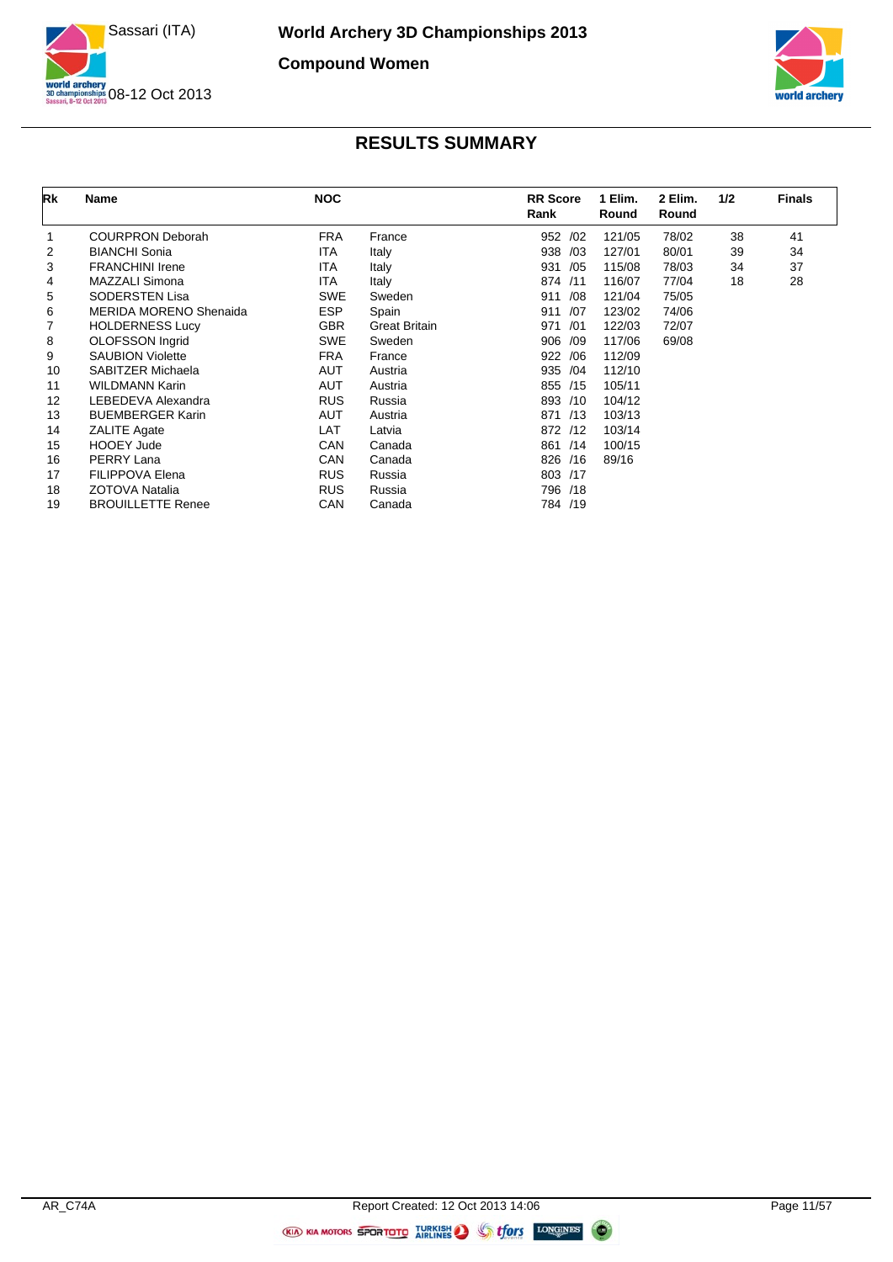



| Rk | Name                          | <b>NOC</b> |                      | <b>RR</b> Score<br>Rank | 1 Elim.<br>Round | 2 Elim.<br>Round | 1/2 | <b>Finals</b> |
|----|-------------------------------|------------|----------------------|-------------------------|------------------|------------------|-----|---------------|
| 1  | <b>COURPRON Deborah</b>       | <b>FRA</b> | France               | 952 /02                 | 121/05           | 78/02            | 38  | 41            |
| 2  | <b>BIANCHI Sonia</b>          | ITA        | Italy                | 938 /03                 | 127/01           | 80/01            | 39  | 34            |
| 3  | <b>FRANCHINI Irene</b>        | <b>ITA</b> | Italy                | 931<br>/05              | 115/08           | 78/03            | 34  | 37            |
| 4  | MAZZALI Simona                | ITA        | Italy                | 874 /11                 | 116/07           | 77/04            | 18  | 28            |
| 5  | <b>SODERSTEN Lisa</b>         | <b>SWE</b> | Sweden               | /08<br>911              | 121/04           | 75/05            |     |               |
| 6  | <b>MERIDA MORENO Shenaida</b> | <b>ESP</b> | Spain                | 911<br>/07              | 123/02           | 74/06            |     |               |
| 7  | <b>HOLDERNESS Lucy</b>        | <b>GBR</b> | <b>Great Britain</b> | 971<br>/01              | 122/03           | 72/07            |     |               |
| 8  | OLOFSSON Ingrid               | <b>SWE</b> | Sweden               | 906 /09                 | 117/06           | 69/08            |     |               |
| 9  | <b>SAUBION Violette</b>       | <b>FRA</b> | France               | 922 / 06                | 112/09           |                  |     |               |
| 10 | SABITZER Michaela             | <b>AUT</b> | Austria              | 935 /04                 | 112/10           |                  |     |               |
| 11 | WILDMANN Karin                | AUT        | Austria              | 855 /15                 | 105/11           |                  |     |               |
| 12 | LEBEDEVA Alexandra            | <b>RUS</b> | Russia               | 893 /10                 | 104/12           |                  |     |               |
| 13 | <b>BUEMBERGER Karin</b>       | <b>AUT</b> | Austria              | 871 /13                 | 103/13           |                  |     |               |
| 14 | <b>ZALITE Agate</b>           | LAT        | Latvia               | 872 /12                 | 103/14           |                  |     |               |
| 15 | <b>HOOEY Jude</b>             | CAN        | Canada               | 861 /14                 | 100/15           |                  |     |               |
| 16 | PERRY Lana                    | CAN        | Canada               | 826 /16                 | 89/16            |                  |     |               |
| 17 | <b>FILIPPOVA Elena</b>        | <b>RUS</b> | Russia               | 803 /17                 |                  |                  |     |               |
| 18 | ZOTOVA Natalia                | <b>RUS</b> | Russia               | 796 /18                 |                  |                  |     |               |
| 19 | <b>BROUILLETTE Renee</b>      | CAN        | Canada               | 784 /19                 |                  |                  |     |               |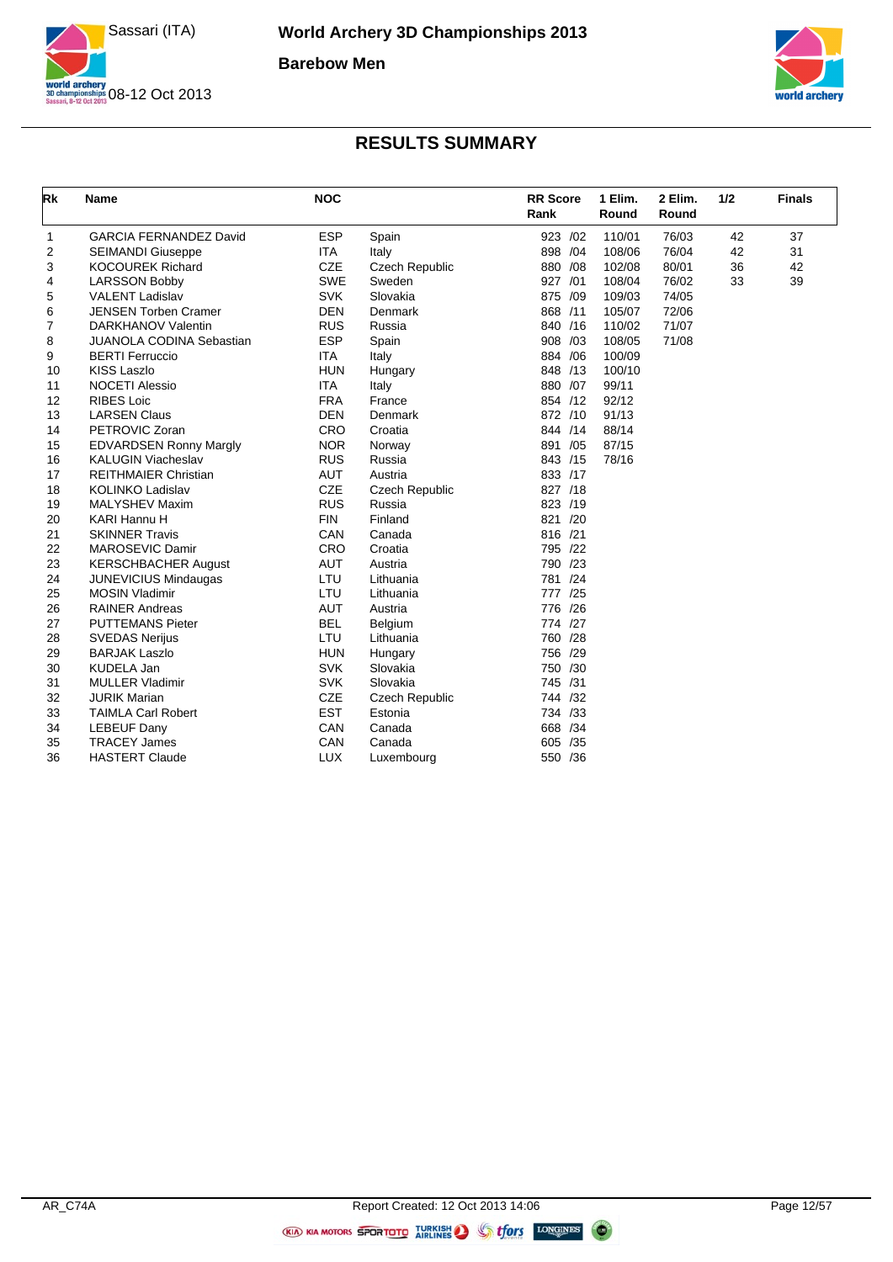



| Rk | <b>Name</b>                     | <b>NOC</b> |                       | <b>RR</b> Score<br>Rank | 1 Elim.<br>Round | 2 Elim.<br>Round | 1/2 | <b>Finals</b> |
|----|---------------------------------|------------|-----------------------|-------------------------|------------------|------------------|-----|---------------|
| 1  | <b>GARCIA FERNANDEZ David</b>   | <b>ESP</b> | Spain                 | 923 /02                 | 110/01           | 76/03            | 42  | 37            |
| 2  | <b>SEIMANDI Giuseppe</b>        | <b>ITA</b> | Italy                 | 898 / 04                | 108/06           | 76/04            | 42  | 31            |
| 3  | <b>KOCOUREK Richard</b>         | <b>CZE</b> | Czech Republic        | 880 / 08                | 102/08           | 80/01            | 36  | 42            |
| 4  | <b>LARSSON Bobby</b>            | <b>SWE</b> | Sweden                | 927 /01                 | 108/04           | 76/02            | 33  | 39            |
| 5  | <b>VALENT Ladislav</b>          | <b>SVK</b> | Slovakia              | 875 /09                 | 109/03           | 74/05            |     |               |
| 6  | <b>JENSEN Torben Cramer</b>     | <b>DEN</b> | <b>Denmark</b>        | 868 /11                 | 105/07           | 72/06            |     |               |
| 7  | <b>DARKHANOV Valentin</b>       | <b>RUS</b> | Russia                | 840 /16                 | 110/02           | 71/07            |     |               |
| 8  | <b>JUANOLA CODINA Sebastian</b> | <b>ESP</b> | Spain                 | 908 /03                 | 108/05           | 71/08            |     |               |
| 9  | <b>BERTI Ferruccio</b>          | <b>ITA</b> | Italy                 | 884 / 06                | 100/09           |                  |     |               |
| 10 | <b>KISS Laszlo</b>              | <b>HUN</b> | Hungary               | 848 /13                 | 100/10           |                  |     |               |
| 11 | <b>NOCETI Alessio</b>           | <b>ITA</b> | Italy                 | 880 /07                 | 99/11            |                  |     |               |
| 12 | <b>RIBES Loic</b>               | <b>FRA</b> | France                | 854 /12                 | 92/12            |                  |     |               |
| 13 | <b>LARSEN Claus</b>             | <b>DEN</b> | Denmark               | 872 /10                 | 91/13            |                  |     |               |
| 14 | PETROVIC Zoran                  | CRO        | Croatia               | 844 /14                 | 88/14            |                  |     |               |
| 15 | EDVARDSEN Ronny Margly          | <b>NOR</b> | Norway                | 891 /05                 | 87/15            |                  |     |               |
| 16 | <b>KALUGIN Viacheslav</b>       | <b>RUS</b> | Russia                | 843 /15                 | 78/16            |                  |     |               |
| 17 | <b>REITHMAIER Christian</b>     | <b>AUT</b> | Austria               | 833 /17                 |                  |                  |     |               |
| 18 | <b>KOLINKO Ladislav</b>         | <b>CZE</b> | <b>Czech Republic</b> | 827 /18                 |                  |                  |     |               |
| 19 | <b>MALYSHEV Maxim</b>           | <b>RUS</b> | Russia                | 823 /19                 |                  |                  |     |               |
| 20 | KARI Hannu H                    | <b>FIN</b> | Finland               | 821 /20                 |                  |                  |     |               |
| 21 | <b>SKINNER Travis</b>           | CAN        | Canada                | 816 /21                 |                  |                  |     |               |
| 22 | MAROSEVIC Damir                 | CRO        | Croatia               | 795 /22                 |                  |                  |     |               |
| 23 | <b>KERSCHBACHER August</b>      | AUT        | Austria               | 790 /23                 |                  |                  |     |               |
| 24 | <b>JUNEVICIUS Mindaugas</b>     | LTU        | Lithuania             | 781 /24                 |                  |                  |     |               |
| 25 | <b>MOSIN Vladimir</b>           | LTU        | Lithuania             | 777 /25                 |                  |                  |     |               |
| 26 | <b>RAINER Andreas</b>           | <b>AUT</b> | Austria               | 776 /26                 |                  |                  |     |               |
| 27 | <b>PUTTEMANS Pieter</b>         | <b>BEL</b> | Belgium               | 774 /27                 |                  |                  |     |               |
| 28 | <b>SVEDAS Nerijus</b>           | LTU        | Lithuania             | 760 /28                 |                  |                  |     |               |
| 29 | <b>BARJAK Laszlo</b>            | <b>HUN</b> | Hungary               | 756 /29                 |                  |                  |     |               |
| 30 | <b>KUDELA Jan</b>               | <b>SVK</b> | Slovakia              | 750 /30                 |                  |                  |     |               |
| 31 | <b>MULLER Vladimir</b>          | <b>SVK</b> | Slovakia              | 745 /31                 |                  |                  |     |               |
| 32 | <b>JURIK Marian</b>             | <b>CZE</b> | <b>Czech Republic</b> | 744 /32                 |                  |                  |     |               |
| 33 | <b>TAIMLA Carl Robert</b>       | <b>EST</b> | Estonia               | 734 /33                 |                  |                  |     |               |
| 34 | <b>LEBEUF Dany</b>              | CAN        | Canada                | 668 /34                 |                  |                  |     |               |
| 35 | <b>TRACEY James</b>             | CAN        | Canada                | 605 /35                 |                  |                  |     |               |
| 36 | <b>HASTERT Claude</b>           | <b>LUX</b> | Luxembourg            | 550 /36                 |                  |                  |     |               |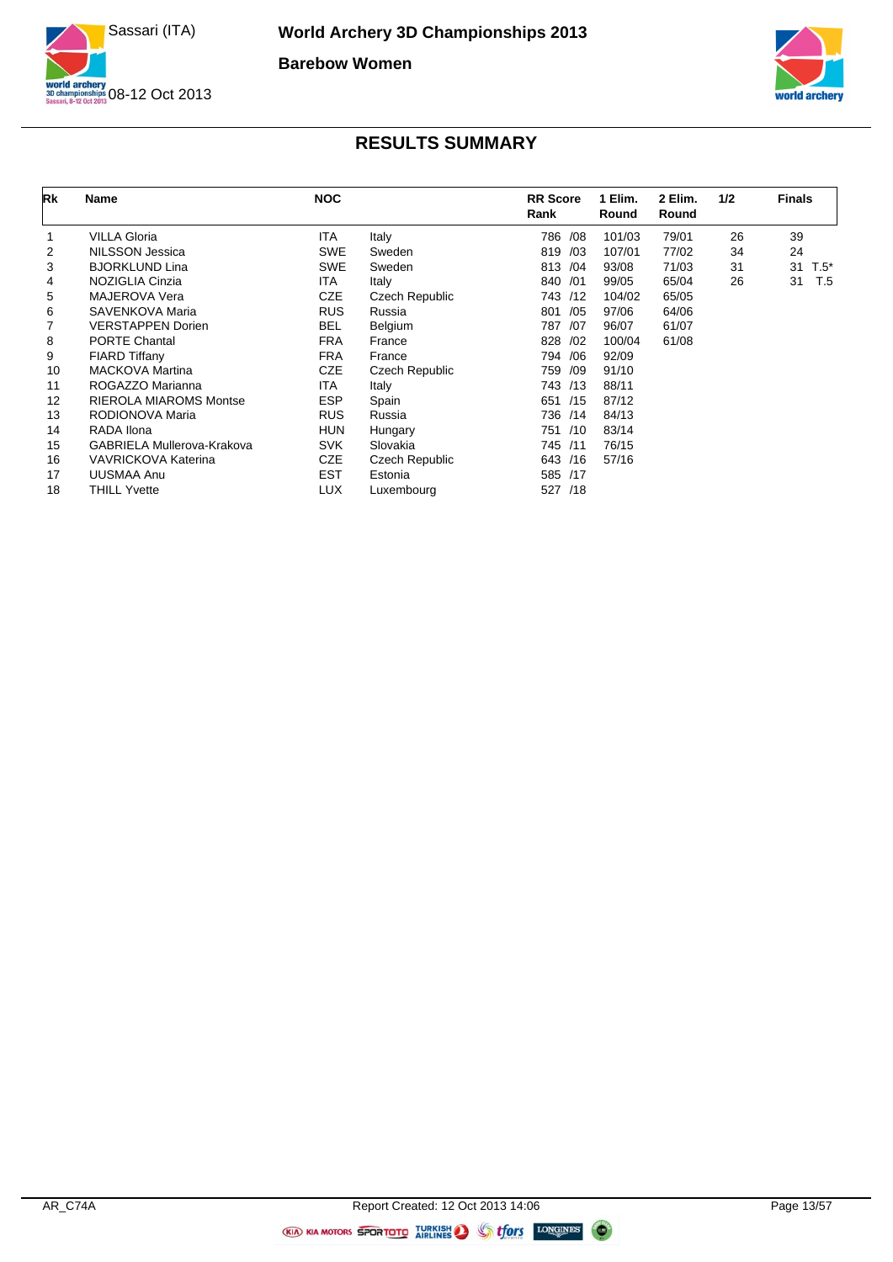



| Rk | Name                              | <b>NOC</b> |                | <b>RR</b> Score<br>Rank | 1 Elim.<br>Round | 2 Elim.<br>Round | 1/2 | <b>Finals</b> |
|----|-----------------------------------|------------|----------------|-------------------------|------------------|------------------|-----|---------------|
|    | <b>VILLA Gloria</b>               | <b>ITA</b> | Italy          | 786 / 08                | 101/03           | 79/01            | 26  | 39            |
| 2  | NILSSON Jessica                   | <b>SWE</b> | Sweden         | 819<br>/03              | 107/01           | 77/02            | 34  | 24            |
| 3  | <b>BJORKLUND Lina</b>             | <b>SWE</b> | Sweden         | 813 / 04                | 93/08            | 71/03            | 31  | 31<br>$T.5^*$ |
| 4  | NOZIGLIA Cinzia                   | <b>ITA</b> | Italy          | 840 /01                 | 99/05            | 65/04            | 26  | 31<br>T.5     |
| 5  | MAJEROVA Vera                     | <b>CZE</b> | Czech Republic | 743 /12                 | 104/02           | 65/05            |     |               |
| 6  | SAVENKOVA Maria                   | <b>RUS</b> | Russia         | /05<br>801              | 97/06            | 64/06            |     |               |
|    | <b>VERSTAPPEN Dorien</b>          | <b>BEL</b> | Belgium        | 787<br>/07              | 96/07            | 61/07            |     |               |
| 8  | <b>PORTE Chantal</b>              | <b>FRA</b> | France         | 828<br>/02              | 100/04           | 61/08            |     |               |
| 9  | FIARD Tiffany                     | <b>FRA</b> | France         | 794 / 06                | 92/09            |                  |     |               |
| 10 | <b>MACKOVA Martina</b>            | CZE        | Czech Republic | 759<br>/09              | 91/10            |                  |     |               |
| 11 | ROGAZZO Marianna                  | <b>ITA</b> | Italy          | 743 /13                 | 88/11            |                  |     |               |
| 12 | <b>RIEROLA MIAROMS Montse</b>     | <b>ESP</b> | Spain          | 651 /15                 | 87/12            |                  |     |               |
| 13 | RODIONOVA Maria                   | <b>RUS</b> | Russia         | 736 /14                 | 84/13            |                  |     |               |
| 14 | RADA Ilona                        | <b>HUN</b> | Hungary        | 751 /10                 | 83/14            |                  |     |               |
| 15 | <b>GABRIELA Mullerova-Krakova</b> | <b>SVK</b> | Slovakia       | 745 /11                 | 76/15            |                  |     |               |
| 16 | <b>VAVRICKOVA Katerina</b>        | <b>CZE</b> | Czech Republic | 643 /16                 | 57/16            |                  |     |               |
| 17 | UUSMAA Anu                        | <b>EST</b> | Estonia        | 585 /17                 |                  |                  |     |               |
| 18 | <b>THILL Yvette</b>               | LUX        | Luxembourg     | 527 /18                 |                  |                  |     |               |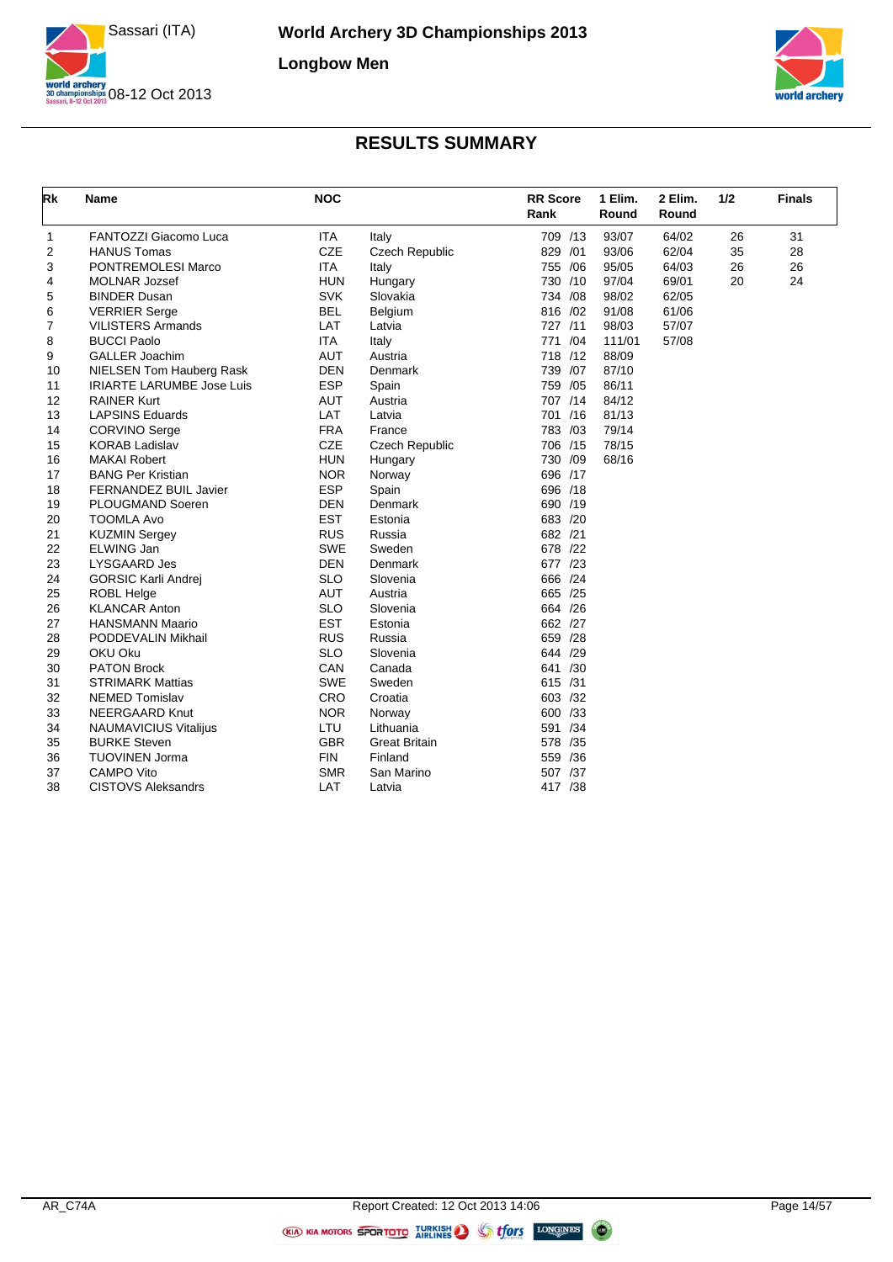



| Rk | <b>Name</b>                      | <b>NOC</b> |                       | <b>RR</b> Score<br>Rank | 1 Elim.<br>Round | 2 Elim.<br>Round | 1/2 | <b>Finals</b> |
|----|----------------------------------|------------|-----------------------|-------------------------|------------------|------------------|-----|---------------|
| 1  | FANTOZZI Giacomo Luca            | <b>ITA</b> | Italy                 | 709 /13                 | 93/07            | 64/02            | 26  | 31            |
| 2  | <b>HANUS Tomas</b>               | <b>CZE</b> | Czech Republic        | 829 /01                 | 93/06            | 62/04            | 35  | 28            |
| 3  | PONTREMOLESI Marco               | <b>ITA</b> | Italy                 | 755 /06                 | 95/05            | 64/03            | 26  | 26            |
| 4  | <b>MOLNAR Jozsef</b>             | <b>HUN</b> | Hungary               | 730 /10                 | 97/04            | 69/01            | 20  | 24            |
| 5  | <b>BINDER Dusan</b>              | <b>SVK</b> | Slovakia              | 734 /08                 | 98/02            | 62/05            |     |               |
| 6  | <b>VERRIER Serge</b>             | <b>BEL</b> | Belgium               | 816 /02                 | 91/08            | 61/06            |     |               |
| 7  | <b>VILISTERS Armands</b>         | LAT        | Latvia                | 727 /11                 | 98/03            | 57/07            |     |               |
| 8  | <b>BUCCI Paolo</b>               | <b>ITA</b> | Italy                 | 771 /04                 | 111/01           | 57/08            |     |               |
| 9  | <b>GALLER Joachim</b>            | AUT        | Austria               | 718 /12                 | 88/09            |                  |     |               |
| 10 | NIELSEN Tom Hauberg Rask         | <b>DEN</b> | Denmark               | 739 /07                 | 87/10            |                  |     |               |
| 11 | <b>IRIARTE LARUMBE Jose Luis</b> | <b>ESP</b> | Spain                 | 759 /05                 | 86/11            |                  |     |               |
| 12 | <b>RAINER Kurt</b>               | <b>AUT</b> | Austria               | 707 /14                 | 84/12            |                  |     |               |
| 13 | <b>LAPSINS Eduards</b>           | LAT        | Latvia                | 701 /16                 | 81/13            |                  |     |               |
| 14 | <b>CORVINO Serge</b>             | <b>FRA</b> | France                | 783 /03                 | 79/14            |                  |     |               |
| 15 | <b>KORAB Ladislav</b>            | CZE        | <b>Czech Republic</b> | 706 /15                 | 78/15            |                  |     |               |
| 16 | <b>MAKAI Robert</b>              | <b>HUN</b> | Hungary               | 730 /09                 | 68/16            |                  |     |               |
| 17 | <b>BANG Per Kristian</b>         | <b>NOR</b> | Norway                | 696 /17                 |                  |                  |     |               |
| 18 | FERNANDEZ BUIL Javier            | <b>ESP</b> | Spain                 | 696 /18                 |                  |                  |     |               |
| 19 | PLOUGMAND Soeren                 | <b>DEN</b> | Denmark               | 690 /19                 |                  |                  |     |               |
| 20 | <b>TOOMLA Avo</b>                | <b>EST</b> | Estonia               | 683 /20                 |                  |                  |     |               |
| 21 | <b>KUZMIN Sergey</b>             | <b>RUS</b> | Russia                | 682 /21                 |                  |                  |     |               |
| 22 | ELWING Jan                       | <b>SWE</b> | Sweden                | 678 /22                 |                  |                  |     |               |
| 23 | LYSGAARD Jes                     | <b>DEN</b> | Denmark               | 677 /23                 |                  |                  |     |               |
| 24 | <b>GORSIC Karli Andrej</b>       | <b>SLO</b> | Slovenia              | 666 /24                 |                  |                  |     |               |
| 25 | <b>ROBL Helge</b>                | AUT        | Austria               | 665 /25                 |                  |                  |     |               |
| 26 | <b>KLANCAR Anton</b>             | <b>SLO</b> | Slovenia              | 664 /26                 |                  |                  |     |               |
| 27 | <b>HANSMANN Maario</b>           | <b>EST</b> | Estonia               | 662 /27                 |                  |                  |     |               |
| 28 | PODDEVALIN Mikhail               | <b>RUS</b> | Russia                | 659 /28                 |                  |                  |     |               |
| 29 | OKU Oku                          | <b>SLO</b> | Slovenia              | 644 /29                 |                  |                  |     |               |
| 30 | <b>PATON Brock</b>               | CAN        | Canada                | 641 /30                 |                  |                  |     |               |
| 31 | <b>STRIMARK Mattias</b>          | <b>SWE</b> | Sweden                | 615 /31                 |                  |                  |     |               |
| 32 | <b>NEMED Tomislav</b>            | CRO        | Croatia               | 603 /32                 |                  |                  |     |               |
| 33 | <b>NEERGAARD Knut</b>            | <b>NOR</b> | Norway                | 600 /33                 |                  |                  |     |               |
| 34 | <b>NAUMAVICIUS Vitalijus</b>     | LTU        | Lithuania             | 591 /34                 |                  |                  |     |               |
| 35 | <b>BURKE Steven</b>              | <b>GBR</b> | <b>Great Britain</b>  | 578 /35                 |                  |                  |     |               |
| 36 | <b>TUOVINEN Jorma</b>            | <b>FIN</b> | Finland               | 559 /36                 |                  |                  |     |               |
| 37 | <b>CAMPO Vito</b>                | <b>SMR</b> | San Marino            | 507 /37                 |                  |                  |     |               |
| 38 | <b>CISTOVS Aleksandrs</b>        | LAT        | Latvia                | 417 /38                 |                  |                  |     |               |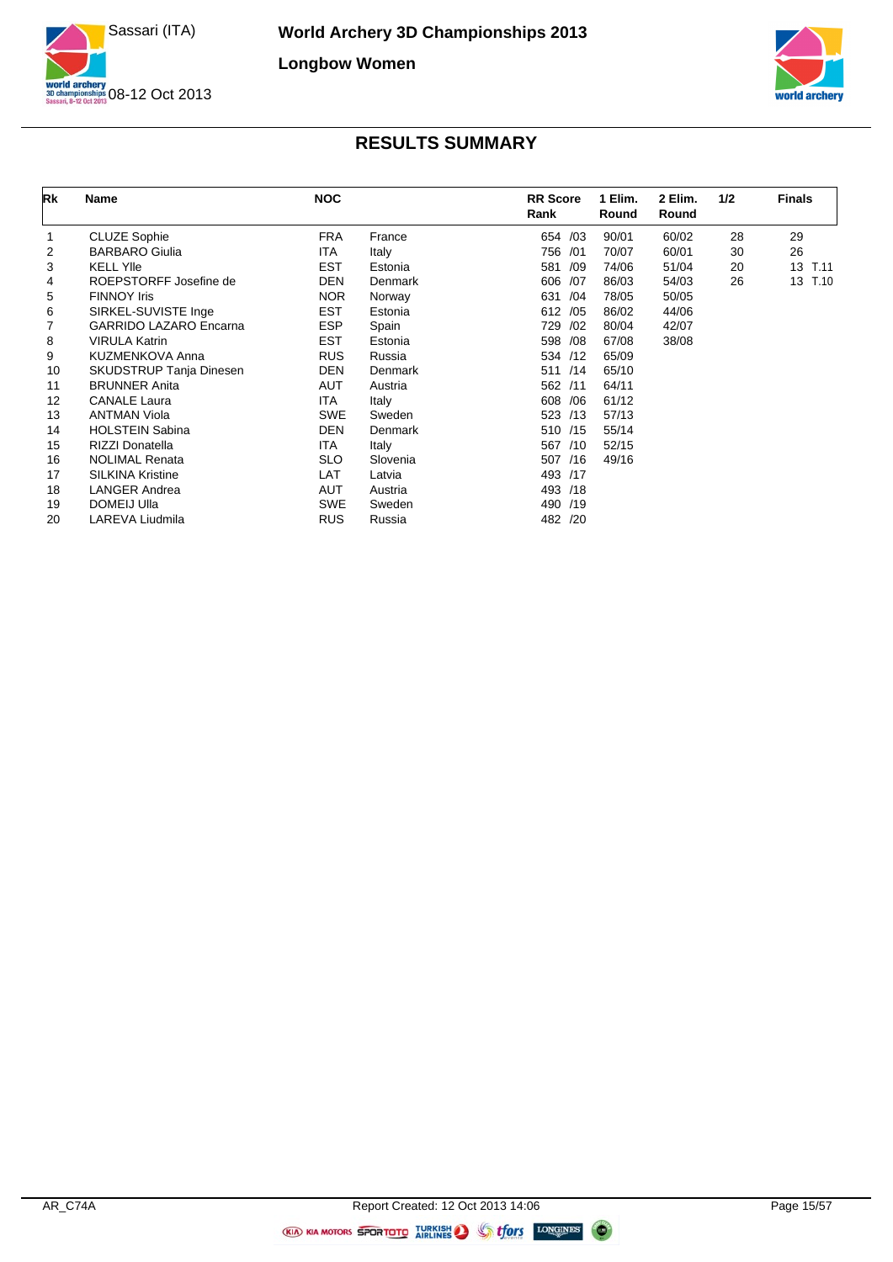



| Rk | Name                          | <b>NOC</b> |          | <b>RR</b> Score<br>Rank | 1 Elim.<br>Round | 2 Elim.<br>Round | 1/2 | <b>Finals</b>           |
|----|-------------------------------|------------|----------|-------------------------|------------------|------------------|-----|-------------------------|
|    | <b>CLUZE Sophie</b>           | <b>FRA</b> | France   | 654 /03                 | 90/01            | 60/02            | 28  | 29                      |
| 2  | <b>BARBARO Giulia</b>         | ITA        | Italy    | 756 /01                 | 70/07            | 60/01            | 30  | 26                      |
| 3  | <b>KELL YIIe</b>              | <b>EST</b> | Estonia  | 581<br>/09              | 74/06            | 51/04            | 20  | 13 <sup>2</sup><br>T.11 |
| 4  | ROEPSTORFF Josefine de        | <b>DEN</b> | Denmark  | 606<br>/07              | 86/03            | 54/03            | 26  | 13<br>T.10              |
| 5  | <b>FINNOY Iris</b>            | <b>NOR</b> | Norway   | /04<br>631              | 78/05            | 50/05            |     |                         |
| 6  | SIRKEL-SUVISTE Inge           | <b>EST</b> | Estonia  | 612 /05                 | 86/02            | 44/06            |     |                         |
| 7  | <b>GARRIDO LAZARO Encarna</b> | <b>ESP</b> | Spain    | 729<br>/02              | 80/04            | 42/07            |     |                         |
| 8  | <b>VIRULA Katrin</b>          | <b>EST</b> | Estonia  | 598 /08                 | 67/08            | 38/08            |     |                         |
| 9  | KUZMENKOVA Anna               | <b>RUS</b> | Russia   | 534 /12                 | 65/09            |                  |     |                         |
| 10 | SKUDSTRUP Tanja Dinesen       | <b>DEN</b> | Denmark  | 511 /14                 | 65/10            |                  |     |                         |
| 11 | <b>BRUNNER Anita</b>          | <b>AUT</b> | Austria  | 562 /11                 | 64/11            |                  |     |                         |
| 12 | <b>CANALE Laura</b>           | ITA        | Italy    | 608 / 06                | 61/12            |                  |     |                         |
| 13 | <b>ANTMAN Viola</b>           | <b>SWE</b> | Sweden   | 523 /13                 | 57/13            |                  |     |                         |
| 14 | <b>HOLSTEIN Sabina</b>        | <b>DEN</b> | Denmark  | 510 /15                 | 55/14            |                  |     |                         |
| 15 | <b>RIZZI Donatella</b>        | ITA        | Italy    | 567 /10                 | 52/15            |                  |     |                         |
| 16 | <b>NOLIMAL Renata</b>         | <b>SLO</b> | Slovenia | 507 /16                 | 49/16            |                  |     |                         |
| 17 | <b>SILKINA Kristine</b>       | LAT        | Latvia   | 493 /17                 |                  |                  |     |                         |
| 18 | <b>LANGER Andrea</b>          | AUT        | Austria  | 493 /18                 |                  |                  |     |                         |
| 19 | <b>DOMEIJ Ulla</b>            | <b>SWE</b> | Sweden   | 490 /19                 |                  |                  |     |                         |
| 20 | LAREVA Liudmila               | <b>RUS</b> | Russia   | 482 /20                 |                  |                  |     |                         |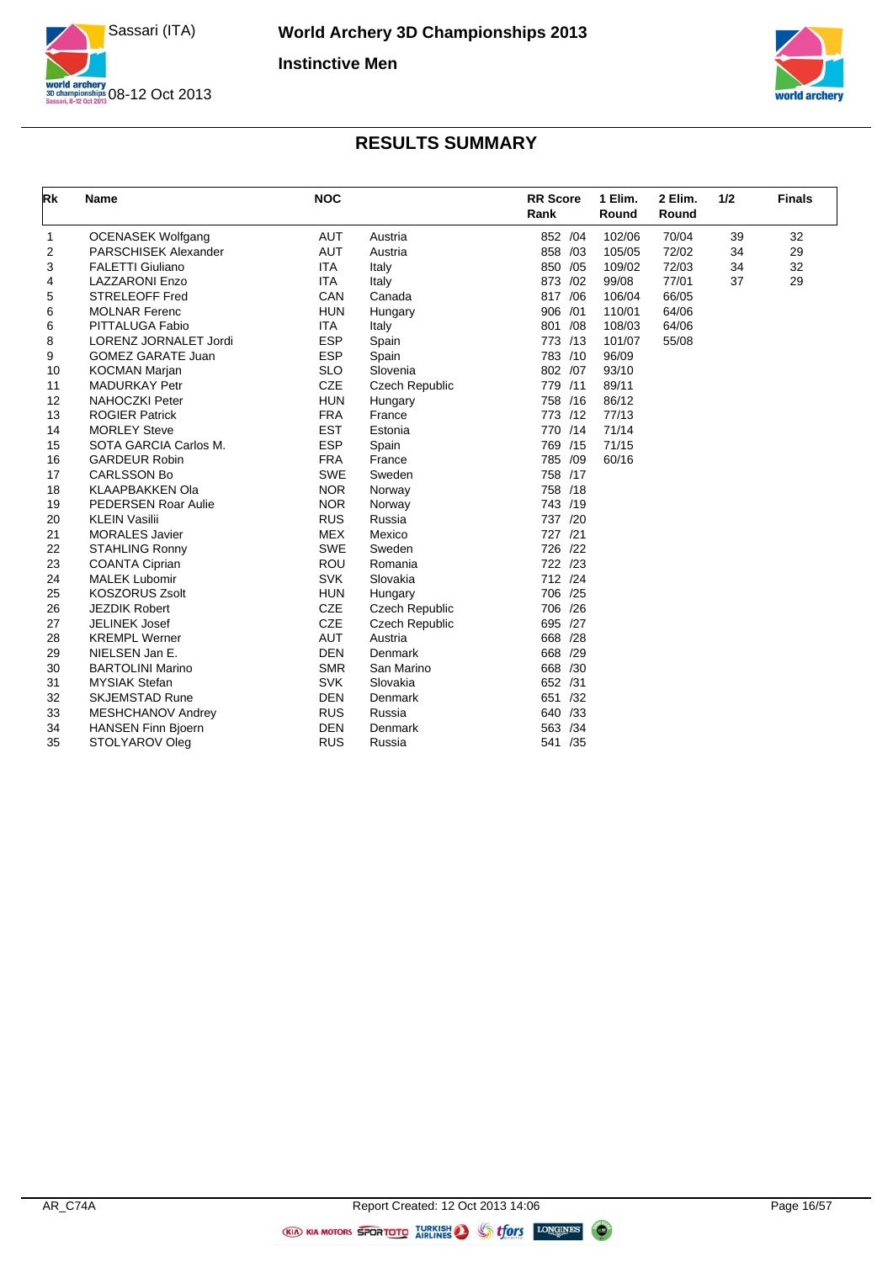



| Rk                      | <b>Name</b>                  | <b>NOC</b> |                       | <b>RR</b> Score<br>Rank | 1 Elim.<br>Round | 2 Elim.<br>Round | 1/2 | <b>Finals</b> |
|-------------------------|------------------------------|------------|-----------------------|-------------------------|------------------|------------------|-----|---------------|
| 1                       | <b>OCENASEK Wolfgang</b>     | <b>AUT</b> | Austria               | 852 /04                 | 102/06           | 70/04            | 39  | 32            |
| $\overline{\mathbf{c}}$ | PARSCHISEK Alexander         | <b>AUT</b> | Austria               | 858 /03                 | 105/05           | 72/02            | 34  | 29            |
| 3                       | <b>FALETTI Giuliano</b>      | <b>ITA</b> | Italy                 | 850 /05                 | 109/02           | 72/03            | 34  | 32            |
| 4                       | <b>LAZZARONI Enzo</b>        | <b>ITA</b> | Italy                 | 873 /02                 | 99/08            | 77/01            | 37  | 29            |
| 5                       | <b>STRELEOFF Fred</b>        | CAN        | Canada                | 817 / 06                | 106/04           | 66/05            |     |               |
| 6                       | <b>MOLNAR Ferenc</b>         | <b>HUN</b> | Hungary               | 906 /01                 | 110/01           | 64/06            |     |               |
| 6                       | PITTALUGA Fabio              | <b>ITA</b> | Italy                 | 801 /08                 | 108/03           | 64/06            |     |               |
| 8                       | <b>LORENZ JORNALET Jordi</b> | <b>ESP</b> | Spain                 | 773 /13                 | 101/07           | 55/08            |     |               |
| 9                       | <b>GOMEZ GARATE Juan</b>     | <b>ESP</b> | Spain                 | 783 /10                 | 96/09            |                  |     |               |
| 10                      | <b>KOCMAN Marjan</b>         | <b>SLO</b> | Slovenia              | 802 /07                 | 93/10            |                  |     |               |
| 11                      | <b>MADURKAY Petr</b>         | <b>CZE</b> | Czech Republic        | 779 /11                 | 89/11            |                  |     |               |
| 12                      | <b>NAHOCZKI Peter</b>        | <b>HUN</b> | Hungary               | 758 /16                 | 86/12            |                  |     |               |
| 13                      | <b>ROGIER Patrick</b>        | <b>FRA</b> | France                | 773 /12                 | 77/13            |                  |     |               |
| 14                      | <b>MORLEY Steve</b>          | <b>EST</b> | Estonia               | 770 /14                 | 71/14            |                  |     |               |
| 15                      | SOTA GARCIA Carlos M.        | <b>ESP</b> | Spain                 | 769 /15                 | 71/15            |                  |     |               |
| 16                      | <b>GARDEUR Robin</b>         | <b>FRA</b> | France                | 785 /09                 | 60/16            |                  |     |               |
| 17                      | <b>CARLSSON Bo</b>           | <b>SWE</b> | Sweden                | 758 /17                 |                  |                  |     |               |
| 18                      | <b>KLAAPBAKKEN Ola</b>       | <b>NOR</b> | Norway                | 758 /18                 |                  |                  |     |               |
| 19                      | PEDERSEN Roar Aulie          | <b>NOR</b> | Norway                | 743 /19                 |                  |                  |     |               |
| 20                      | <b>KLEIN Vasilii</b>         | <b>RUS</b> | Russia                | 737 /20                 |                  |                  |     |               |
| 21                      | <b>MORALES Javier</b>        | <b>MEX</b> | Mexico                | 727 /21                 |                  |                  |     |               |
| 22                      | <b>STAHLING Ronny</b>        | <b>SWE</b> | Sweden                | 726 /22                 |                  |                  |     |               |
| 23                      | <b>COANTA Ciprian</b>        | ROU        | Romania               | 722 /23                 |                  |                  |     |               |
| 24                      | <b>MALEK Lubomir</b>         | <b>SVK</b> | Slovakia              | 712 /24                 |                  |                  |     |               |
| 25                      | <b>KOSZORUS Zsolt</b>        | <b>HUN</b> | Hungary               | 706 /25                 |                  |                  |     |               |
| 26                      | <b>JEZDIK Robert</b>         | <b>CZE</b> | <b>Czech Republic</b> | 706 /26                 |                  |                  |     |               |
| 27                      | <b>JELINEK Josef</b>         | <b>CZE</b> | Czech Republic        | 695 /27                 |                  |                  |     |               |
| 28                      | <b>KREMPL Werner</b>         | <b>AUT</b> | Austria               | 668 /28                 |                  |                  |     |               |
| 29                      | NIELSEN Jan E.               | <b>DEN</b> | Denmark               | 668 /29                 |                  |                  |     |               |
| 30                      | <b>BARTOLINI Marino</b>      | <b>SMR</b> | San Marino            | 668 /30                 |                  |                  |     |               |
| 31                      | <b>MYSIAK Stefan</b>         | <b>SVK</b> | Slovakia              | 652 /31                 |                  |                  |     |               |
| 32                      | <b>SKJEMSTAD Rune</b>        | <b>DEN</b> | Denmark               | 651 /32                 |                  |                  |     |               |
| 33                      | <b>MESHCHANOV Andrey</b>     | <b>RUS</b> | Russia                | 640 /33                 |                  |                  |     |               |
| 34                      | <b>HANSEN Finn Bjoern</b>    | <b>DEN</b> | Denmark               | 563 /34                 |                  |                  |     |               |
| 35                      | STOLYAROV Oleg               | <b>RUS</b> | Russia                | 541 /35                 |                  |                  |     |               |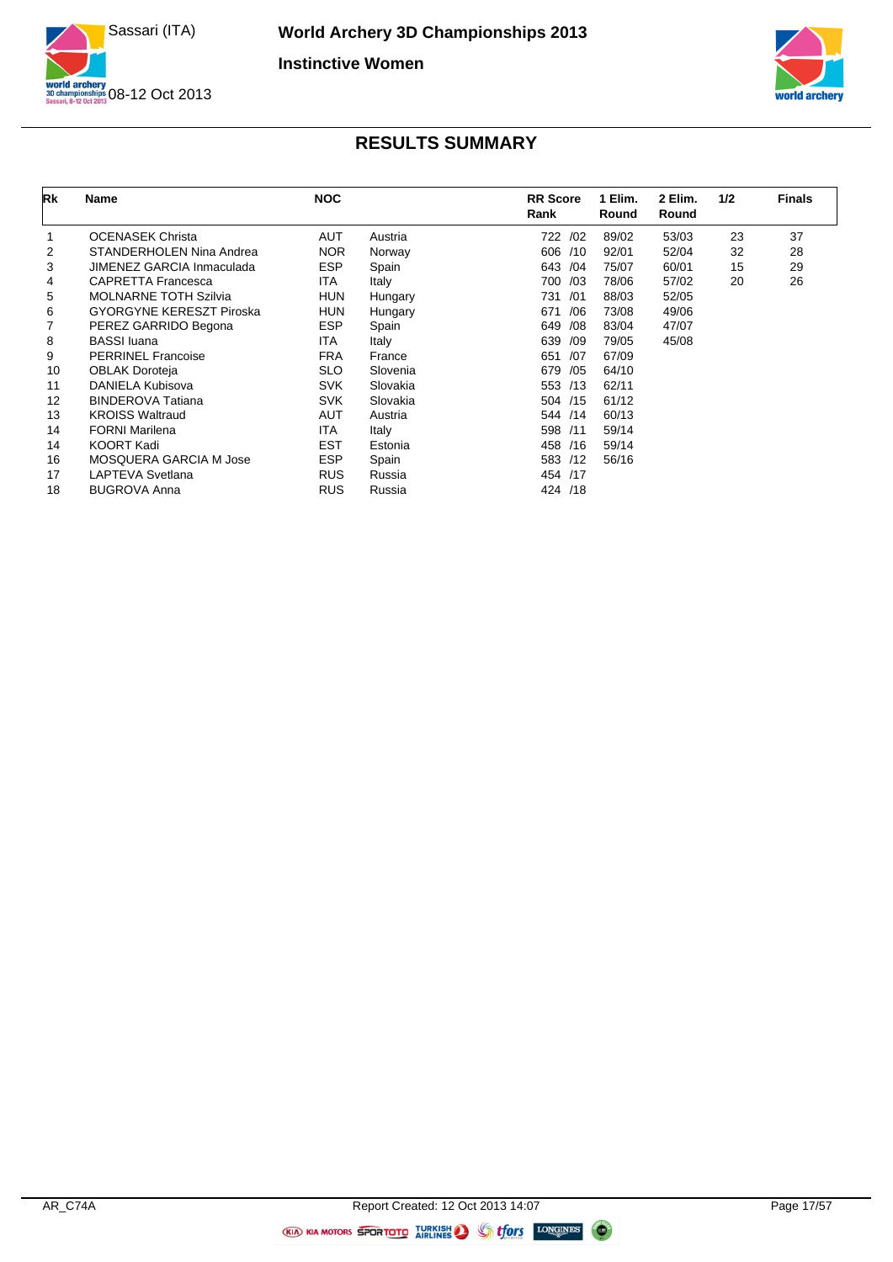



| Rk | Name                            | <b>NOC</b> |          | <b>RR</b> Score<br>Rank | 1 Elim.<br>Round | 2 Elim.<br>Round | 1/2 | <b>Finals</b> |
|----|---------------------------------|------------|----------|-------------------------|------------------|------------------|-----|---------------|
|    | <b>OCENASEK Christa</b>         | <b>AUT</b> | Austria  | 722 /02                 | 89/02            | 53/03            | 23  | 37            |
| 2  | STANDERHOLEN Nina Andrea        | <b>NOR</b> | Norway   | 606 /10                 | 92/01            | 52/04            | 32  | 28            |
| 3  | JIMENEZ GARCIA Inmaculada       | <b>ESP</b> | Spain    | 643 / 04                | 75/07            | 60/01            | 15  | 29            |
| 4  | <b>CAPRETTA Francesca</b>       | ITA        | Italy    | 700 /03                 | 78/06            | 57/02            | 20  | 26            |
| 5  | <b>MOLNARNE TOTH Szilvia</b>    | <b>HUN</b> | Hungary  | 731<br>/01              | 88/03            | 52/05            |     |               |
| 6  | <b>GYORGYNE KERESZT Piroska</b> | <b>HUN</b> | Hungary  | /06<br>671              | 73/08            | 49/06            |     |               |
|    | PEREZ GARRIDO Begona            | <b>ESP</b> | Spain    | /08<br>649              | 83/04            | 47/07            |     |               |
| 8  | <b>BASSI</b> luana              | <b>ITA</b> | Italy    | 639<br>/09              | 79/05            | 45/08            |     |               |
| 9  | <b>PERRINEL Francoise</b>       | <b>FRA</b> | France   | 651<br>/07              | 67/09            |                  |     |               |
| 10 | <b>OBLAK Doroteja</b>           | <b>SLO</b> | Slovenia | 679<br>/05              | 64/10            |                  |     |               |
| 11 | DANIELA Kubisova                | <b>SVK</b> | Slovakia | 553 /13                 | 62/11            |                  |     |               |
| 12 | <b>BINDEROVA Tatiana</b>        | <b>SVK</b> | Slovakia | 504 /15                 | 61/12            |                  |     |               |
| 13 | <b>KROISS Waltraud</b>          | AUT        | Austria  | 544 /14                 | 60/13            |                  |     |               |
| 14 | <b>FORNI Marilena</b>           | <b>ITA</b> | Italy    | 598 /11                 | 59/14            |                  |     |               |
| 14 | <b>KOORT Kadi</b>               | <b>EST</b> | Estonia  | 458 /16                 | 59/14            |                  |     |               |
| 16 | MOSQUERA GARCIA M Jose          | <b>ESP</b> | Spain    | 583 /12                 | 56/16            |                  |     |               |
| 17 | LAPTEVA Svetlana                | <b>RUS</b> | Russia   | 454 /17                 |                  |                  |     |               |
| 18 | <b>BUGROVA Anna</b>             | <b>RUS</b> | Russia   | 424 /18                 |                  |                  |     |               |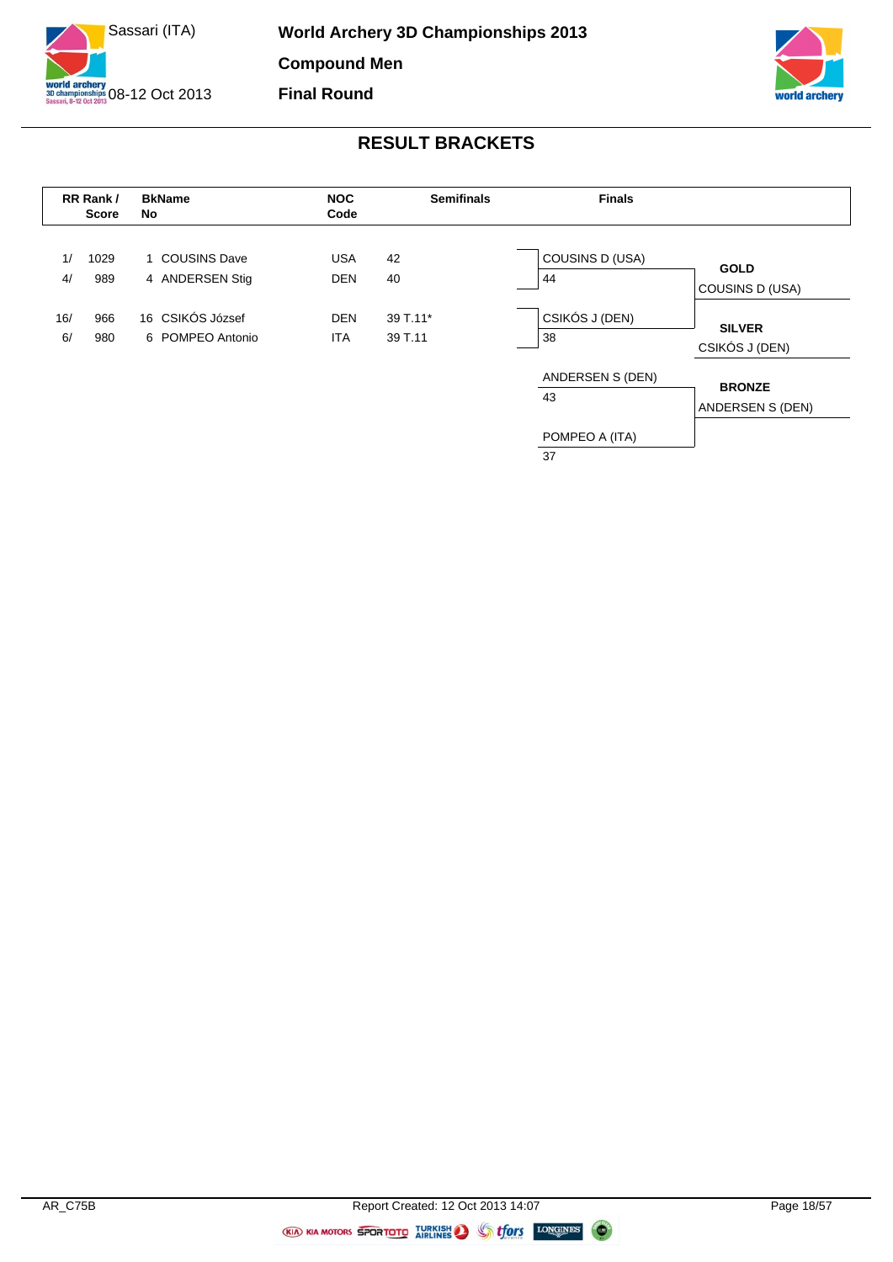



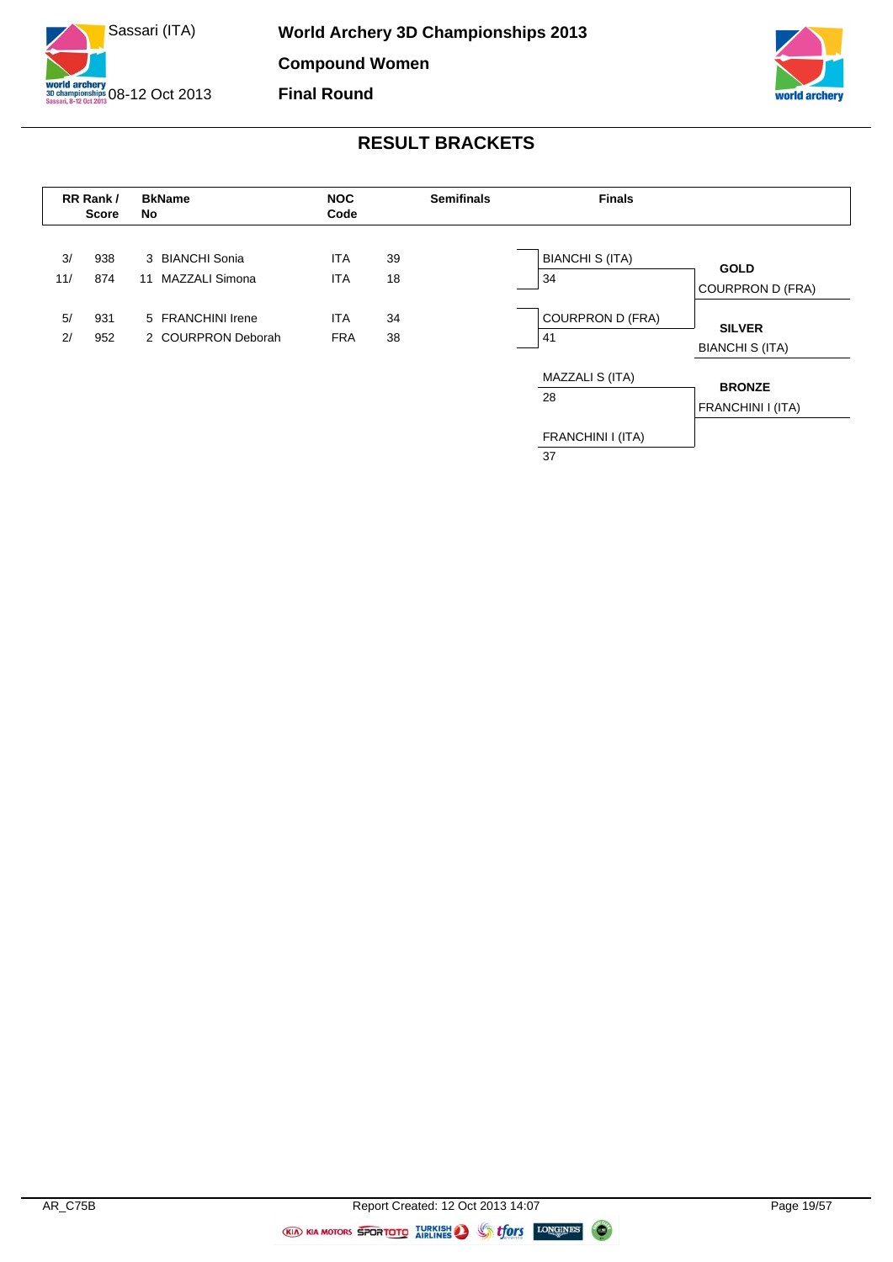





 $\overline{37}$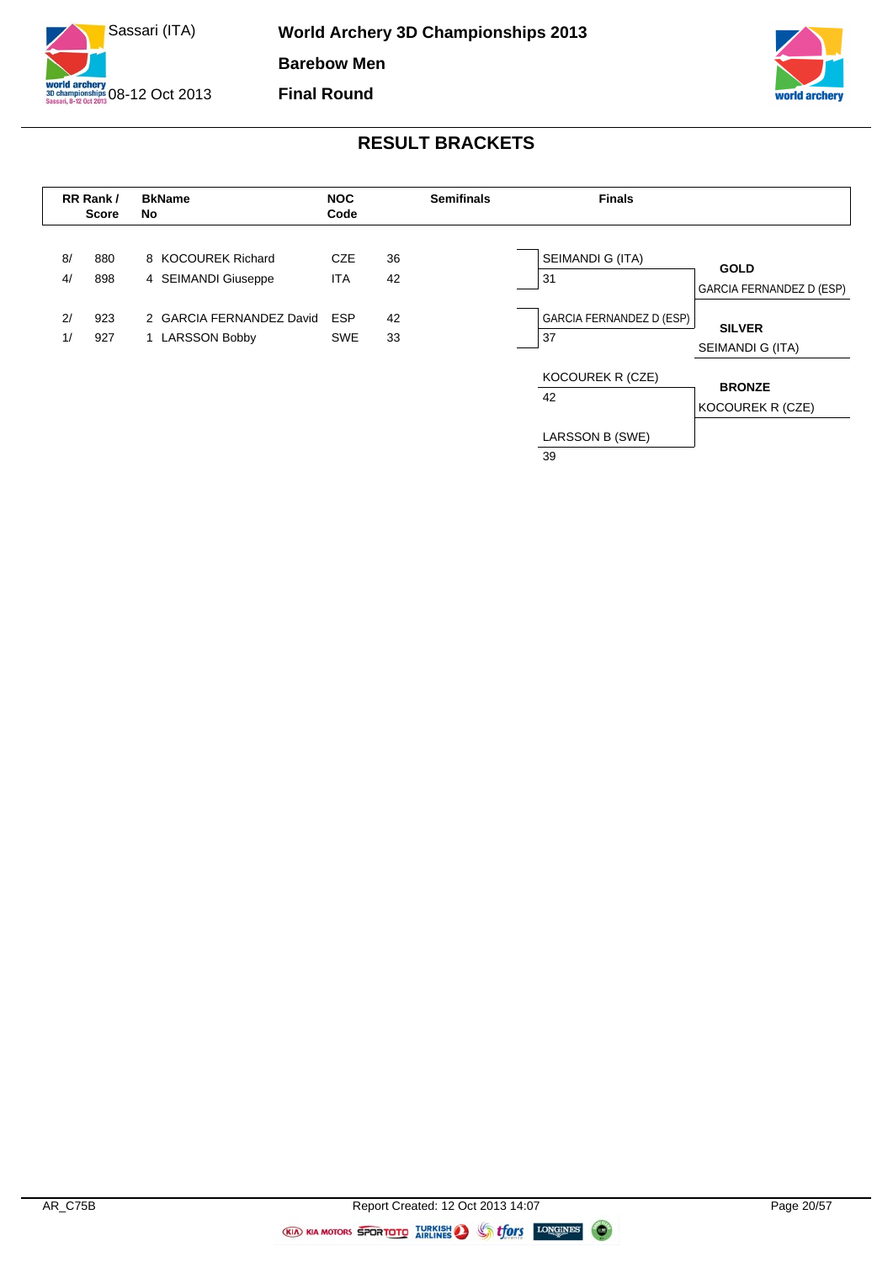





39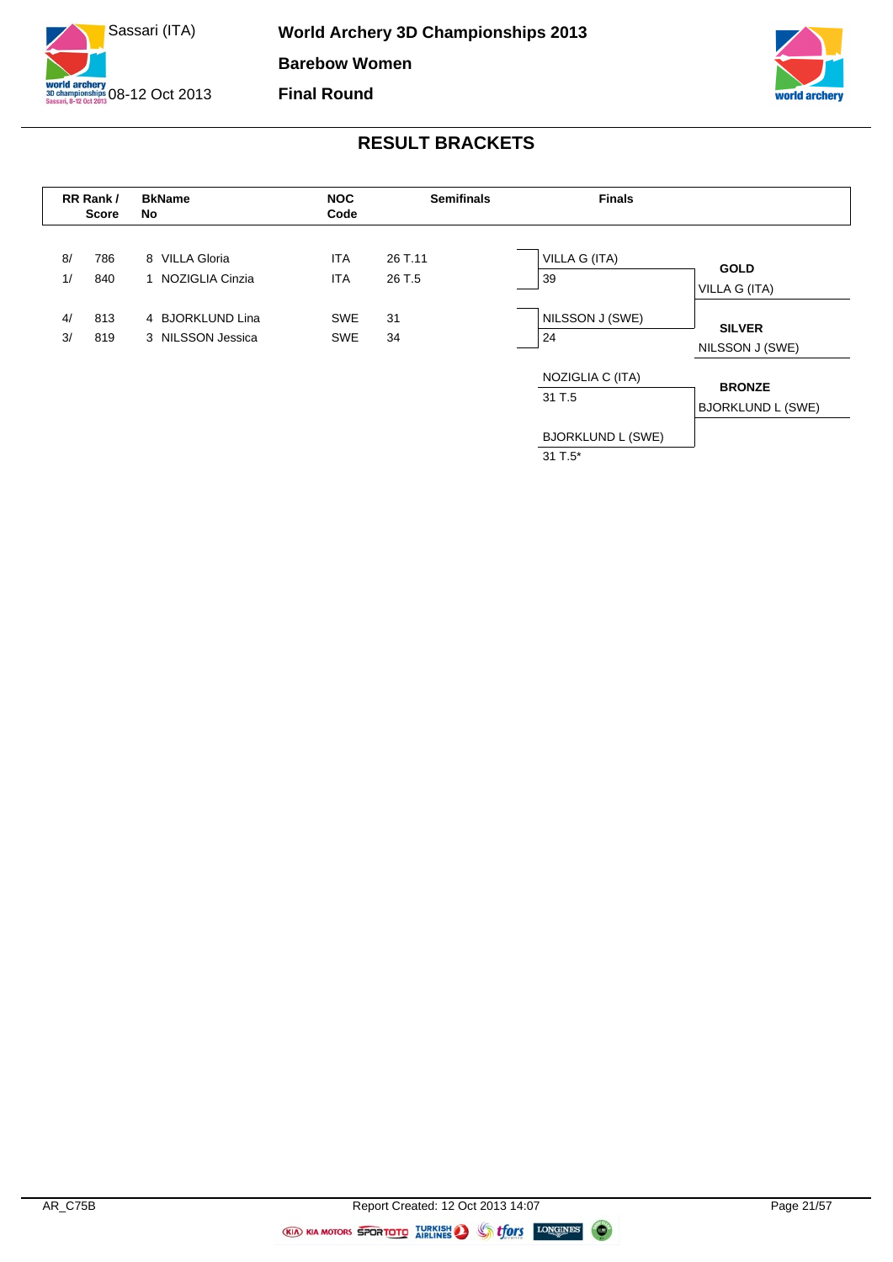



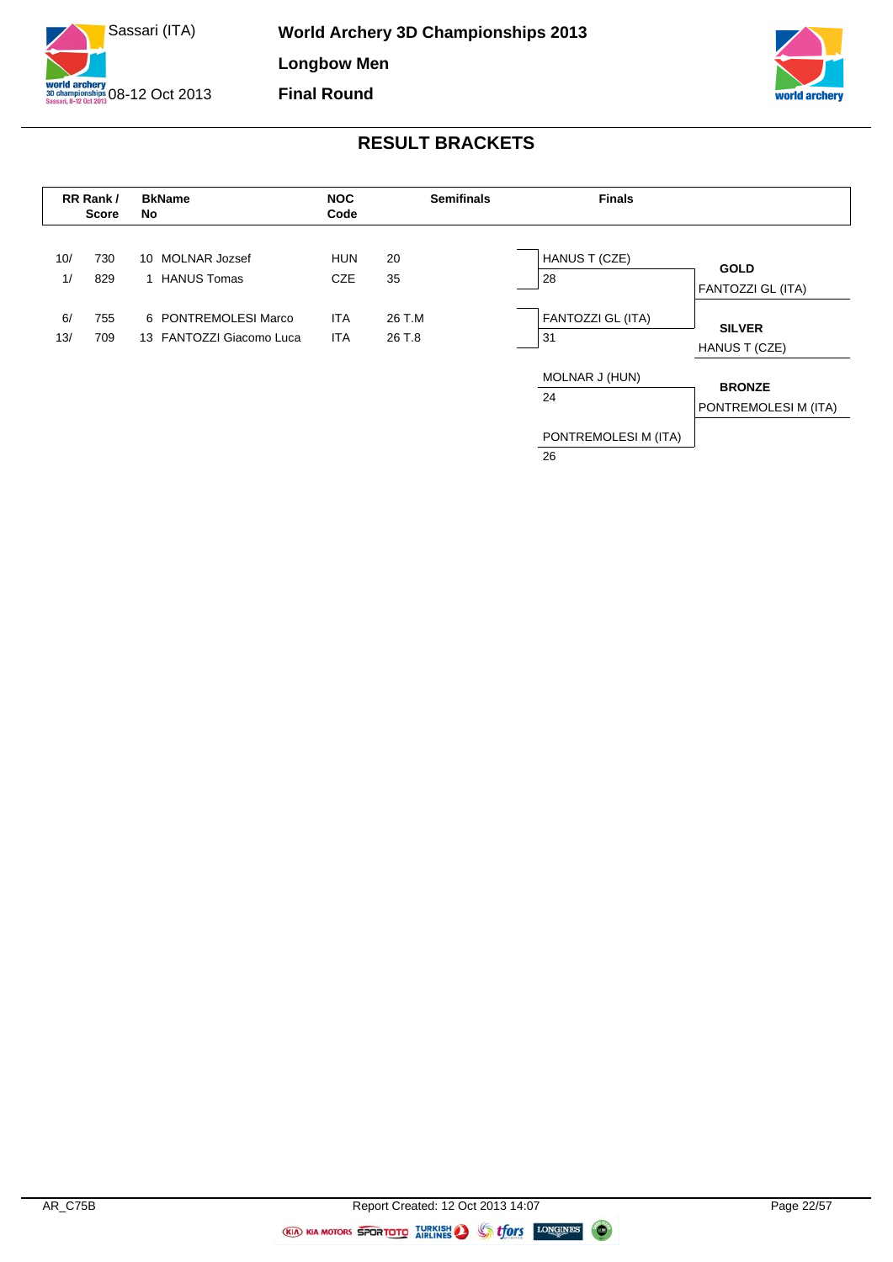



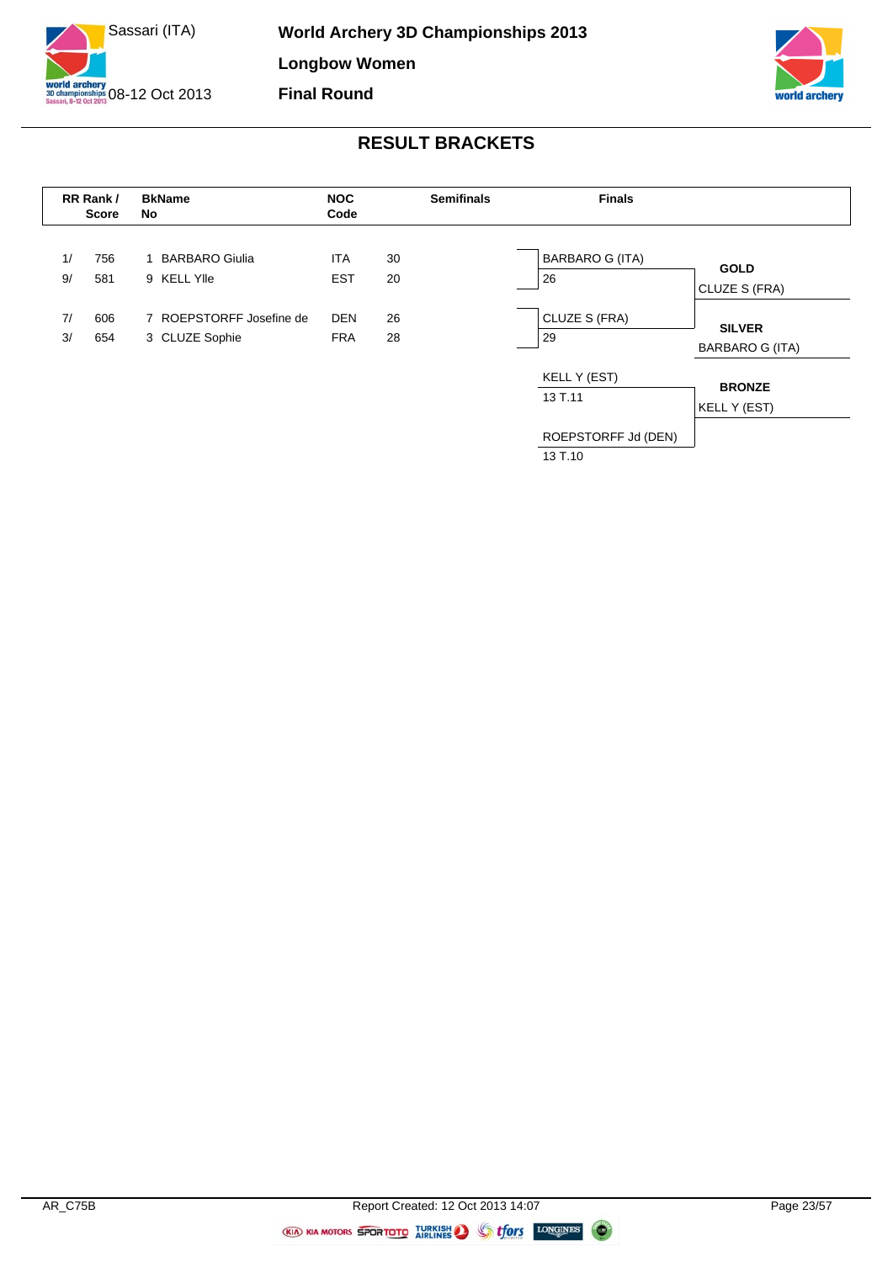



|    | RR Rank/<br><b>Score</b> | <b>BkName</b><br>No      | <b>NOC</b><br>Code |    | <b>Semifinals</b> | <b>Finals</b>           |                               |
|----|--------------------------|--------------------------|--------------------|----|-------------------|-------------------------|-------------------------------|
| 1/ | 756                      | <b>BARBARO Giulia</b>    | <b>ITA</b>         | 30 |                   | <b>BARBARO G (ITA)</b>  | <b>GOLD</b>                   |
| 9/ | 581                      | 9 KELL Ylle              | <b>EST</b>         | 20 |                   | 26                      | CLUZE S (FRA)                 |
| 7/ | 606                      | 7 ROEPSTORFF Josefine de | <b>DEN</b>         | 26 |                   | CLUZE S (FRA)           | <b>SILVER</b>                 |
| 3/ | 654                      | 3 CLUZE Sophie           | <b>FRA</b>         | 28 |                   | 29                      | BARBARO G (ITA)               |
|    |                          |                          |                    |    |                   | KELL Y (EST)<br>13 T.11 | <b>BRONZE</b><br>KELL Y (EST) |

ROEPSTORFF Jd (DEN) 13 T.10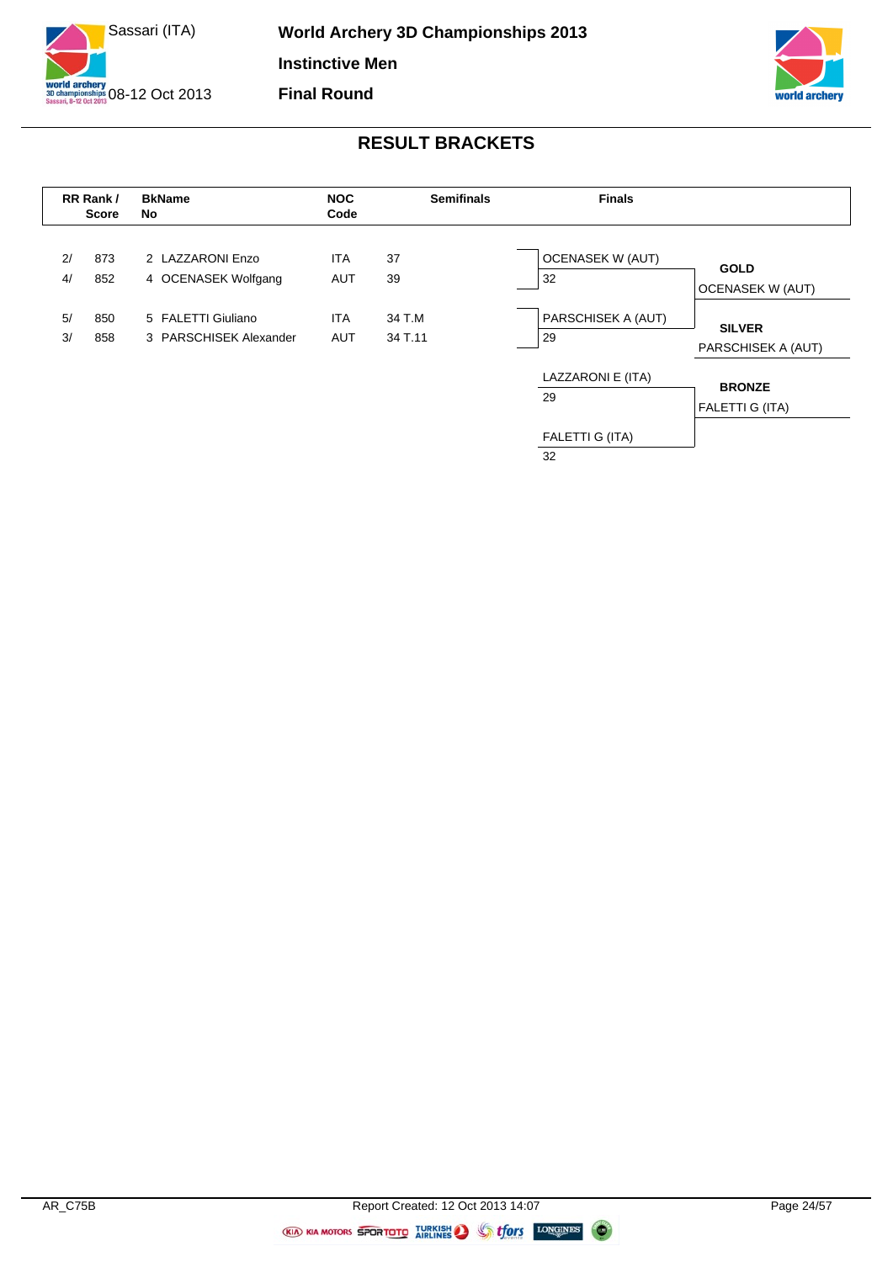



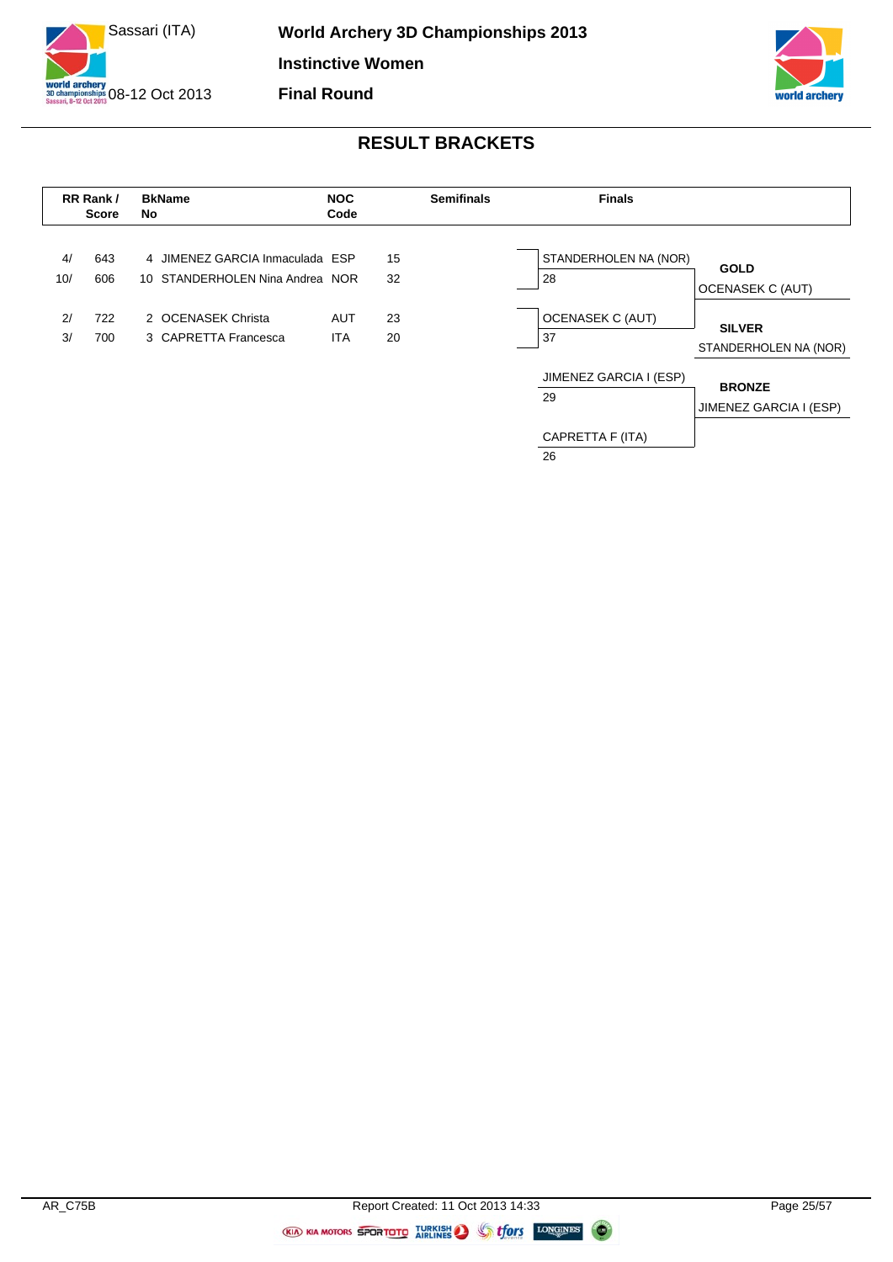





CAPRETTA F (ITA) 26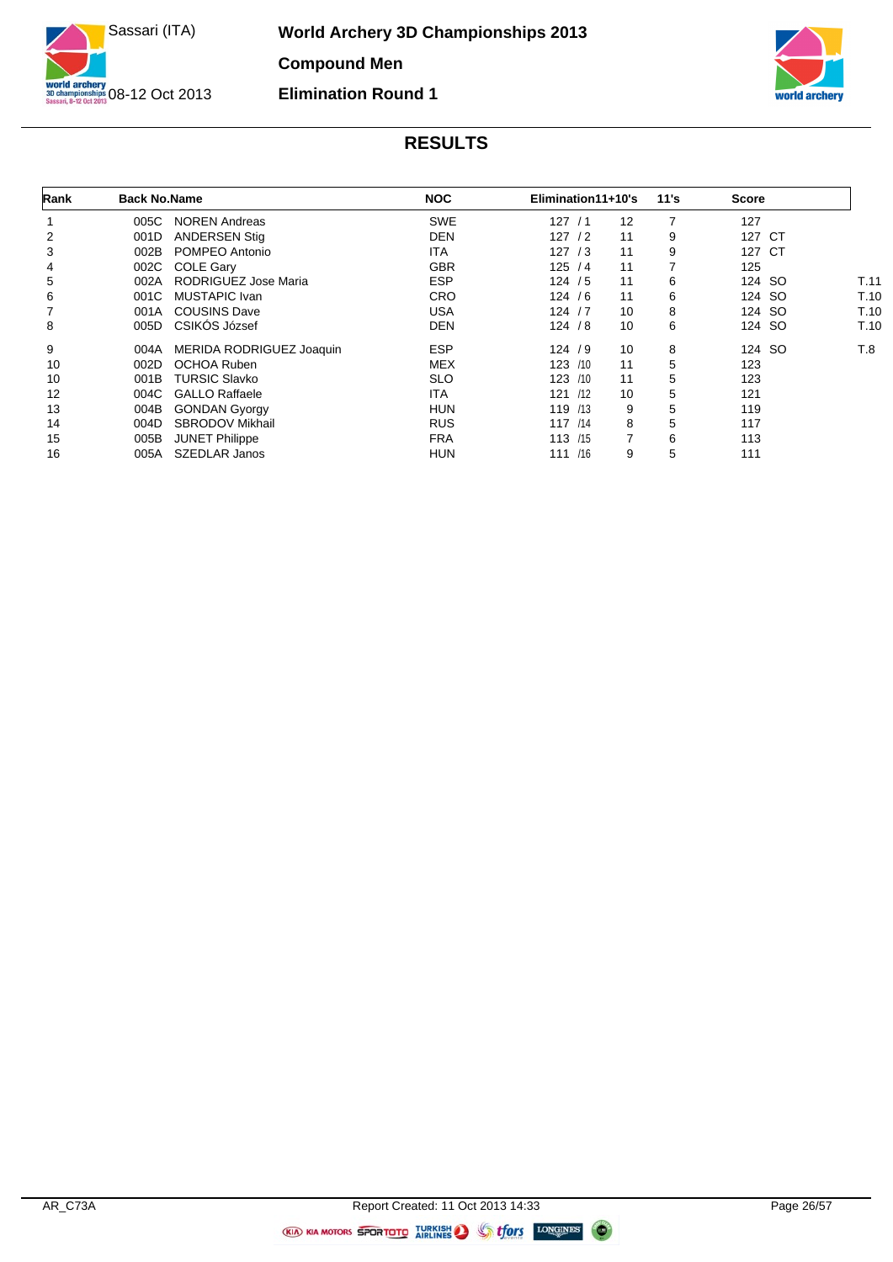



| Rank | <b>Back No.Name</b> |                          | <b>NOC</b> | Elimination11+10's |                | 11's | <b>Score</b> |      |
|------|---------------------|--------------------------|------------|--------------------|----------------|------|--------------|------|
|      | 005C                | <b>NOREN Andreas</b>     | <b>SWE</b> | 127/1              | 12             |      | 127          |      |
| 2    | 001D                | <b>ANDERSEN Stig</b>     | DEN        | 127/2              | 11             | 9    | 127<br>CT    |      |
| 3    | 002B                | POMPEO Antonio           | ITA.       | 127/3              | 11             | 9    | 127<br>CT    |      |
| 4    | 002C                | <b>COLE Gary</b>         | <b>GBR</b> | 125/4              | 11             |      | 125          |      |
| 5    | 002A                | RODRIGUEZ Jose Maria     | <b>ESP</b> | 124/5              | 11             | 6    | 124 SO       | T.11 |
| 6    | 001C                | MUSTAPIC Ivan            | <b>CRO</b> | 124/6              | 11             | 6    | 124 SO       | T.10 |
|      | 001A                | <b>COUSINS Dave</b>      | USA        | 124/7              | 10             | 8    | 124 SO       | T.10 |
| 8    | 005D                | CSIKÓS József            | <b>DEN</b> | 124 / 8            | 10             | 6    | 124 SO       | T.10 |
| 9    | 004A                | MERIDA RODRIGUEZ Joaquin | <b>ESP</b> | 124/9              | 10             | 8    | 124 SO       | T.8  |
| 10   | 002D                | <b>OCHOA Ruben</b>       | <b>MEX</b> | 123 /10            | 11             | 5    | 123          |      |
| 10   | 001B                | <b>TURSIC Slavko</b>     | <b>SLO</b> | 123<br>/10         | 11             | 5    | 123          |      |
| 12   | 004C                | <b>GALLO Raffaele</b>    | ITA.       | /12<br>121         | 10             | 5    | 121          |      |
| 13   | 004B                | <b>GONDAN Gyorgy</b>     | <b>HUN</b> | 119 /13            | 9              | 5    | 119          |      |
| 14   | 004D                | <b>SBRODOV Mikhail</b>   | <b>RUS</b> | 117 / 14           | 8              | 5    | 117          |      |
| 15   | 005B                | <b>JUNET Philippe</b>    | <b>FRA</b> | 113 /15            | $\overline{7}$ | 6    | 113          |      |
| 16   | 005A                | <b>SZEDLAR Janos</b>     | <b>HUN</b> | 111 /16            | 9              | 5    | 111          |      |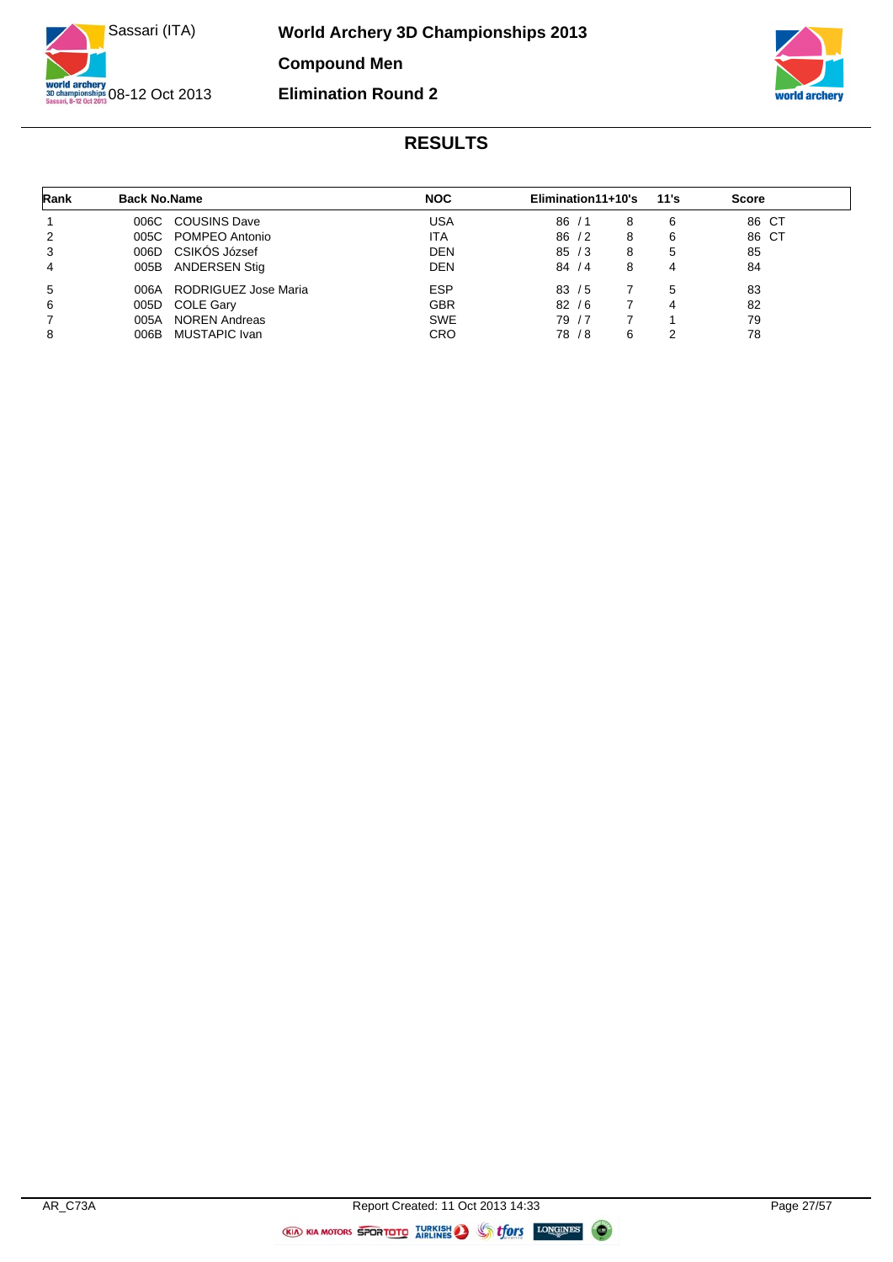



| Rank | <b>Back No.Name</b> |                      | <b>NOC</b> | Elimination11+10's |            |   | 11's | <b>Score</b> |       |
|------|---------------------|----------------------|------------|--------------------|------------|---|------|--------------|-------|
|      | 006C                | <b>COUSINS Dave</b>  | USA        | 86                 | $\sqrt{1}$ | 8 | 6    |              | 86 CT |
| 2    |                     | 005C POMPEO Antonio  | <b>ITA</b> | 86/2               |            | 8 | 6    |              | 86 CT |
| 3    |                     | 006D CSIKOS József   | <b>DEN</b> | 85/3               |            | 8 | 5    | 85           |       |
| 4    | 005B                | ANDERSEN Stig        | <b>DEN</b> | 84/4               |            | 8 | 4    | 84           |       |
| 5    | 006A                | RODRIGUEZ Jose Maria | <b>ESP</b> | 83/5               |            |   | 5    | 83           |       |
| 6    | 005D                | COLE Gary            | <b>GBR</b> | 82/6               |            |   | 4    | 82           |       |
|      | 005A                | <b>NOREN Andreas</b> | <b>SWE</b> | 79 / 7             |            |   |      | 79           |       |
| 8    | 006B                | MUSTAPIC Ivan        | CRO        | 78 / 8             |            | 6 | 2    | 78           |       |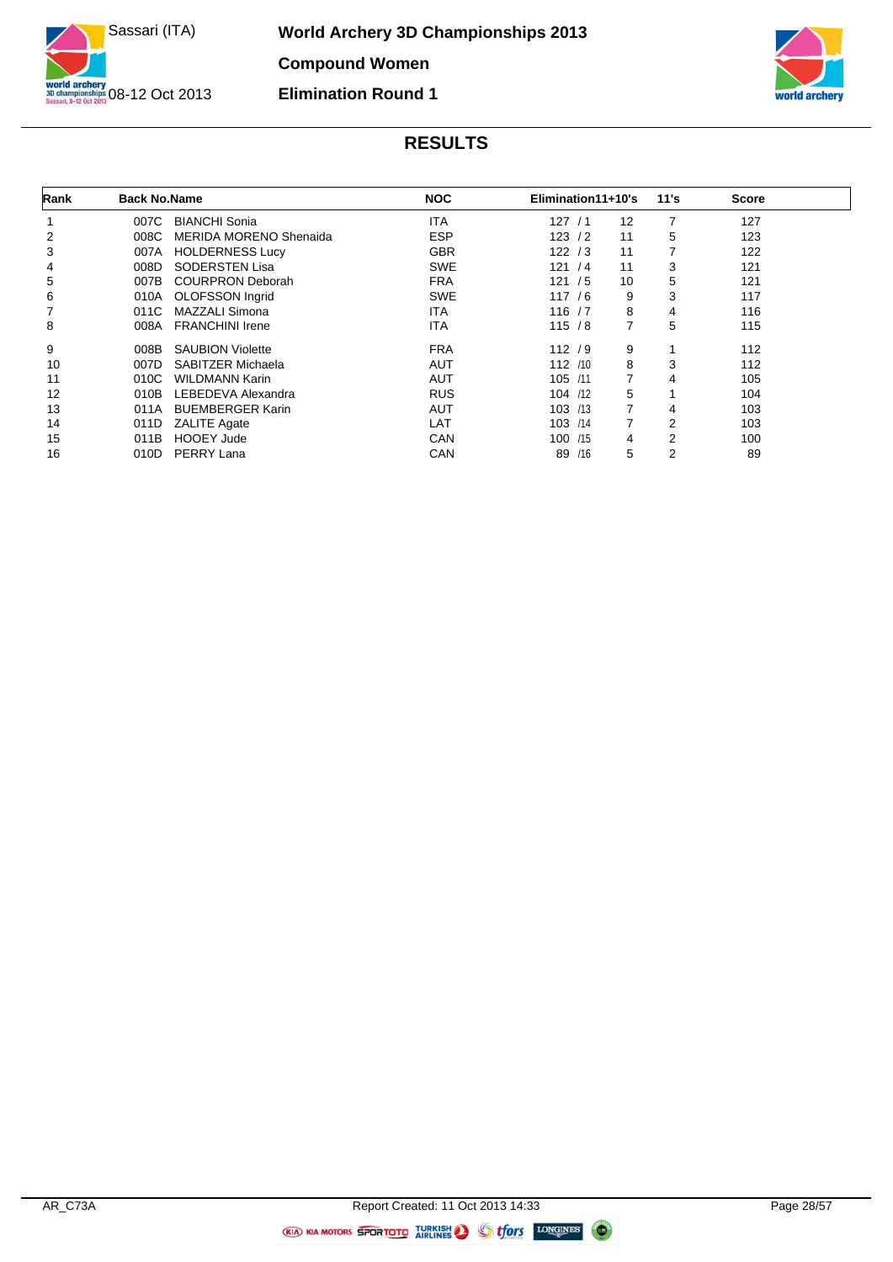



| Rank | <b>Back No.Name</b> |                               | <b>NOC</b> | Elimination11+10's |                | 11's           | <b>Score</b> |  |
|------|---------------------|-------------------------------|------------|--------------------|----------------|----------------|--------------|--|
|      | 007C                | <b>BIANCHI Sonia</b>          | ITA        | 127/1              | 12             | 7              | 127          |  |
| 2    | 008C                | <b>MERIDA MORENO Shenaida</b> | <b>ESP</b> | 123/2              | 11             | 5              | 123          |  |
| 3    | 007A                | <b>HOLDERNESS Lucy</b>        | <b>GBR</b> | 122/3              | 11             | 7              | 122          |  |
| 4    | 008D                | <b>SODERSTEN Lisa</b>         | <b>SWE</b> | 121/4              | 11             | 3              | 121          |  |
| 5    | 007B                | <b>COURPRON Deborah</b>       | <b>FRA</b> | 121/5              | 10             | 5              | 121          |  |
| 6    | 010A                | OLOFSSON Ingrid               | <b>SWE</b> | 117/6              | 9              | 3              | 117          |  |
|      | 011C                | MAZZALI Simona                | ITA        | 116/7              | 8              | 4              | 116          |  |
| 8    | 008A                | <b>FRANCHINI Irene</b>        | ITA        | 115/8              | 7              | 5              | 115          |  |
| 9    | 008B                | <b>SAUBION Violette</b>       | <b>FRA</b> | 112/9              | 9              |                | 112          |  |
| 10   | 007D                | SABITZER Michaela             | <b>AUT</b> | 112 / 10           | 8              | 3              | 112          |  |
| 11   | 010C                | <b>WILDMANN Karin</b>         | <b>AUT</b> | 105 /11            | $\overline{7}$ | 4              | 105          |  |
| 12   | 010B                | LEBEDEVA Alexandra            | <b>RUS</b> | 104 /12            | 5              |                | 104          |  |
| 13   | 011A                | <b>BUEMBERGER Karin</b>       | <b>AUT</b> | 103 / 13           | $\overline{7}$ | 4              | 103          |  |
| 14   | 011D                | <b>ZALITE Agate</b>           | LAT        | 103 /14            | 7              | $\overline{2}$ | 103          |  |
| 15   | 011B                | <b>HOOEY Jude</b>             | CAN        | 100 /15            | 4              | $\overline{2}$ | 100          |  |
| 16   | 010D                | PERRY Lana                    | CAN        | 89 /16             | 5              | 2              | 89           |  |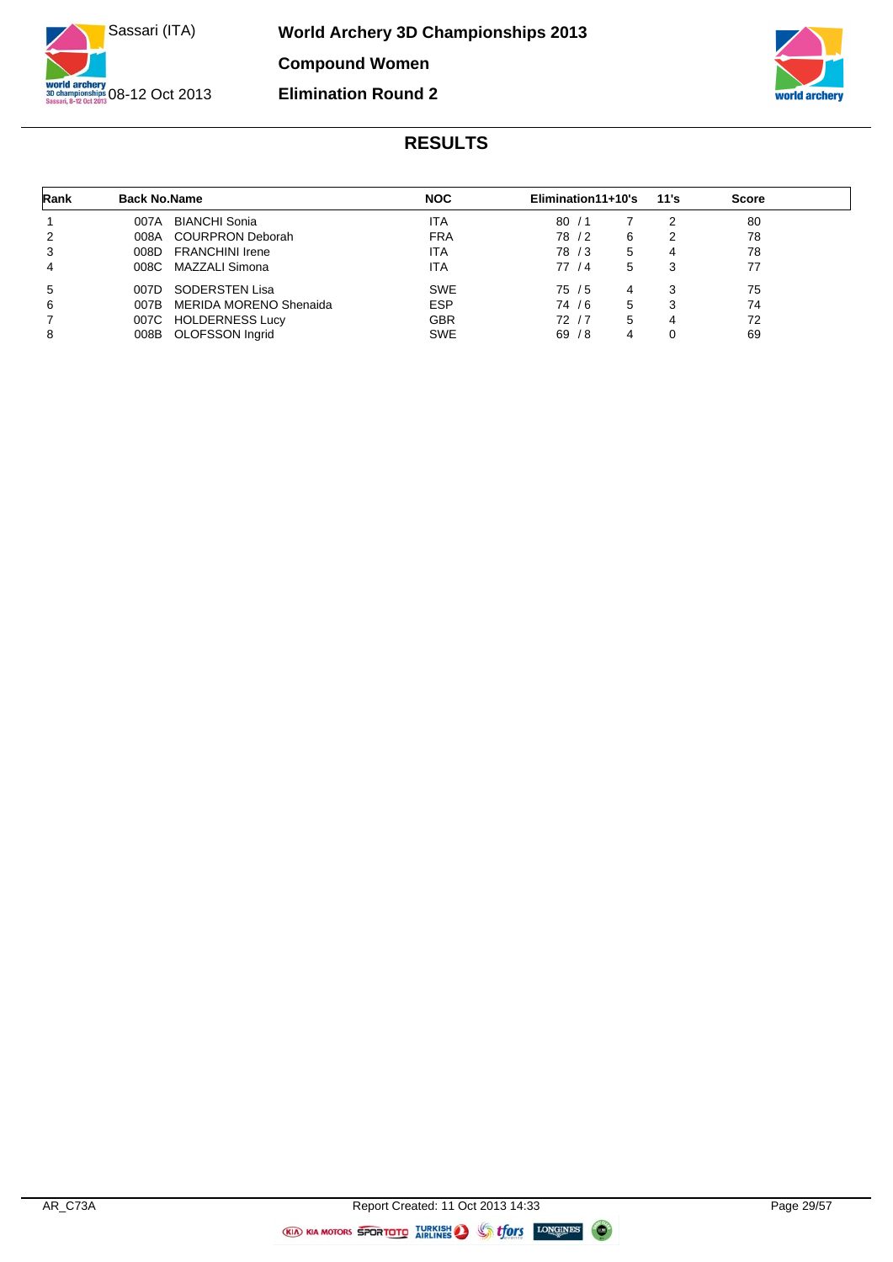



| Rank | <b>Back No.Name</b> |                        | <b>NOC</b> | Elimination11+10's |   | 11's | <b>Score</b> |
|------|---------------------|------------------------|------------|--------------------|---|------|--------------|
|      | 007A                | <b>BIANCHI Sonia</b>   | <b>ITA</b> | 80<br>71           |   | 2    | 80           |
| 2    |                     | 008A COURPRON Deborah  | <b>FRA</b> | 78 / 2             | 6 | າ    | 78           |
| 3    | 008D                | <b>FRANCHINI Irene</b> | ITA        | 78 / 3             | 5 | 4    | 78           |
| 4    |                     | 008C MAZZALI Simona    | ITA        | 77 / 4             | 5 | 3    | 77           |
| 5    | 007D                | SODERSTEN Lisa         | <b>SWE</b> | 75 / 5             | 4 | 3    | 75           |
| 6    | 007B                | MERIDA MORENO Shenaida | <b>ESP</b> | 74/6               | 5 | 3    | 74           |
| 7    |                     | 007C HOLDERNESS Lucy   | <b>GBR</b> | 72/7               | 5 | 4    | 72           |
| 8    |                     | 008B OLOFSSON Ingrid   | <b>SWE</b> | 69/8               | 4 | 0    | 69           |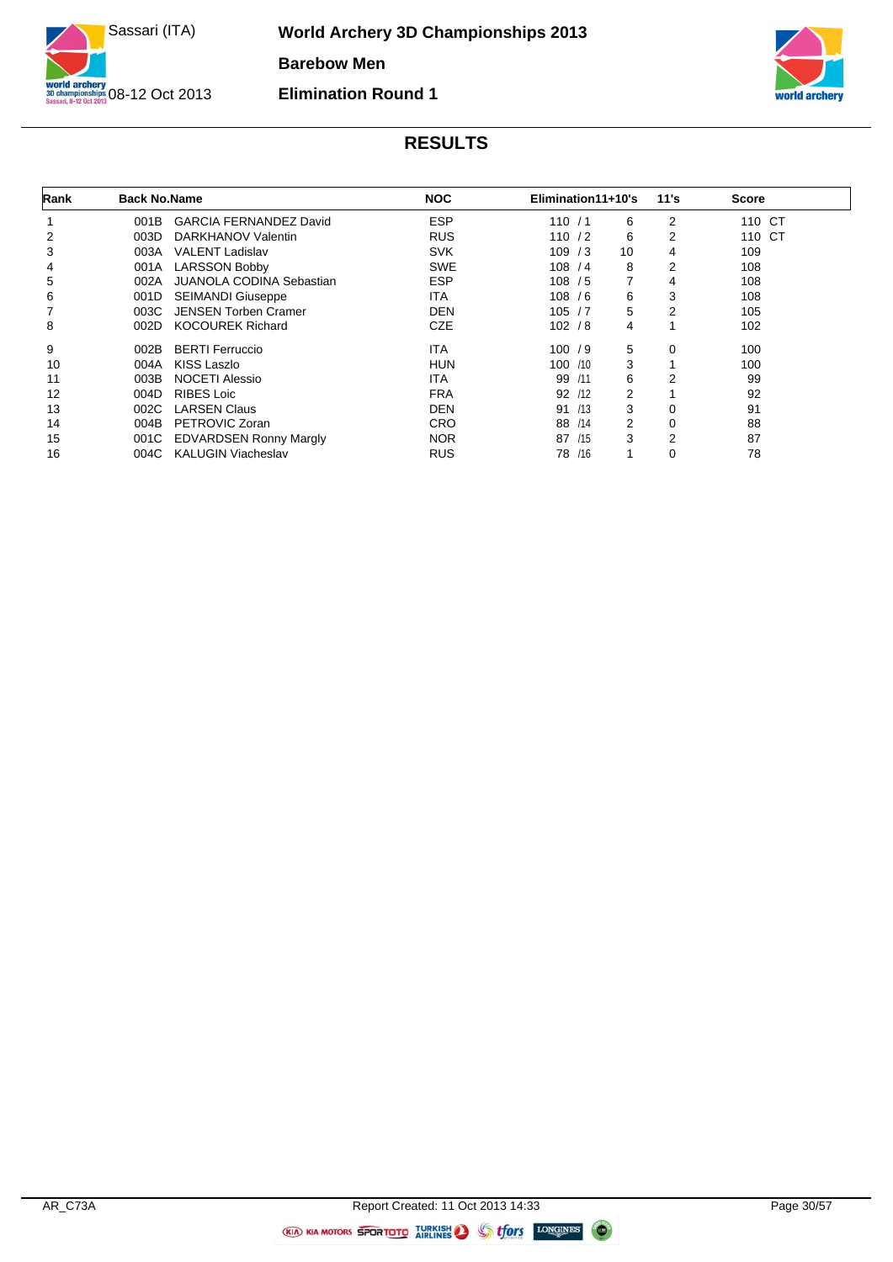



| Rank | <b>Back No.Name</b> |                                 | <b>NOC</b> | Elimination11+10's |    | 11's           | <b>Score</b> |  |
|------|---------------------|---------------------------------|------------|--------------------|----|----------------|--------------|--|
|      | 001B                | <b>GARCIA FERNANDEZ David</b>   | <b>ESP</b> | 110/1              | 6  | 2              | 110 CT       |  |
| 2    | 003D                | DARKHANOV Valentin              | <b>RUS</b> | 110/2              | 6  | 2              | 110 CT       |  |
| 3    | 003A                | <b>VALENT Ladislav</b>          | <b>SVK</b> | 109/3              | 10 | 4              | 109          |  |
| 4    | 001A                | <b>LARSSON Bobby</b>            | <b>SWE</b> | 108 / 4            | 8  | 2              | 108          |  |
| 5    | 002A                | <b>JUANOLA CODINA Sebastian</b> | <b>ESP</b> | 108 / 5            | 7  | 4              | 108          |  |
| 6    | 001D                | <b>SEIMANDI Giuseppe</b>        | ITA        | 108/6              | 6  | 3              | 108          |  |
| 7    | 003C                | <b>JENSEN Torben Cramer</b>     | DEN        | 105/7              | 5  | 2              | 105          |  |
| 8    | 002D                | <b>KOCOUREK Richard</b>         | <b>CZE</b> | 102 / 8            | 4  |                | 102          |  |
| 9    | 002B                | <b>BERTI Ferruccio</b>          | ITA        | 100/9              | 5  | 0              | 100          |  |
| 10   | 004A                | KISS Laszlo                     | <b>HUN</b> | 100 /10            | 3  |                | 100          |  |
| 11   | 003B                | <b>NOCETI Alessio</b>           | ITA        | 99<br>/11          | 6  | 2              | 99           |  |
| 12   | 004D                | <b>RIBES Loic</b>               | <b>FRA</b> | 92<br>/12          | 2  |                | 92           |  |
| 13   | 002C                | <b>LARSEN Claus</b>             | <b>DEN</b> | /13<br>91          | 3  | 0              | 91           |  |
| 14   | 004B                | PETROVIC Zoran                  | <b>CRO</b> | 88<br>/14          | 2  | 0              | 88           |  |
| 15   | 001C                | <b>EDVARDSEN Ronny Margly</b>   | <b>NOR</b> | 87<br>/15          | 3  | $\overline{2}$ | 87           |  |
| 16   | 004C                | <b>KALUGIN Viacheslav</b>       | <b>RUS</b> | /16<br>78          |    | 0              | 78           |  |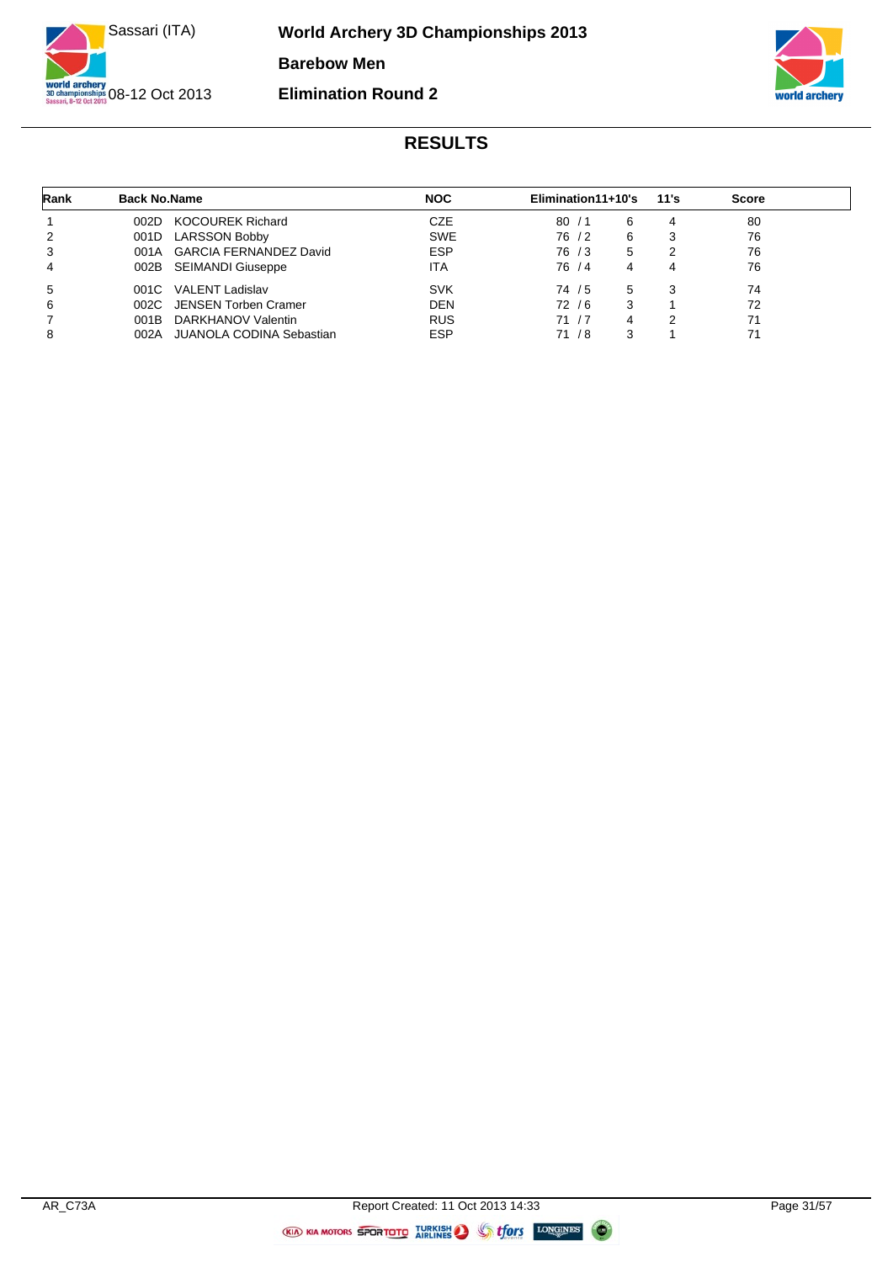



| Rank | <b>Back No.Name</b> |                             | <b>NOC</b> | Elimination11+10's |        |   | 11's | <b>Score</b> |
|------|---------------------|-----------------------------|------------|--------------------|--------|---|------|--------------|
|      | 002D                | KOCOUREK Richard            | <b>CZE</b> | 80/1               |        | 6 |      | 80           |
| 2    | 001D                | <b>LARSSON Bobby</b>        | <b>SWE</b> |                    | 76 / 2 | 6 | 3    | 76           |
| 3    |                     | 001A GARCIA FERNANDEZ David | <b>ESP</b> |                    | 76 / 3 | 5 | າ    | 76           |
| 4    |                     | 002B SEIMANDI Giuseppe      | ITA        |                    | 76 / 4 | 4 | 4    | 76           |
| 5    |                     | 001C VALENT Ladislav        | <b>SVK</b> |                    | 74 / 5 | 5 | 3    | 74           |
| 6    |                     | 002C JENSEN Torben Cramer   | <b>DEN</b> |                    | 72 / 6 | 3 |      | 72           |
| 7    | 001B                | DARKHANOV Valentin          | <b>RUS</b> | 71 / 7             |        | 4 | 2    | 71           |
| 8    | 002A                | JUANOLA CODINA Sebastian    | <b>ESP</b> |                    | 71 / 8 | 3 |      | 71           |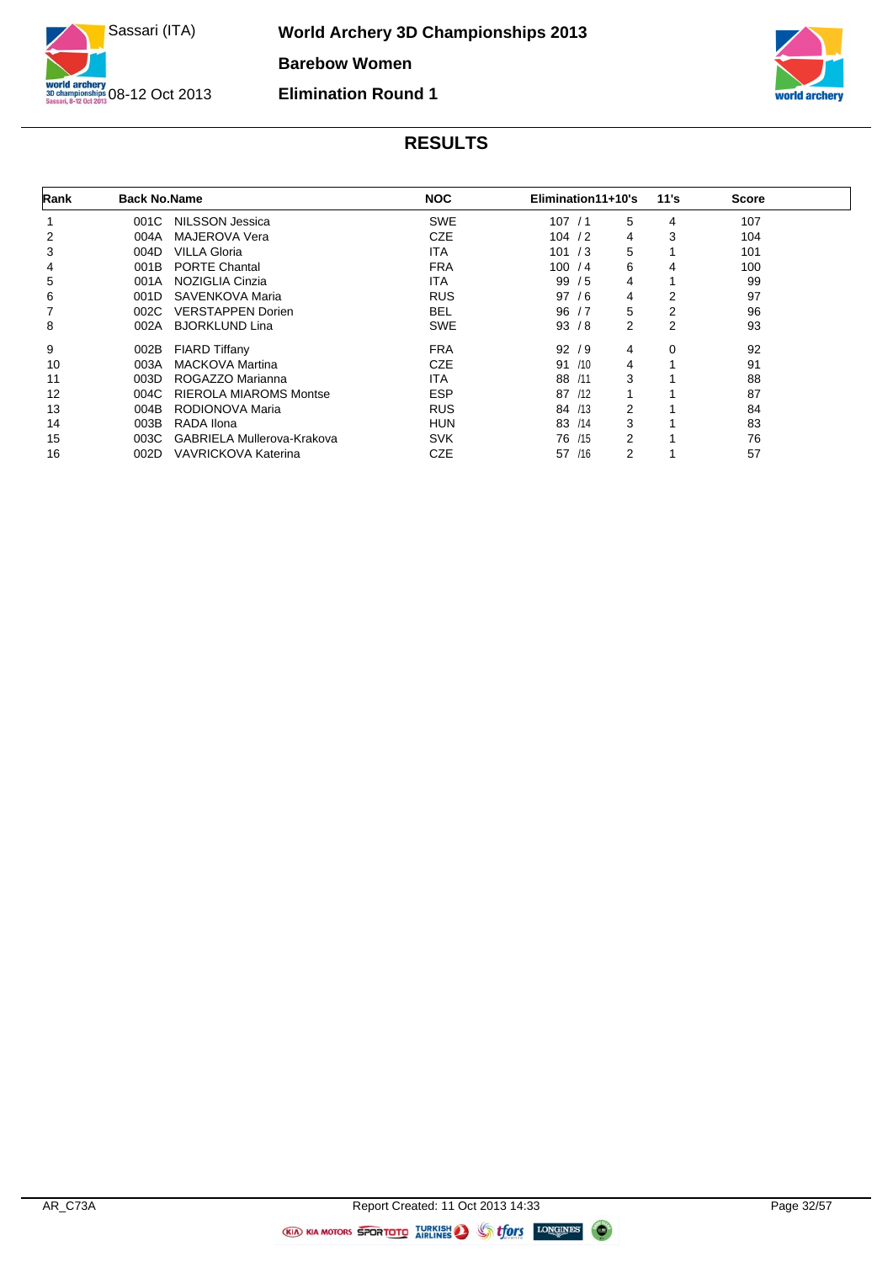



| Rank | <b>Back No.Name</b> |                               | <b>NOC</b> | Elimination11+10's |   | 11's           | <b>Score</b> |  |
|------|---------------------|-------------------------------|------------|--------------------|---|----------------|--------------|--|
|      | 001C                | NILSSON Jessica               | <b>SWE</b> | 107/1              | 5 | 4              | 107          |  |
| 2    | 004A                | MAJEROVA Vera                 | <b>CZE</b> | 104 / 2            | 4 | 3              | 104          |  |
| 3    | 004D                | <b>VILLA Gloria</b>           | <b>ITA</b> | 101 / 3            | 5 |                | 101          |  |
| 4    | 001B                | <b>PORTE Chantal</b>          | <b>FRA</b> | 100 / 4            | 6 | 4              | 100          |  |
| 5    | 001A                | NOZIGLIA Cinzia               | ITA        | 99/5               | 4 |                | 99           |  |
| 6    | 001D                | SAVENKOVA Maria               | <b>RUS</b> | 97/6               | 4 | 2              | 97           |  |
|      | 002C                | <b>VERSTAPPEN Dorien</b>      | <b>BEL</b> | 96/7               | 5 | $\overline{2}$ | 96           |  |
| 8    | 002A                | <b>BJORKLUND Lina</b>         | <b>SWE</b> | 93/8               | 2 | 2              | 93           |  |
| 9    | 002B                | <b>FIARD Tiffany</b>          | <b>FRA</b> | 92/9               | 4 | 0              | 92           |  |
| 10   | 003A                | <b>MACKOVA Martina</b>        | <b>CZE</b> | /10<br>91          | 4 |                | 91           |  |
| 11   | 003D                | ROGAZZO Marianna              | ITA        | 88<br>/11          | 3 |                | 88           |  |
| 12   | 004C                | <b>RIEROLA MIAROMS Montse</b> | <b>ESP</b> | 87<br>/12          | 1 |                | 87           |  |
| 13   | 004B                | RODIONOVA Maria               | <b>RUS</b> | 84 /13             | 2 |                | 84           |  |
| 14   | 003B                | RADA Ilona                    | <b>HUN</b> | 83 /14             | 3 |                | 83           |  |
| 15   | 003C                | GABRIELA Mullerova-Krakova    | <b>SVK</b> | /15<br>76          | 2 |                | 76           |  |
| 16   | 002D                | <b>VAVRICKOVA Katerina</b>    | <b>CZE</b> | 57 /16             | 2 |                | 57           |  |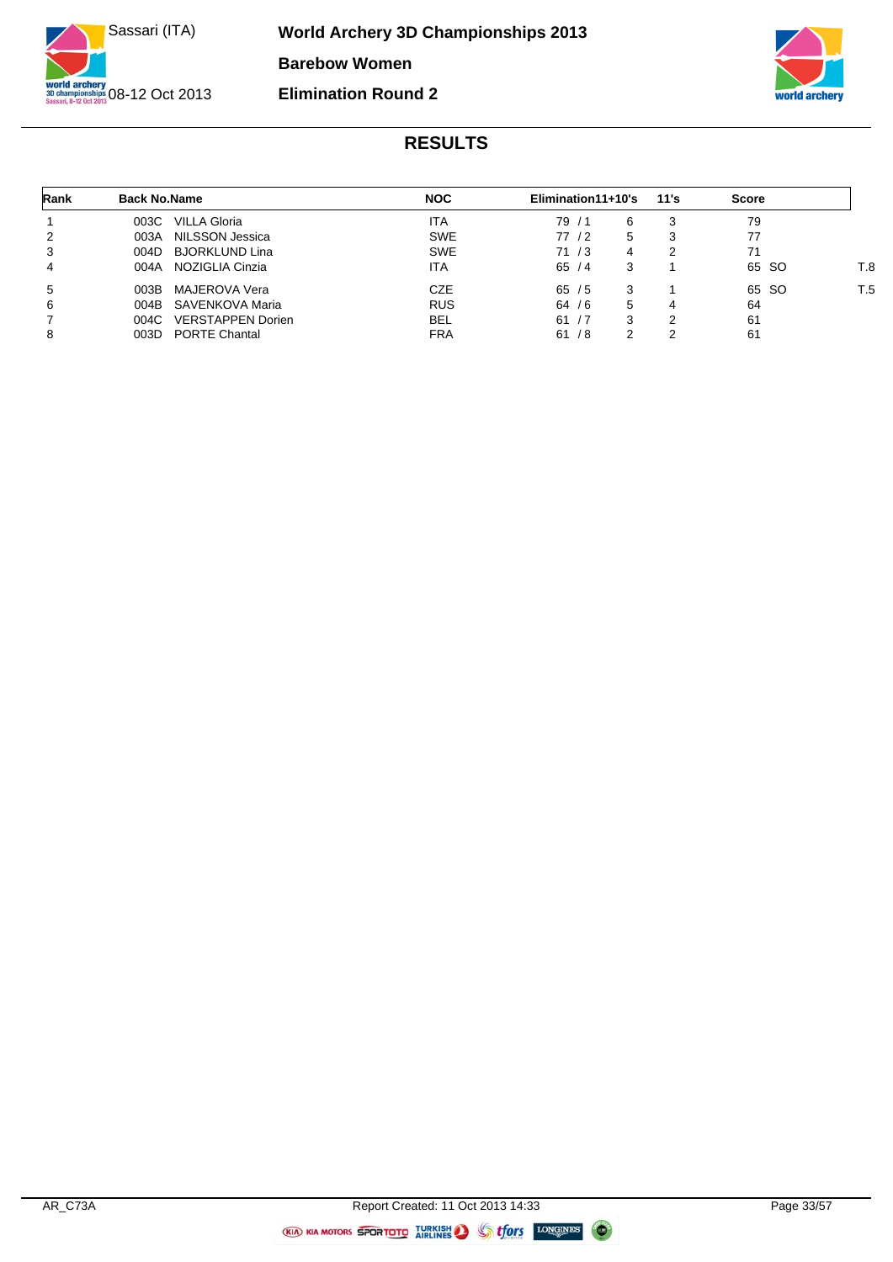



| Rank | <b>Back No.Name</b>              | <b>NOC</b> | Elimination11+10's | 11's | <b>Score</b> |     |
|------|----------------------------------|------------|--------------------|------|--------------|-----|
|      | VILLA Gloria<br>003C             | ITA        | 79/1<br>6          | 3    | 79           |     |
| 2    | NILSSON Jessica<br>003A          | <b>SWE</b> | 77 / 2<br>5.       | 3    | 77           |     |
| 3    | <b>BJORKLUND Lina</b><br>004D    | <b>SWE</b> | 71/3<br>4          | າ    | 71           |     |
| 4    | NOZIGLIA Cinzia<br>004A          | ITA        | 65/4               |      | 65 SO        | F.8 |
| 5    | MAJEROVA Vera<br>003B            | CZE        | 65/5               |      | 65 SO        | T.5 |
| 6    | SAVENKOVA Maria<br>004B          | <b>RUS</b> | 64/6<br>5          | 4    | 64           |     |
|      | <b>VERSTAPPEN Dorien</b><br>004C | <b>BEL</b> | 61/7<br>3          | 2    | 61           |     |
| 8    | <b>PORTE Chantal</b><br>003D     | <b>FRA</b> | 61/8               | າ    | 61           |     |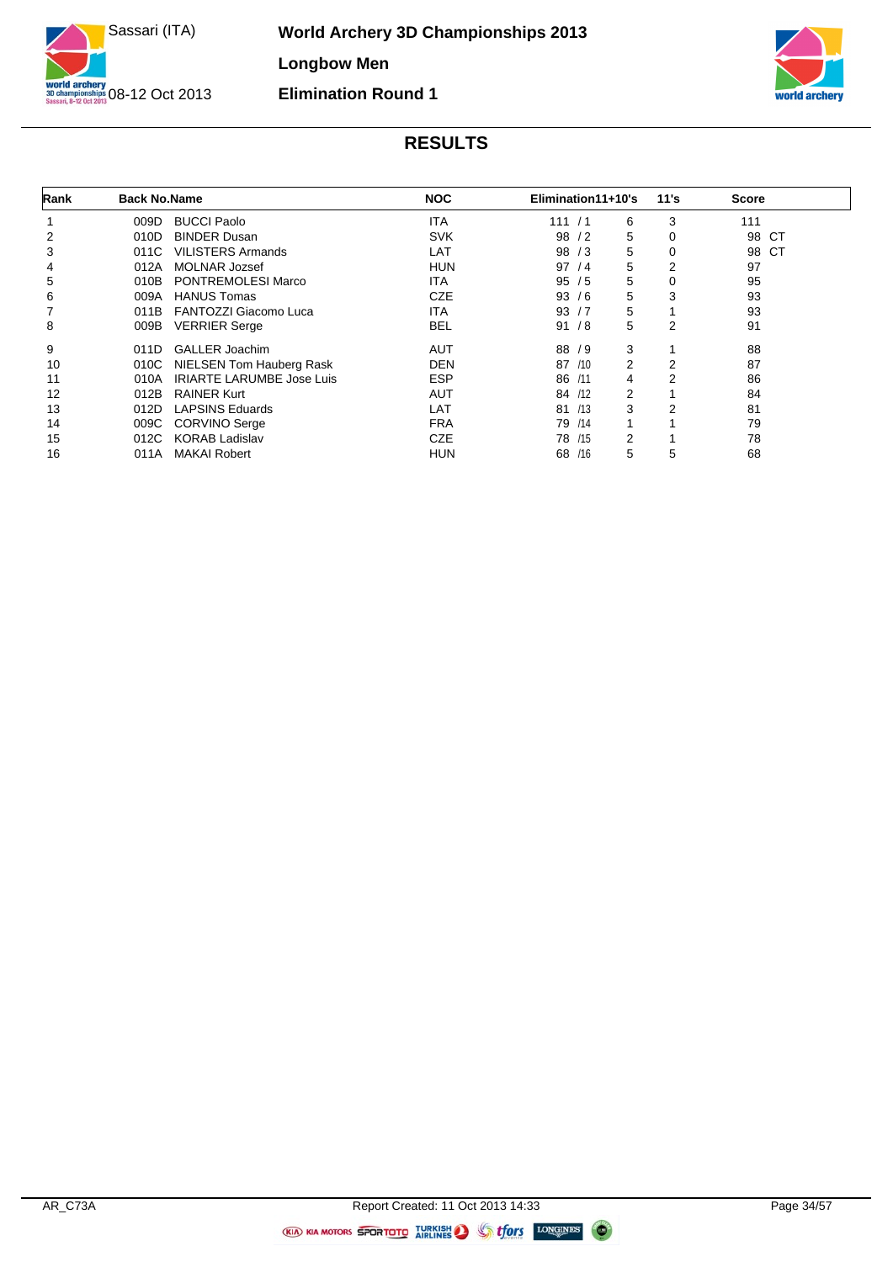



| Rank | <b>Back No.Name</b> |                                  | <b>NOC</b> | Elimination11+10's |   | 11's           | <b>Score</b> |
|------|---------------------|----------------------------------|------------|--------------------|---|----------------|--------------|
|      | 009D                | <b>BUCCI Paolo</b>               | <b>ITA</b> | 111 / 1            | 6 | 3              | 111          |
| 2    | 010D                | <b>BINDER Dusan</b>              | <b>SVK</b> | 98<br>/2           | 5 | $\mathbf 0$    | 98<br>CT.    |
| 3    | 011C                | <b>VILISTERS Armands</b>         | LAT        | 98<br>/3           | 5 | $\mathbf 0$    | 98 CT        |
| 4    | 012A                | <b>MOLNAR Jozsef</b>             | <b>HUN</b> | 97/4               | 5 | 2              | 97           |
| 5    | 010B                | <b>PONTREMOLESI Marco</b>        | ITA        | 95/5               | 5 | $\mathbf 0$    | 95           |
| 6    | 009A                | <b>HANUS Tomas</b>               | <b>CZE</b> | 93/6               | 5 | 3              | 93           |
|      | 011B                | FANTOZZI Giacomo Luca            | ITA        | 93/7               | 5 |                | 93           |
| 8    | 009B                | <b>VERRIER Serge</b>             | <b>BEL</b> | 91/8               | 5 | 2              | 91           |
| 9    | 011D                | <b>GALLER Joachim</b>            | <b>AUT</b> | 88 / 9             | 3 |                | 88           |
| 10   | 010C                | NIELSEN Tom Hauberg Rask         | DEN        | 87 /10             | 2 | 2              | 87           |
| 11   | 010A                | <b>IRIARTE LARUMBE Jose Luis</b> | <b>ESP</b> | 86 /11             | 4 | $\overline{2}$ | 86           |
| 12   | 012B                | <b>RAINER Kurt</b>               | <b>AUT</b> | 84 /12             | 2 |                | 84           |
| 13   | 012D                | <b>LAPSINS Eduards</b>           | LAT        | 81 /13             | 3 | 2              | 81           |
| 14   | 009C                | <b>CORVINO Serge</b>             | <b>FRA</b> | 79 /14             |   |                | 79           |
| 15   | 012C                | <b>KORAB Ladislav</b>            | <b>CZE</b> | 78 /15             | 2 |                | 78           |
| 16   | 011A                | <b>MAKAI Robert</b>              | HUN        | 68 /16             | 5 | 5              | 68           |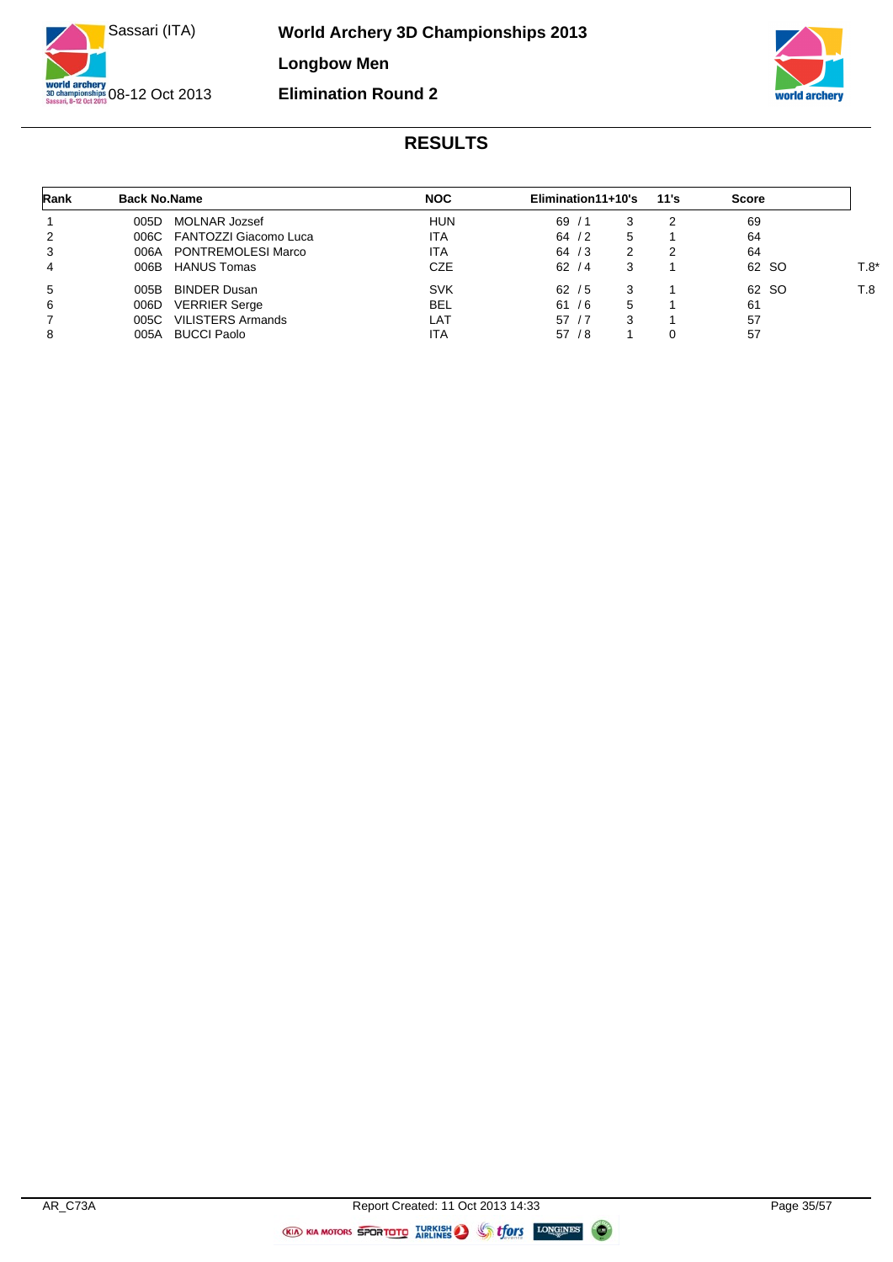



| Rank | <b>Back No.Name</b> |                            | <b>NOC</b> | Elimination11+10's |   | 11's | <b>Score</b> |      |
|------|---------------------|----------------------------|------------|--------------------|---|------|--------------|------|
|      | 005D                | MOLNAR Jozsef              | <b>HUN</b> | 69/1               | 3 |      | 69           |      |
| 2    |                     | 006C FANTOZZI Giacomo Luca | <b>ITA</b> | 64/2               | 5 |      | 64           |      |
| 3    | 006A                | PONTREMOLESI Marco         | <b>ITA</b> | 64/3               | 2 |      | 64           |      |
| 4    |                     | 006B HANUS Tomas           | CZE        | 62/4               | 3 |      | 62 SO        | T.8' |
| 5    | 005B                | <b>BINDER Dusan</b>        | <b>SVK</b> | 62/5               | 3 |      | 62 SO        | T.8  |
| 6    | 006D                | <b>VERRIER Serge</b>       | <b>BEL</b> | 61/6               | 5 |      | 61           |      |
|      | 005C                | <b>VILISTERS Armands</b>   | LAT        | 57/7               | 3 |      | 57           |      |
| 8    | 005A                | <b>BUCCI Paolo</b>         | <b>ITA</b> | 57/8               |   |      | 57           |      |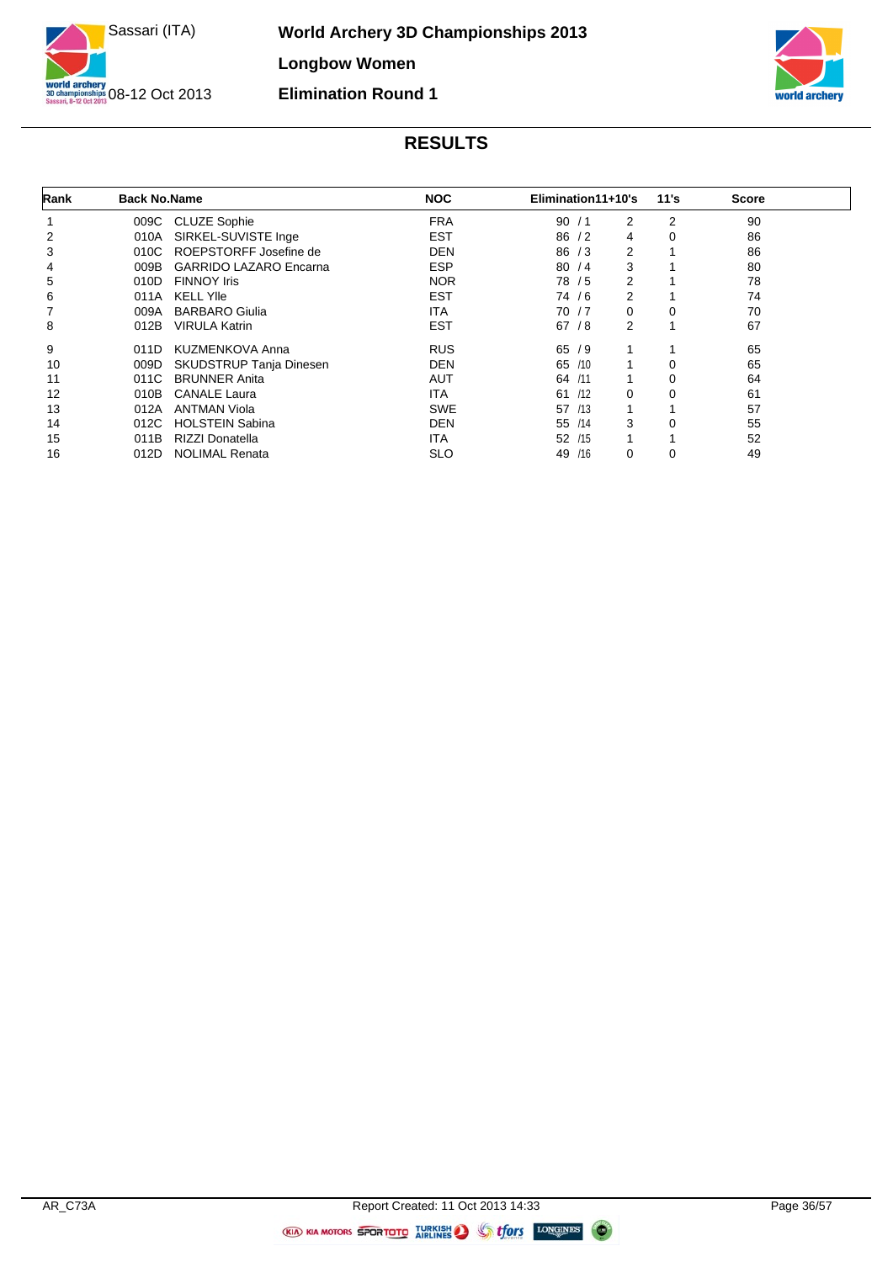



| Rank | <b>Back No.Name</b> |                               | <b>NOC</b> | Elimination11+10's | 11's             | <b>Score</b> |  |
|------|---------------------|-------------------------------|------------|--------------------|------------------|--------------|--|
|      | 009C                | <b>CLUZE Sophie</b>           | <b>FRA</b> | 90/1               | 2<br>2           | 90           |  |
| 2    | 010A                | SIRKEL-SUVISTE Inge           | <b>EST</b> | 86/2               | 0<br>4           | 86           |  |
| 3    | 010C                | ROEPSTORFF Josefine de        | DEN        | 86/3               | 2                | 86           |  |
| 4    | 009B                | <b>GARRIDO LAZARO Encarna</b> | <b>ESP</b> | 80/4               | 3                | 80           |  |
| 5    | 010D                | <b>FINNOY Iris</b>            | <b>NOR</b> | 78 / 5             | 2                | 78           |  |
| 6    | 011A                | <b>KELL YIIe</b>              | <b>EST</b> | 74 / 6             | 2                | 74           |  |
|      | 009A                | <b>BARBARO Giulia</b>         | ITA        | 70 / 7             | 0<br>0           | 70           |  |
| 8    | 012B                | <b>VIRULA Katrin</b>          | <b>EST</b> | 67/8               | 2                | 67           |  |
| 9    | 011D                | <b>KUZMENKOVA Anna</b>        | <b>RUS</b> | 65/9               |                  | 65           |  |
| 10   | 009D                | SKUDSTRUP Tanja Dinesen       | <b>DEN</b> | /10<br>65          | 0                | 65           |  |
| 11   | 011C                | <b>BRUNNER Anita</b>          | AUT        | 64 /11             | 0<br>1           | 64           |  |
| 12   | 010B                | <b>CANALE Laura</b>           | ITA        | 61 /12             | 0<br>$\mathbf 0$ | 61           |  |
| 13   | 012A                | <b>ANTMAN Viola</b>           | <b>SWE</b> | 57 /13             | 1                | 57           |  |
| 14   | 012C                | <b>HOLSTEIN Sabina</b>        | <b>DEN</b> | 55 /14             | 3<br>0           | 55           |  |
| 15   | 011B                | RIZZI Donatella               | ITA        | 1<br>/15<br>52     |                  | 52           |  |
| 16   | 012D                | <b>NOLIMAL Renata</b>         | <b>SLO</b> | /16<br>0<br>49     | 0                | 49           |  |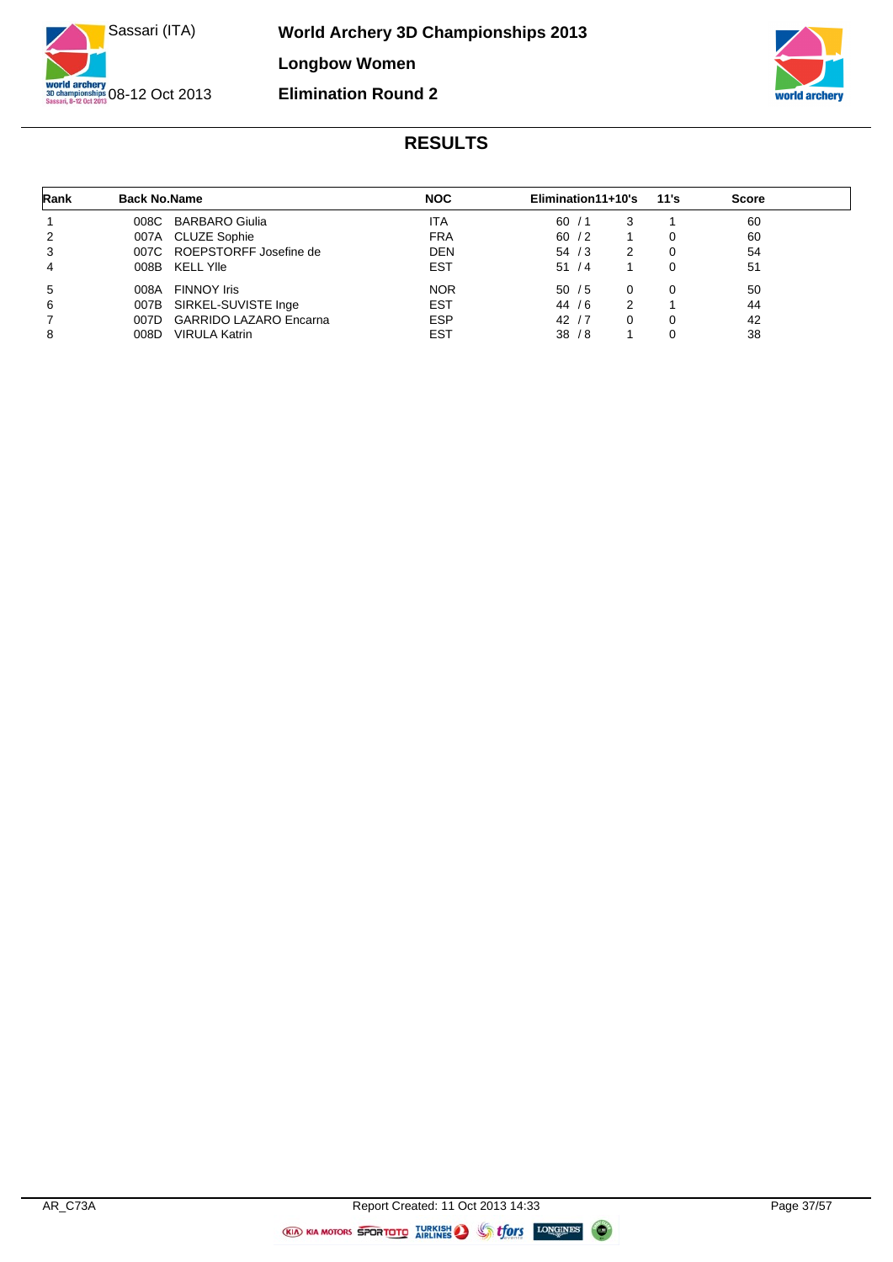



| Rank | <b>Back No.Name</b> |                               | <b>NOC</b> | Elimination11+10's |          | 11's | Score |
|------|---------------------|-------------------------------|------------|--------------------|----------|------|-------|
|      |                     | 008C BARBARO Giulia           | ITA        | 60/1               | 3        |      | 60    |
| 2    |                     | 007A CLUZE Sophie             | <b>FRA</b> | 60/2               |          | 0    | 60    |
| 3    |                     | 007C ROEPSTORFF Josefine de   | <b>DEN</b> | 54/3               | 2        | 0    | 54    |
| 4    |                     | 008B KELL YIIe                | <b>EST</b> | 51/4               |          | 0    | 51    |
| 5    | 008A                | <b>FINNOY Iris</b>            | <b>NOR</b> | 50/5               | $\Omega$ | 0    | 50    |
| 6    |                     | 007B SIRKEL-SUVISTE Inge      | <b>EST</b> | 44 / 6             | 2        |      | 44    |
|      | 007D                | <b>GARRIDO LAZARO Encarna</b> | <b>ESP</b> | 42/7               | 0        | 0    | 42    |
| 8    | 008D                | <b>VIRULA Katrin</b>          | <b>EST</b> | 38/8               |          | 0    | 38    |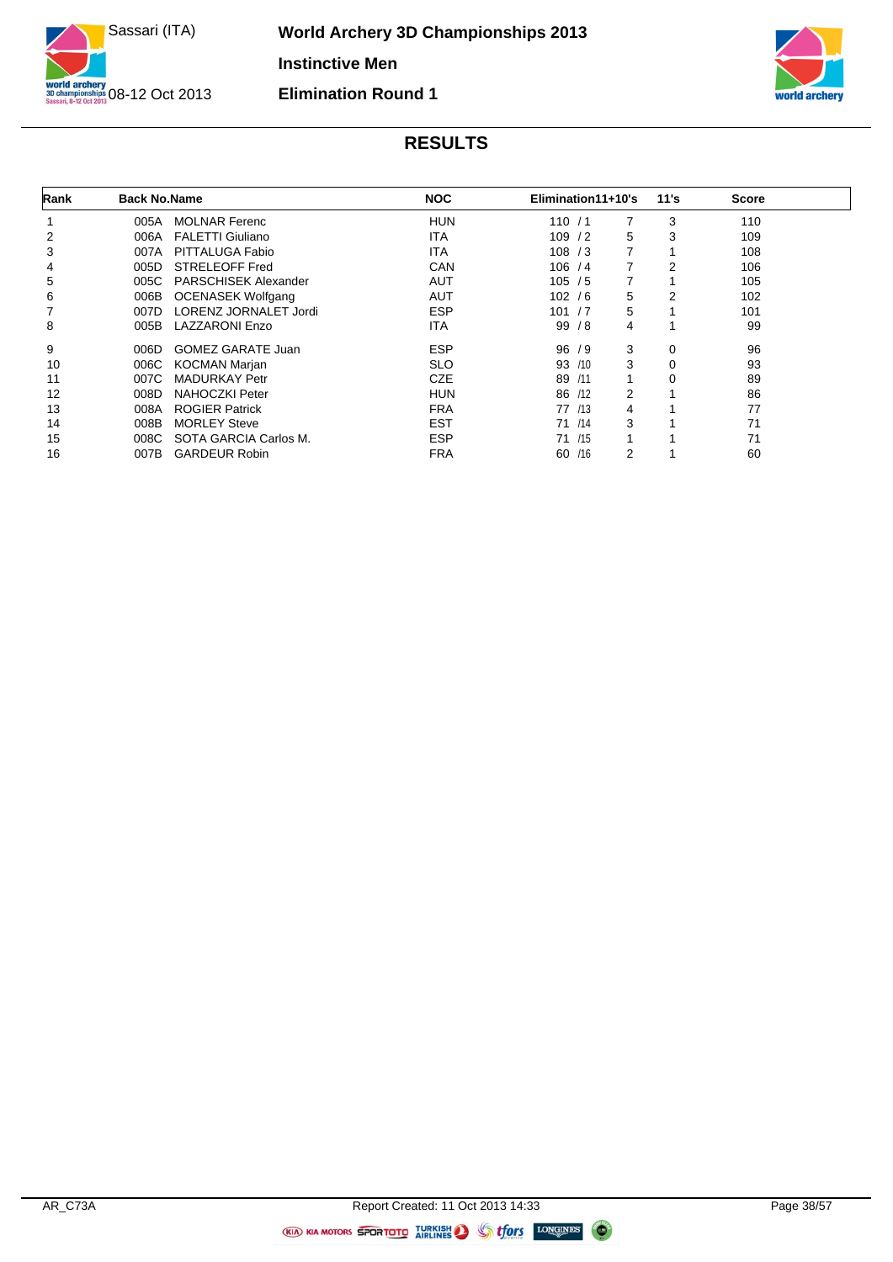



| Rank | <b>Back No.Name</b> |                             | <b>NOC</b> | Elimination11+10's |   | 11's           | <b>Score</b> |  |
|------|---------------------|-----------------------------|------------|--------------------|---|----------------|--------------|--|
|      | 005A                | <b>MOLNAR Ferenc</b>        | HUN        | 110/1              | 7 | 3              | 110          |  |
| 2    | 006A                | <b>FALETTI Giuliano</b>     | ITA        | 109/2              | 5 | 3              | 109          |  |
| 3    | 007A                | PITTALUGA Fabio             | <b>ITA</b> | 108 / 3            | 7 |                | 108          |  |
| 4    | 005D                | <b>STRELEOFF Fred</b>       | CAN        | 106 / 4            | 7 | $\overline{2}$ | 106          |  |
| 5    | 005C                | <b>PARSCHISEK Alexander</b> | <b>AUT</b> | 105/5              | 7 |                | 105          |  |
| 6    | 006B                | <b>OCENASEK Wolfgang</b>    | <b>AUT</b> | 102/6              | 5 | 2              | 102          |  |
|      | 007D                | LORENZ JORNALET Jordi       | <b>ESP</b> | 101 / 7            | 5 |                | 101          |  |
| 8    | 005B                | <b>LAZZARONI Enzo</b>       | <b>ITA</b> | 99/8               | 4 |                | 99           |  |
| 9    | 006D                | <b>GOMEZ GARATE Juan</b>    | <b>ESP</b> | 96/9               | 3 | $\mathbf 0$    | 96           |  |
| 10   | 006C                | <b>KOCMAN Marjan</b>        | <b>SLO</b> | 93<br>/10          | 3 | $\mathbf 0$    | 93           |  |
| 11   | 007C                | <b>MADURKAY Petr</b>        | <b>CZE</b> | 89<br>/11          | 1 | $\mathbf 0$    | 89           |  |
| 12   | 008D                | <b>NAHOCZKI Peter</b>       | <b>HUN</b> | 86<br>/12          | 2 |                | 86           |  |
| 13   | 008A                | <b>ROGIER Patrick</b>       | <b>FRA</b> | 77 /13             | 4 |                | 77           |  |
| 14   | 008B                | <b>MORLEY Steve</b>         | <b>EST</b> | 71 /14             | 3 |                | 71           |  |
| 15   | 008C                | SOTA GARCIA Carlos M.       | <b>ESP</b> | 71 /15             |   |                | 71           |  |
| 16   | 007B                | <b>GARDEUR Robin</b>        | <b>FRA</b> | 60<br>/16          | 2 |                | 60           |  |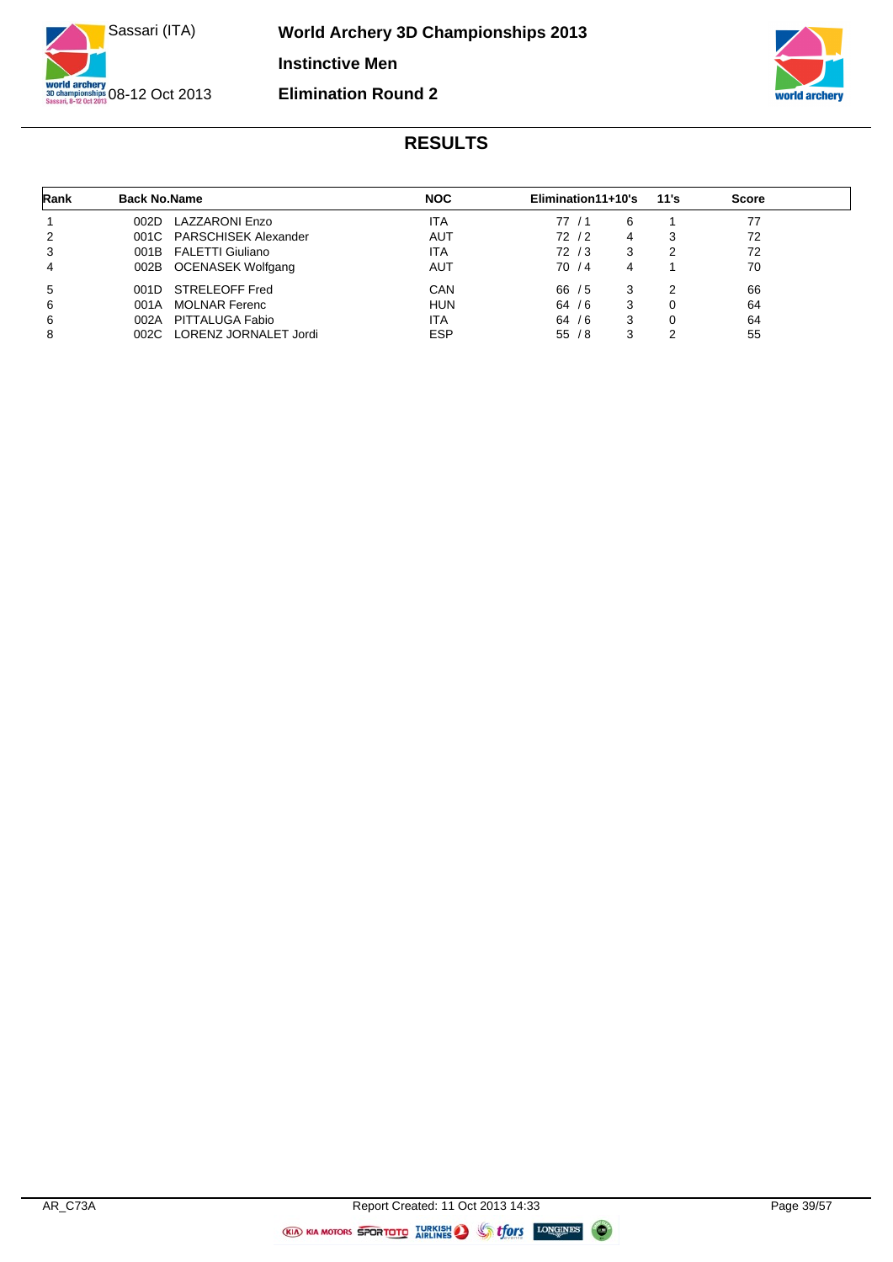



| Rank | <b>Back No.Name</b> |                            | <b>NOC</b> | Elimination11+10's |   | 11's | <b>Score</b> |
|------|---------------------|----------------------------|------------|--------------------|---|------|--------------|
|      | 002D                | LAZZARONI Enzo             | <b>ITA</b> | 77/1               | 6 |      | 77           |
| 2    |                     | 001C PARSCHISEK Alexander  | AUT        | 72 / 2             | 4 | 3    | 72           |
| 3    |                     | 001B FALETTI Giuliano      | <b>ITA</b> | 72/3               | 3 | 2    | 72           |
| 4    |                     | 002B OCENASEK Wolfgang     | AUT        | 70 / 4             | 4 |      | 70           |
| 5    | 001D -              | STRELEOFF Fred             | CAN        | 66/5               | 3 | າ    | 66           |
| 6    | 001A                | <b>MOLNAR Ferenc</b>       | <b>HUN</b> | 64/6               | 3 | 0    | 64           |
| 6    | 002A                | PITTALUGA Fabio            | <b>ITA</b> | 64/6               | 3 | 0    | 64           |
| 8    |                     | 002C LORENZ JORNALET Jordi | <b>ESP</b> | 55/8               | 3 | 2    | 55           |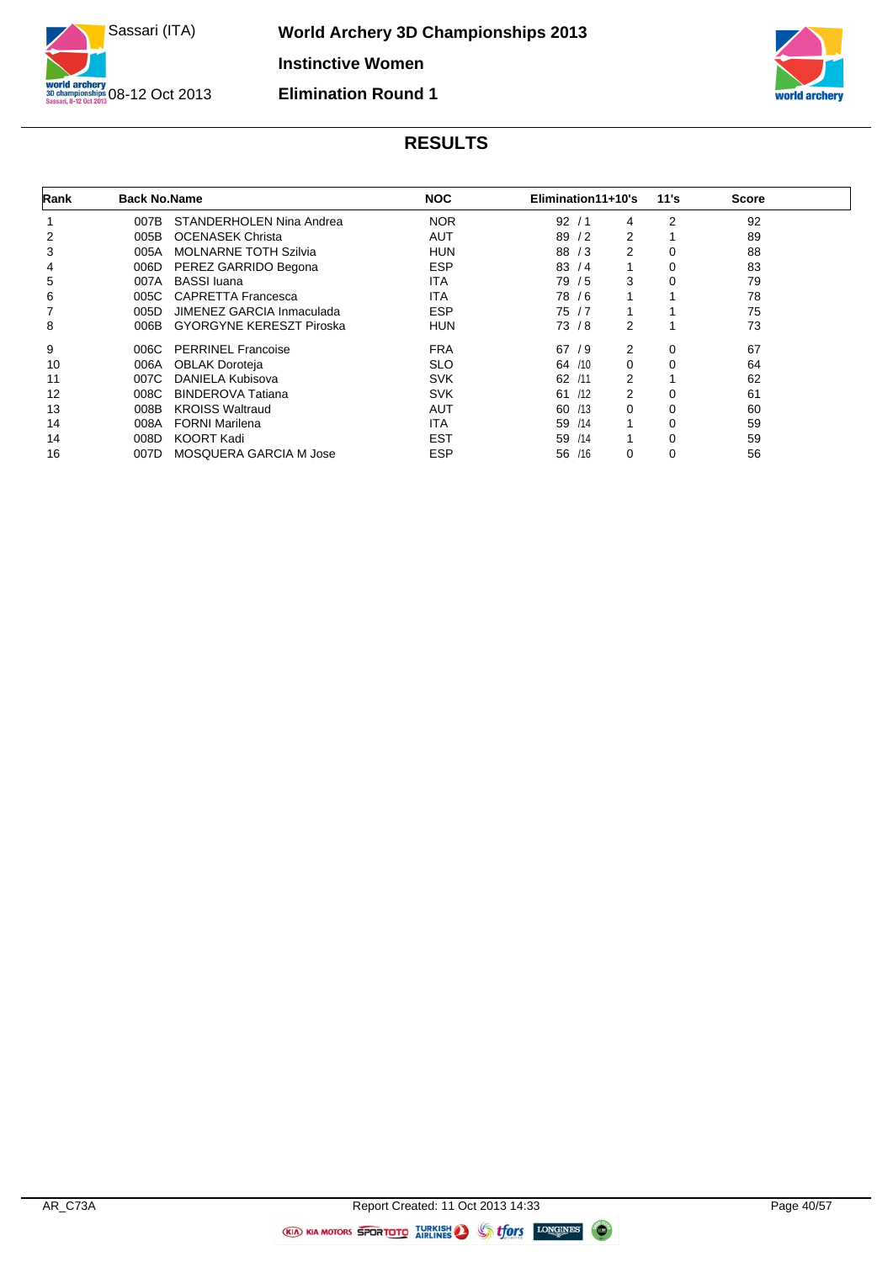



| Rank | <b>Back No.Name</b> |                                 | <b>NOC</b> | Elimination11+10's | 11's           | <b>Score</b> |  |
|------|---------------------|---------------------------------|------------|--------------------|----------------|--------------|--|
|      | 007B                | STANDERHOLEN Nina Andrea        | <b>NOR</b> | 92<br>4<br>′ 1     | $\overline{2}$ | 92           |  |
| 2    | 005B                | <b>OCENASEK Christa</b>         | AUT        | 2<br>89<br>/2      |                | 89           |  |
| 3    | 005A                | <b>MOLNARNE TOTH Szilvia</b>    | <b>HUN</b> | 2<br>88<br>/3      | 0              | 88           |  |
| 4    | 006D                | PEREZ GARRIDO Begona            | <b>ESP</b> | 83<br>1<br>/4      | $\mathbf 0$    | 83           |  |
| 5    | 007A                | <b>BASSI</b> luana              | <b>ITA</b> | 3<br>79 / 5        | $\mathbf 0$    | 79           |  |
| 6    | 005C                | <b>CAPRETTA Francesca</b>       | <b>ITA</b> | 78 / 6<br>1        |                | 78           |  |
|      | 005D                | JIMENEZ GARCIA Inmaculada       | <b>ESP</b> | 75/7               |                | 75           |  |
| 8    | 006B                | <b>GYORGYNE KERESZT Piroska</b> | <b>HUN</b> | 2<br>73/8          |                | 73           |  |
| 9    | 006C                | <b>PERRINEL Francoise</b>       | <b>FRA</b> | 2<br>67/9          | $\mathbf 0$    | 67           |  |
| 10   | 006A                | <b>OBLAK Doroteja</b>           | <b>SLO</b> | 0<br>64 /10        | $\mathbf 0$    | 64           |  |
| 11   | 007C                | DANIELA Kubisova                | <b>SVK</b> | 2<br>62<br>/11     |                | 62           |  |
| 12   | 008C                | <b>BINDEROVA Tatiana</b>        | <b>SVK</b> | 2<br>61 /12        | $\mathbf 0$    | 61           |  |
| 13   | 008B                | <b>KROISS Waltraud</b>          | AUT        | 0<br>60<br>/13     | $\mathbf 0$    | 60           |  |
| 14   | 008A                | <b>FORNI Marilena</b>           | <b>ITA</b> | 1<br>59<br>/14     | $\mathbf 0$    | 59           |  |
| 14   | 008D                | <b>KOORT Kadi</b>               | <b>EST</b> | /14<br>1<br>59     | $\mathbf 0$    | 59           |  |
| 16   | 007D                | <b>MOSQUERA GARCIA M Jose</b>   | <b>ESP</b> | 56<br>/16<br>0     | 0              | 56           |  |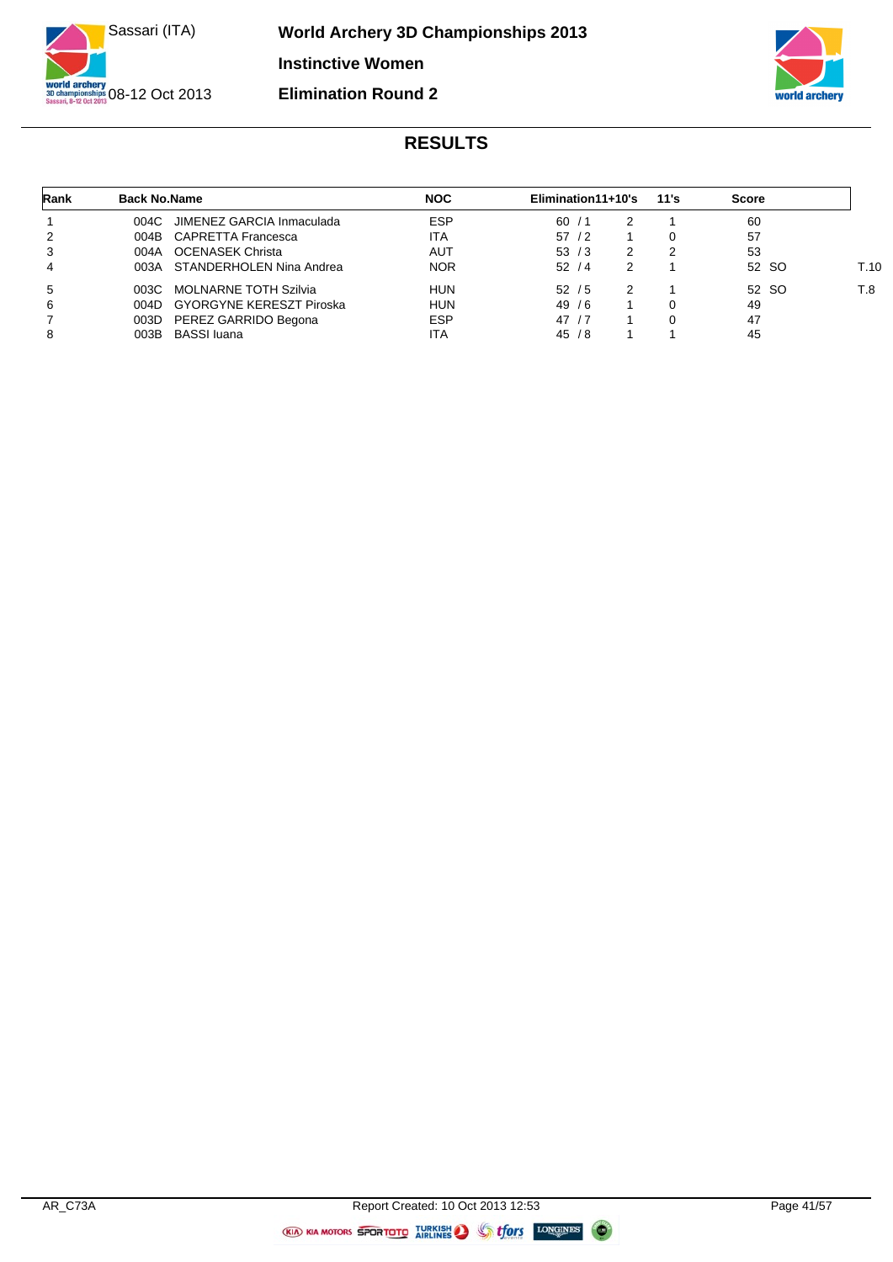



| Rank | <b>Back No.Name</b> |                                 | <b>NOC</b> | Elimination11+10's |   | 11's     | <b>Score</b> |      |
|------|---------------------|---------------------------------|------------|--------------------|---|----------|--------------|------|
|      | 004C                | JIMENEZ GARCIA Inmaculada       | <b>ESP</b> | 60/1               |   |          | -60          |      |
| 2    |                     | 004B CAPRETTA Francesca         | ITA        | 57/2               |   | $\Omega$ | 57           |      |
| 3    |                     | 004A OCENASEK Christa           | AUT        | 53/3               | 2 | 2        | 53           |      |
| 4    |                     | 003A STANDERHOLEN Nina Andrea   | <b>NOR</b> | 52/4               | 2 |          | 52 SO        | T.10 |
| 5    | 003C                | <b>MOLNARNE TOTH Szilvia</b>    | <b>HUN</b> | 52/5               | 2 |          | 52 SO        | T.8  |
| 6    | 004D                | <b>GYORGYNE KERESZT Piroska</b> | <b>HUN</b> | 49/6               |   | 0        | 49           |      |
| 7    | 003D                | PEREZ GARRIDO Begona            | <b>ESP</b> | 47/7               |   | $\Omega$ | 47           |      |
| 8    | 003B                | <b>BASSI</b> luana              | ITA        | 45/8               |   |          | 45           |      |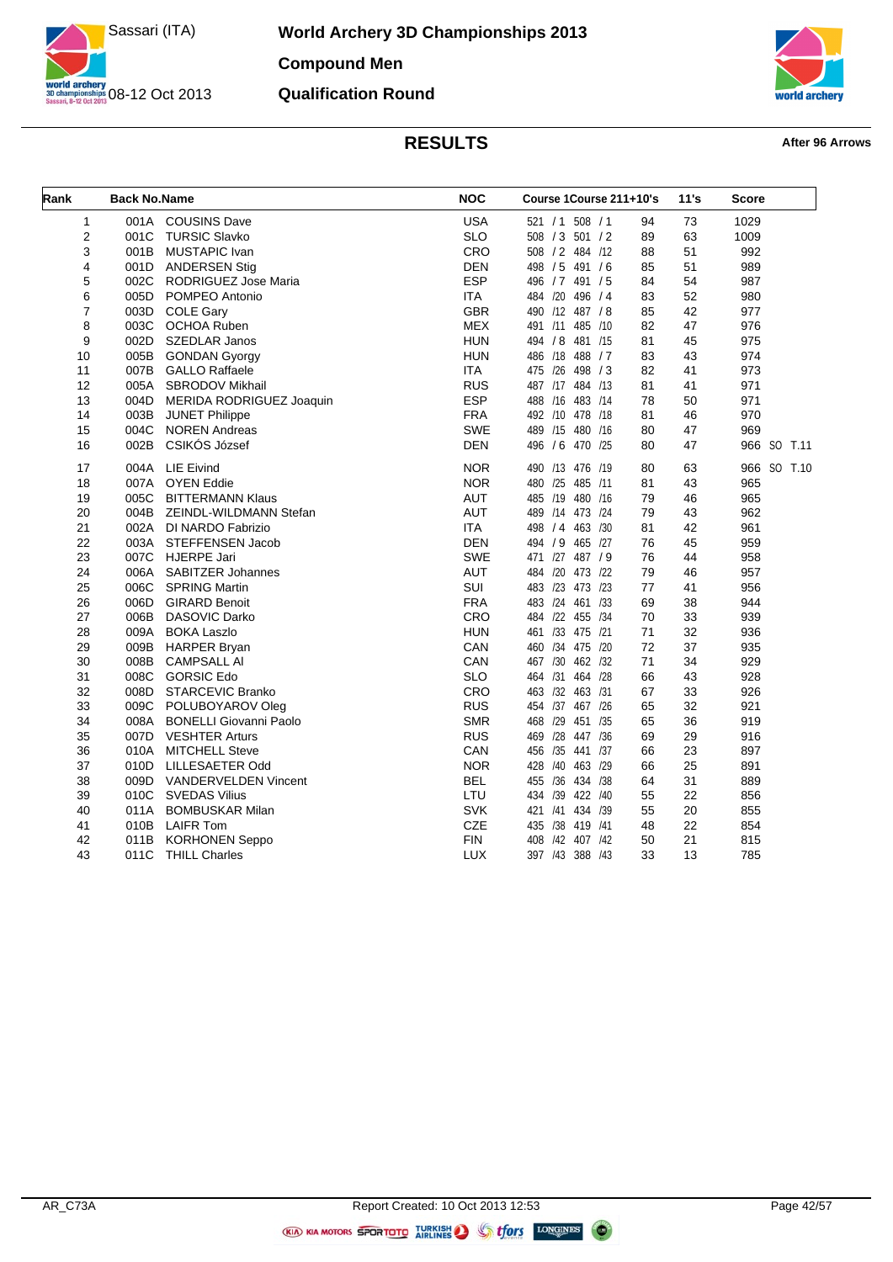

**World Archery 3D Championships 2013 Compound Men Qualification Round**



| Rank           | <b>Back No.Name</b> |                               | <b>NOC</b> | Course 1Course 211+10's |    | 11's | <b>Score</b> |      |
|----------------|---------------------|-------------------------------|------------|-------------------------|----|------|--------------|------|
| 1              |                     | 001A COUSINS Dave             | <b>USA</b> | 521 / 1 508 / 1         | 94 | 73   | 1029         |      |
| 2              |                     | 001C TURSIC Slavko            | <b>SLO</b> | 508 / 3 501 / 2         | 89 | 63   | 1009         |      |
| 3              | 001B                | <b>MUSTAPIC Ivan</b>          | CRO        | 508 / 2 484 /12         | 88 | 51   | 992          |      |
| 4              | 001D                | <b>ANDERSEN Stig</b>          | <b>DEN</b> | 498 / 5 491 / 6         | 85 | 51   | 989          |      |
| 5              |                     | 002C RODRIGUEZ Jose Maria     | <b>ESP</b> | 496 / 7 491 / 5         | 84 | 54   | 987          |      |
| 6              | 005D                | POMPEO Antonio                | <b>ITA</b> | 484 /20<br>496 / 4      | 83 | 52   | 980          |      |
| $\overline{7}$ | 003D                | <b>COLE Gary</b>              | <b>GBR</b> | 490 /12 487 / 8         | 85 | 42   | 977          |      |
| 8              |                     | 003C OCHOA Ruben              | <b>MEX</b> | 491 /11 485 /10         | 82 | 47   | 976          |      |
| 9              | 002D                | <b>SZEDLAR Janos</b>          | <b>HUN</b> | 494 / 8 481 /15         | 81 | 45   | 975          |      |
| 10             |                     | 005B GONDAN Gyorgy            | <b>HUN</b> | 486 /18 488 / 7         | 83 | 43   | 974          |      |
| 11             |                     | 007B GALLO Raffaele           | <b>ITA</b> | 475 /26<br>498 / 3      | 82 | 41   | 973          |      |
| 12             | 005A                | SBRODOV Mikhail               | <b>RUS</b> | 487 /17 484 /13         | 81 | 41   | 971          |      |
| 13             |                     | 004D MERIDA RODRIGUEZ Joaquin | <b>ESP</b> | 488 /16<br>483 /14      | 78 | 50   | 971          |      |
| 14             |                     | 003B JUNET Philippe           | <b>FRA</b> | 492 /10 478 /18         | 81 | 46   | 970          |      |
| 15             | 004C                | <b>NOREN Andreas</b>          | <b>SWE</b> | 489 /15 480 /16         | 80 | 47   | 969          |      |
| 16             | 002B                | CSIKÓS József                 | <b>DEN</b> | 496 / 6 470 /25         | 80 | 47   | 966 SO       | T.11 |
| 17             |                     | 004A LIE Eivind               | <b>NOR</b> | 490 /13 476 /19         | 80 | 63   | 966 SO T.10  |      |
| 18             | 007A                | <b>OYEN Eddie</b>             | <b>NOR</b> | 480 /25 485 /11         | 81 | 43   | 965          |      |
| 19             |                     | 005C BITTERMANN Klaus         | <b>AUT</b> | 485 /19 480 /16         | 79 | 46   | 965          |      |
| 20             | 004B                | ZEINDL-WILDMANN Stefan        | <b>AUT</b> | 489 /14 473 /24         | 79 | 43   | 962          |      |
| 21             |                     | 002A DI NARDO Fabrizio        | <b>ITA</b> | 498 / 4 463 / 30        | 81 | 42   | 961          |      |
| 22             |                     | 003A STEFFENSEN Jacob         | <b>DEN</b> | 494 / 9<br>465 /27      | 76 | 45   | 959          |      |
| 23             |                     | 007C HJERPE Jari              | SWE        | 471 /27 487 / 9         | 76 | 44   | 958          |      |
| 24             | 006A                | <b>SABITZER Johannes</b>      | <b>AUT</b> | 484 /20 473 /22         | 79 | 46   | 957          |      |
| 25             | 006C                | <b>SPRING Martin</b>          | SUI        | 483 /23 473 /23         | 77 | 41   | 956          |      |
| 26             | 006D                | <b>GIRARD Benoit</b>          | <b>FRA</b> | 483 /24 461 /33         | 69 | 38   | 944          |      |
| 27             | 006B                | DASOVIC Darko                 | CRO        | 484 /22 455 /34         | 70 | 33   | 939          |      |
| 28             | 009A                | <b>BOKA Laszlo</b>            | <b>HUN</b> | 461 /33 475 /21         | 71 | 32   | 936          |      |
| 29             |                     | 009B HARPER Bryan             | CAN        | 460 /34 475 /20         | 72 | 37   | 935          |      |
| 30             | 008B                | <b>CAMPSALL AI</b>            | CAN        | 467 /30 462 /32         | 71 | 34   | 929          |      |
| 31             | 008C                | <b>GORSIC Edo</b>             | <b>SLO</b> | 464 /31 464 /28         | 66 | 43   | 928          |      |
| 32             |                     | 008D STARCEVIC Branko         | CRO        | 463 /32 463 /31         | 67 | 33   | 926          |      |
| 33             |                     | 009C POLUBOYAROV Oleg         | <b>RUS</b> | 454 /37 467 /26         | 65 | 32   | 921          |      |
| 34             | 008A                | <b>BONELLI Giovanni Paolo</b> | <b>SMR</b> | 468 /29 451 /35         | 65 | 36   | 919          |      |
| 35             |                     | 007D VESHTER Arturs           | <b>RUS</b> | 469 /28 447 /36         | 69 | 29   | 916          |      |
| 36             | 010A                | <b>MITCHELL Steve</b>         | CAN        | 456 /35<br>441 /37      | 66 | 23   | 897          |      |
| 37             |                     | 010D LILLESAETER Odd          | <b>NOR</b> | 428 /40 463 /29         | 66 | 25   | 891          |      |
| 38             |                     | 009D VANDERVELDEN Vincent     | <b>BEL</b> | 455 /36<br>434 /38      | 64 | 31   | 889          |      |
| 39             |                     | 010C SVEDAS Vilius            | LTU        | 434 /39 422 /40         | 55 | 22   | 856          |      |
| 40             | 011A                | <b>BOMBUSKAR Milan</b>        | <b>SVK</b> | 421 /41 434 /39         | 55 | 20   | 855          |      |
| 41             |                     | 010B LAIFR Tom                | <b>CZE</b> | 435 /38 419 /41         | 48 | 22   | 854          |      |
| 42             |                     | 011B KORHONEN Seppo           | <b>FIN</b> | 408 /42 407 /42         | 50 | 21   | 815          |      |
| 43             | 011C                | <b>THILL Charles</b>          | <b>LUX</b> | 397 /43 388 /43         | 33 | 13   | 785          |      |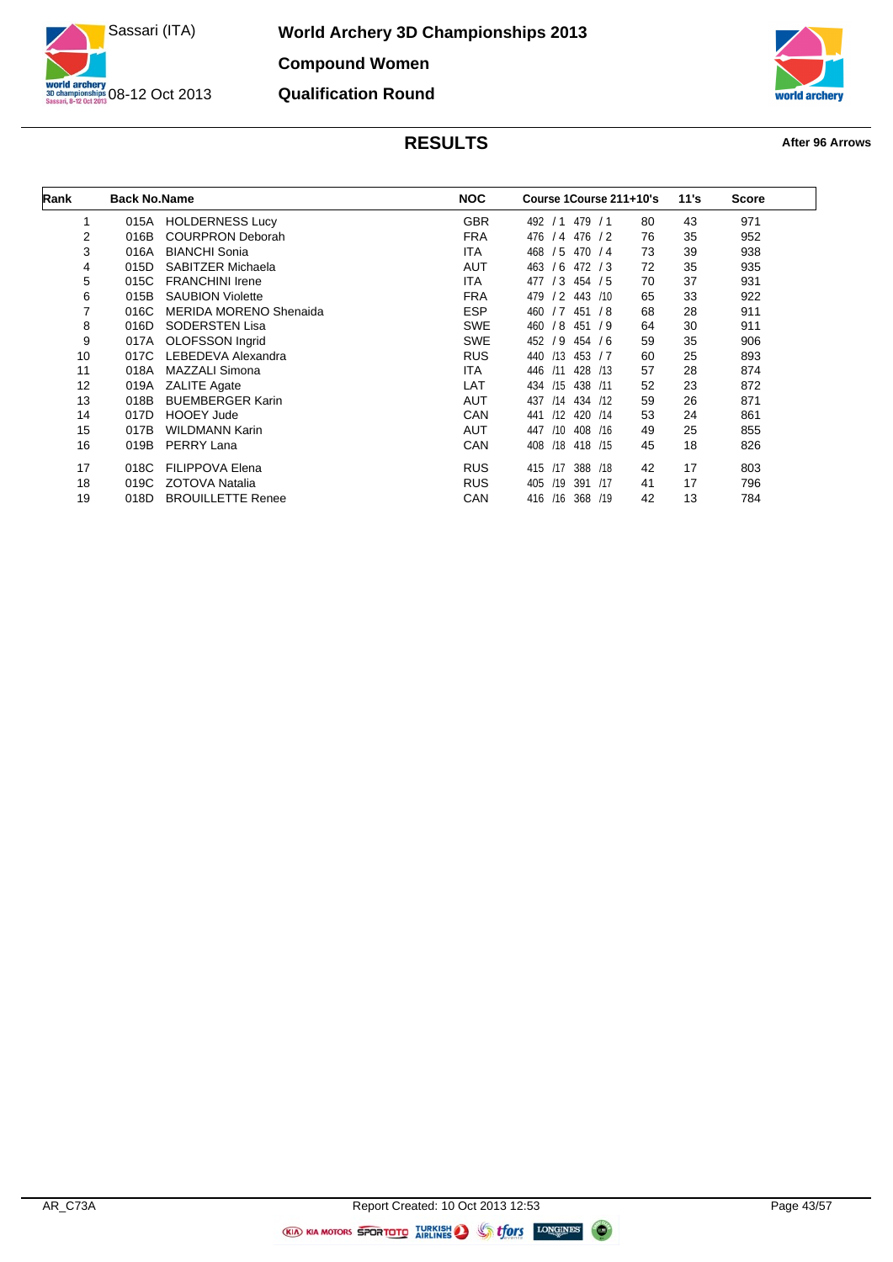

**World Archery 3D Championships 2013 Compound Women Qualification Round**



| Rank | <b>Back No.Name</b> |                               | <b>NOC</b> | Course 1Course 211+10's           |    | 11's | <b>Score</b> |
|------|---------------------|-------------------------------|------------|-----------------------------------|----|------|--------------|
| 1    | 015A                | <b>HOLDERNESS Lucy</b>        | <b>GBR</b> | 492<br>479<br>/1<br>/1            | 80 | 43   | 971          |
| 2    | 016B                | <b>COURPRON Deborah</b>       | <b>FRA</b> | 476<br>476<br>/4<br>$\frac{1}{2}$ | 76 | 35   | 952          |
| 3    | 016A                | <b>BIANCHI Sonia</b>          | <b>ITA</b> | 468<br>/5<br>470/4                | 73 | 39   | 938          |
| 4    | 015D                | SABITZER Michaela             | <b>AUT</b> | 463<br>/6<br>472/3                | 72 | 35   | 935          |
| 5    | 015C                | <b>FRANCHINI Irene</b>        | ITA.       | 477<br>/3<br>454 / 5              | 70 | 37   | 931          |
| 6    | 015B                | <b>SAUBION Violette</b>       | <b>FRA</b> | 479<br>/2<br>443<br>/10           | 65 | 33   | 922          |
| 7    | 016C                | <b>MERIDA MORENO Shenaida</b> | <b>ESP</b> | 460<br>/7<br>451<br><i>1</i> 8    | 68 | 28   | 911          |
| 8    | 016D                | <b>SODERSTEN Lisa</b>         | SWE        | /8<br>460<br>451<br>- 19          | 64 | 30   | 911          |
| 9    | 017A                | OLOFSSON Ingrid               | <b>SWE</b> | 452<br>/9<br>454<br>76            | 59 | 35   | 906          |
| 10   | 017C                | LEBEDEVA Alexandra            | <b>RUS</b> | 440<br>/13<br>453<br>/7           | 60 | 25   | 893          |
| 11   | 018A                | MAZZALI Simona                | <b>ITA</b> | 446<br>/11<br>428<br>/13          | 57 | 28   | 874          |
| 12   | 019A                | <b>ZALITE Agate</b>           | LAT        | /15<br>438<br>434<br>/11          | 52 | 23   | 872          |
| 13   | 018B                | <b>BUEMBERGER Karin</b>       | <b>AUT</b> | /14<br>434<br>437<br>/12          | 59 | 26   | 871          |
| 14   | 017D                | <b>HOOEY Jude</b>             | CAN        | /12<br>441<br>420<br>/14          | 53 | 24   | 861          |
| 15   | 017B                | <b>WILDMANN Karin</b>         | <b>AUT</b> | 447<br>/10<br>408<br>/16          | 49 | 25   | 855          |
| 16   | 019B                | PERRY Lana                    | CAN        | /18<br>408<br>418<br>/15          | 45 | 18   | 826          |
| 17   | 018C                | <b>FILIPPOVA Elena</b>        | <b>RUS</b> | /17<br>388<br>415<br>/18          | 42 | 17   | 803          |
| 18   | 019C                | <b>ZOTOVA Natalia</b>         | <b>RUS</b> | 405<br>/19<br>391<br>/17          | 41 | 17   | 796          |
| 19   | 018D                | <b>BROUILLETTE Renee</b>      | CAN        | 416<br>/16<br>368<br>/19          | 42 | 13   | 784          |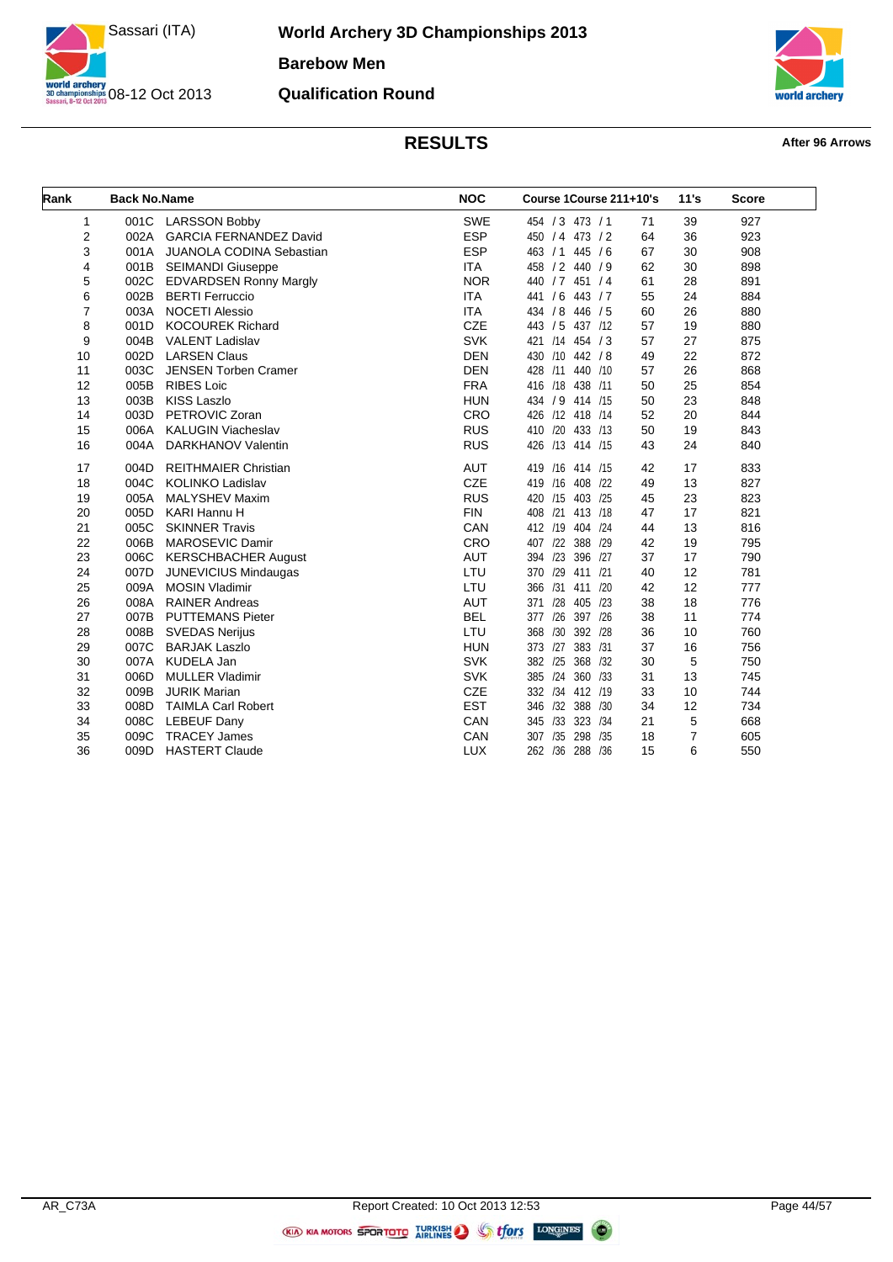

**World Archery 3D Championships 2013 Barebow Men Qualification Round**



| Rank | <b>Back No.Name</b> |                                 | <b>NOC</b> | Course 1Course 211+10's        | 11's | <b>Score</b> |
|------|---------------------|---------------------------------|------------|--------------------------------|------|--------------|
|      |                     |                                 |            |                                |      |              |
| 1    | 001C                | <b>LARSSON Bobby</b>            | <b>SWE</b> | 454 / 3 473 / 1<br>71          | 39   | 927          |
| 2    | 002A                | <b>GARCIA FERNANDEZ David</b>   | <b>ESP</b> | 450 / 4 473 / 2<br>64          | 36   | 923          |
| 3    | 001A                | <b>JUANOLA CODINA Sebastian</b> | <b>ESP</b> | 445/6<br>67<br>463 / 1         | 30   | 908          |
| 4    | 001B                | <b>SEIMANDI Giuseppe</b>        | <b>ITA</b> | 458 / 2 440 / 9<br>62          | 30   | 898          |
| 5    | 002C                | EDVARDSEN Ronny Margly          | <b>NOR</b> | 440 / 7 451 / 4<br>61          | 28   | 891          |
| 6    | 002B                | <b>BERTI Ferruccio</b>          | <b>ITA</b> | 55<br>441 / 6<br>443 / 7       | 24   | 884          |
| 7    | 003A                | <b>NOCETI Alessio</b>           | <b>ITA</b> | 434 / 8<br>446 / 5<br>60       | 26   | 880          |
| 8    | 001D                | <b>KOCOUREK Richard</b>         | <b>CZE</b> | 443 / 5<br>57<br>437 /12       | 19   | 880          |
| 9    | 004B                | <b>VALENT Ladislav</b>          | SVK        | 421 /14<br>454 / 3<br>57       | 27   | 875          |
| 10   | 002D                | <b>LARSEN Claus</b>             | <b>DEN</b> | 430 /10<br>442 / 8<br>49       | 22   | 872          |
| 11   | 003C                | <b>JENSEN Torben Cramer</b>     | <b>DEN</b> | 428 /11<br>440 /10<br>57       | 26   | 868          |
| 12   | 005B                | <b>RIBES Loic</b>               | <b>FRA</b> | 438 /11<br>416 /18<br>50       | 25   | 854          |
| 13   | 003B                | <b>KISS Laszlo</b>              | <b>HUN</b> | 434 / 9 414 /15<br>50          | 23   | 848          |
| 14   | 003D                | PETROVIC Zoran                  | CRO        | 426 /12 418 /14<br>52          | 20   | 844          |
| 15   | 006A                | <b>KALUGIN Viacheslav</b>       | <b>RUS</b> | 410 /20 433 /13<br>50          | 19   | 843          |
| 16   | 004A                | <b>DARKHANOV Valentin</b>       | <b>RUS</b> | 426 /13 414 /15<br>43          | 24   | 840          |
| 17   | 004D                | <b>REITHMAIER Christian</b>     | <b>AUT</b> | 419 /16 414 /15<br>42          | 17   | 833          |
| 18   | 004C                | <b>KOLINKO Ladislav</b>         | <b>CZE</b> | 419 /16<br>408 /22<br>49       | 13   | 827          |
| 19   | 005A                | <b>MALYSHEV Maxim</b>           | <b>RUS</b> | 420 /15<br>403 /25<br>45       | 23   | 823          |
| 20   | 005D                | <b>KARI Hannu H</b>             | <b>FIN</b> | 408 /21<br>413 /18<br>47       | 17   | 821          |
| 21   | 005C                | <b>SKINNER Travis</b>           | CAN        | 412 /19<br>404 /24<br>44       | 13   | 816          |
| 22   | 006B                | MAROSEVIC Damir                 | CRO        | 122<br>388 /29<br>407<br>42    | 19   | 795          |
| 23   | 006C                | <b>KERSCHBACHER August</b>      | <b>AUT</b> | /23<br>396 /27<br>37<br>394    | 17   | 790          |
| 24   | 007D                | <b>JUNEVICIUS Mindaugas</b>     | LTU        | /29<br>411 /21<br>370<br>40    | 12   | 781          |
| 25   | 009A                | <b>MOSIN Vladimir</b>           | LTU        | /31<br>411 /20<br>42<br>366    | 12   | 777          |
| 26   | 008A                | <b>RAINER Andreas</b>           | <b>AUT</b> | /28<br>405 /23<br>38<br>371    | 18   | 776          |
| 27   | 007B                | <b>PUTTEMANS Pieter</b>         | <b>BEL</b> | /26<br>397 /26<br>38<br>377    | 11   | 774          |
| 28   | 008B                | <b>SVEDAS Nerijus</b>           | LTU        | /30<br>392 /28<br>36<br>368    | 10   | 760          |
| 29   | 007C                | <b>BARJAK Laszlo</b>            | <b>HUN</b> | 383 /31<br>37<br>373 /27       | 16   | 756          |
| 30   | 007A                | <b>KUDELA Jan</b>               | <b>SVK</b> | 368 /32<br>30<br>382 /25       | 5    | 750          |
| 31   | 006D                | <b>MULLER Vladimir</b>          | <b>SVK</b> | /24<br>385<br>360 /33<br>31    | 13   | 745          |
| 32   | 009B                | <b>JURIK Marian</b>             | <b>CZE</b> | 332 /34<br>412 /19<br>33       | 10   | 744          |
| 33   | 008D                | <b>TAIMLA Carl Robert</b>       | <b>EST</b> | 388 /30<br>346 /32<br>34       | 12   | 734          |
| 34   | 008C                | <b>LEBEUF Dany</b>              | CAN        | /33<br>323 /34<br>21<br>345    | 5    | 668          |
| 35   | 009C                | <b>TRACEY James</b>             | CAN        | /35<br>298<br>/35<br>307<br>18 | 7    | 605          |
| 36   | 009D                | <b>HASTERT Claude</b>           | <b>LUX</b> | 262 /36<br>288 /36<br>15       | 6    | 550          |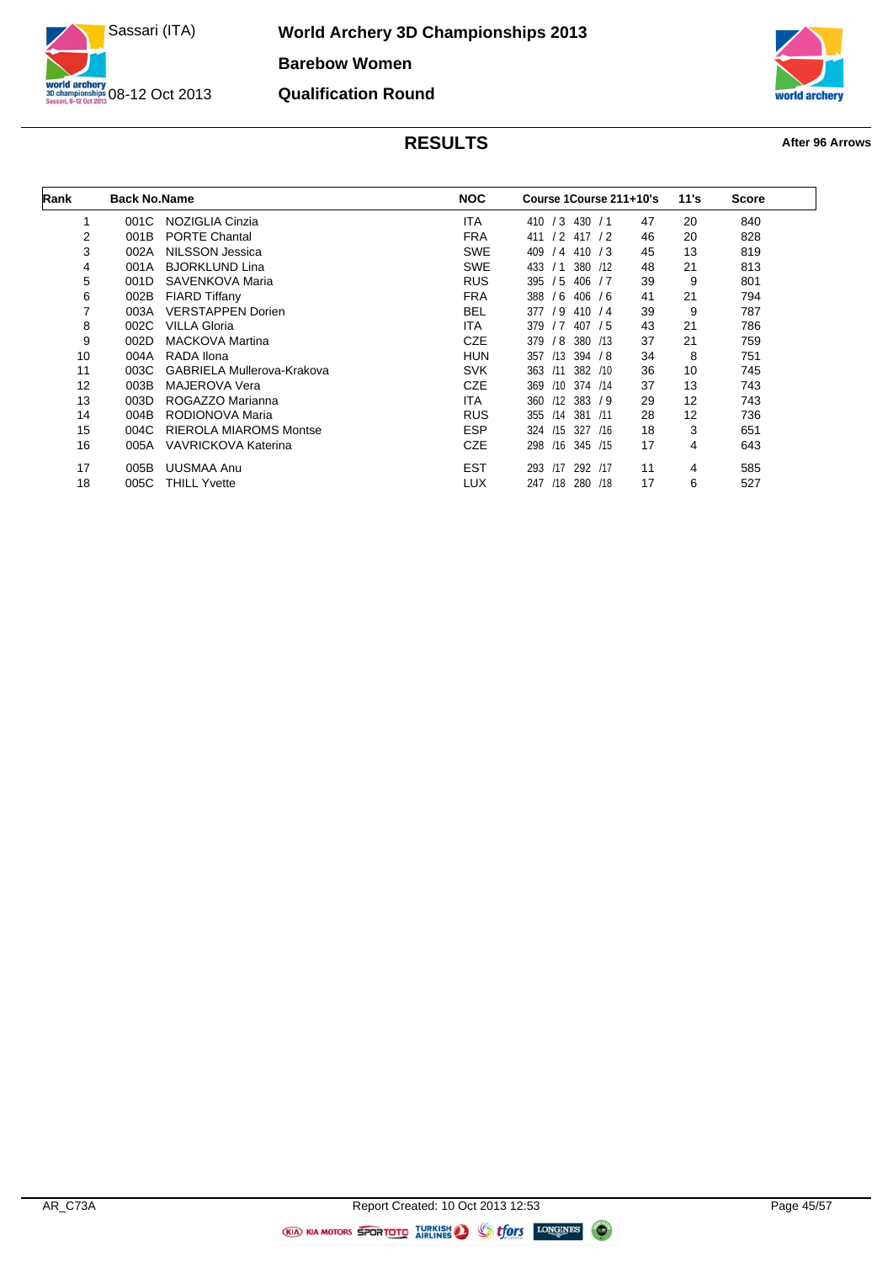

**World Archery 3D Championships 2013 Barebow Women Qualification Round**



| Rank | <b>Back No.Name</b> |                               | <b>NOC</b> | Course 1Course 211+10's   |    | 11's | <b>Score</b> |
|------|---------------------|-------------------------------|------------|---------------------------|----|------|--------------|
|      | 001C                | NOZIGLIA Cinzia               | <b>ITA</b> | /3<br>430/1<br>410        | 47 | 20   | 840          |
| 2    | 001B                | <b>PORTE Chantal</b>          | <b>FRA</b> | $/2$ 417 $/2$<br>411      | 46 | 20   | 828          |
| 3    | 002A                | NILSSON Jessica               | <b>SWE</b> | 409<br>/4<br>410 / 3      | 45 | 13   | 819          |
| 4    | 001A                | <b>BJORKLUND Lina</b>         | <b>SWE</b> | 433<br>380<br>/1<br>- 112 | 48 | 21   | 813          |
| 5    | 001D                | SAVENKOVA Maria               | <b>RUS</b> | /5<br>406<br>395<br>/7    | 39 | 9    | 801          |
| 6    | 002B                | <b>FIARD Tiffany</b>          | <b>FRA</b> | /6<br>388<br>406<br>76    | 41 | 21   | 794          |
| 7    | 003A                | <b>VERSTAPPEN Dorien</b>      | <b>BEL</b> | /9<br>377<br>410/4        | 39 | 9    | 787          |
| 8    | 002C                | <b>VILLA Gloria</b>           | <b>ITA</b> | 379<br>/7<br>407<br>/5    | 43 | 21   | 786          |
| 9    | 002D                | <b>MACKOVA Martina</b>        | <b>CZE</b> | /8<br>380<br>379<br>/13   | 37 | 21   | 759          |
| 10   | 004A                | RADA Ilona                    | <b>HUN</b> | /13<br>394<br>357<br>78   | 34 | 8    | 751          |
| 11   | 003C                | GABRIELA Mullerova-Krakova    | <b>SVK</b> | 363<br>/11<br>382 /10     | 36 | 10   | 745          |
| 12   | 003B                | <b>MAJEROVA Vera</b>          | <b>CZE</b> | 374 /14<br>369<br>/10     | 37 | 13   | 743          |
| 13   | 003D                | ROGAZZO Marianna              | <b>ITA</b> | /12<br>383 / 9<br>360     | 29 | 12   | 743          |
| 14   | 004B                | RODIONOVA Maria               | <b>RUS</b> | 381<br>355<br>/14<br>/11  | 28 | 12   | 736          |
| 15   | 004C                | <b>RIEROLA MIAROMS Montse</b> | <b>ESP</b> | /15<br>327<br>324<br>/16  | 18 | 3    | 651          |
| 16   | 005A                | VAVRICKOVA Katerina           | <b>CZE</b> | /16<br>298<br>345 /15     | 17 | 4    | 643          |
| 17   | 005B                | <b>UUSMAA Anu</b>             | <b>EST</b> | /17<br>292 /17<br>293     | 11 | 4    | 585          |
| 18   | 005C                | <b>THILL Yvette</b>           | <b>LUX</b> | 247<br>/18<br>280<br>/18  | 17 | 6    | 527          |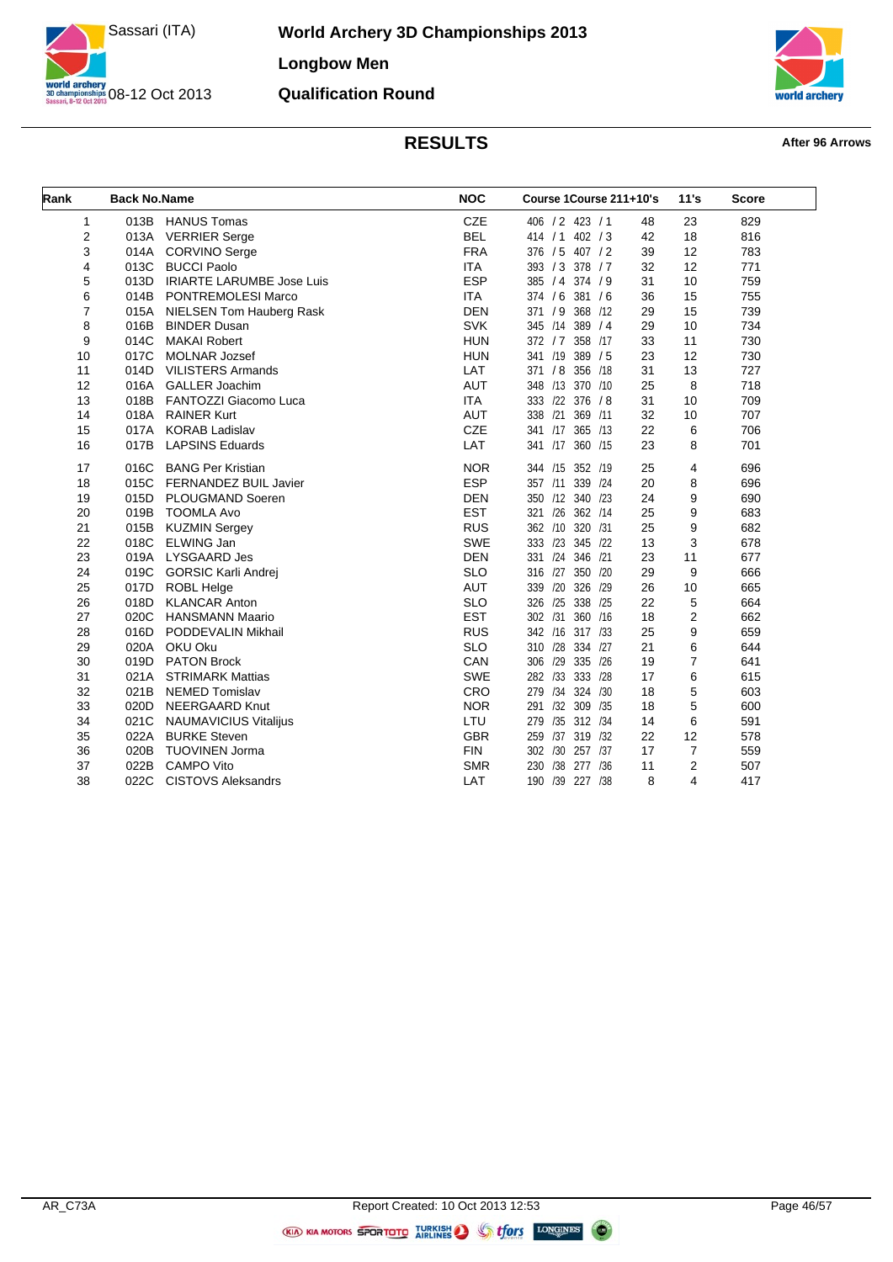

**World Archery 3D Championships 2013 Longbow Men Qualification Round**



| Rank<br><b>NOC</b><br><b>Back No.Name</b> |      | Course 1Course 211+10's          |            | 11's                  | <b>Score</b> |    |     |
|-------------------------------------------|------|----------------------------------|------------|-----------------------|--------------|----|-----|
| $\mathbf{1}$                              | 013B | <b>HANUS Tomas</b>               | CZE        | 406 / 2 423 / 1       | 48           | 23 | 829 |
| $\overline{2}$                            | 013A | <b>VERRIER Serge</b>             | <b>BEL</b> | 414 / 1<br>402 / 3    | 42           | 18 | 816 |
| 3                                         | 014A | <b>CORVINO Serge</b>             | <b>FRA</b> | 376 / 5 407 / 2       | 39           | 12 | 783 |
| 4                                         | 013C | <b>BUCCI Paolo</b>               | <b>ITA</b> | 393 / 3 378 / 7       | 32           | 12 | 771 |
| 5                                         | 013D | <b>IRIARTE LARUMBE Jose Luis</b> | <b>ESP</b> | 385 / 4 374 / 9       | 31           | 10 | 759 |
| 6                                         | 014B | PONTREMOLESI Marco               | <b>ITA</b> | 374 / 6 381 / 6       | 36           | 15 | 755 |
| 7                                         | 015A | NIELSEN Tom Hauberg Rask         | <b>DEN</b> | 371 / 9 368 /12       | 29           | 15 | 739 |
| 8                                         | 016B | <b>BINDER Dusan</b>              | <b>SVK</b> | 345 /14<br>389 / 4    | 29           | 10 | 734 |
| 9                                         | 014C | <b>MAKAI Robert</b>              | <b>HUN</b> | 358 /17<br>372 / 7    | 33           | 11 | 730 |
| 10                                        | 017C | <b>MOLNAR Jozsef</b>             | <b>HUN</b> | 341 /19<br>389 / 5    | 23           | 12 | 730 |
| 11                                        | 014D | <b>VILISTERS Armands</b>         | LAT        | 371 / 8 356 /18       | 31           | 13 | 727 |
| 12                                        | 016A | <b>GALLER Joachim</b>            | <b>AUT</b> | 348 /13 370 /10       | 25           | 8  | 718 |
| 13                                        | 018B | FANTOZZI Giacomo Luca            | <b>ITA</b> | 333 /22 376 / 8       | 31           | 10 | 709 |
| 14                                        | 018A | <b>RAINER Kurt</b>               | <b>AUT</b> | 338 /21<br>369 /11    | 32           | 10 | 707 |
| 15                                        | 017A | <b>KORAB Ladislav</b>            | <b>CZE</b> | 341 /17 365 /13       | 22           | 6  | 706 |
| 16                                        | 017B | <b>LAPSINS Eduards</b>           | LAT        | 341 /17 360 /15       | 23           | 8  | 701 |
| 17                                        | 016C | <b>BANG Per Kristian</b>         | <b>NOR</b> | 344 /15 352 /19       | 25           | 4  | 696 |
| 18                                        | 015C | <b>FERNANDEZ BUIL Javier</b>     | <b>ESP</b> | 339 /24<br>357 /11    | 20           | 8  | 696 |
| 19                                        | 015D | PLOUGMAND Soeren                 | <b>DEN</b> | 350 /12 340 /23       | 24           | 9  | 690 |
| 20                                        | 019B | <b>TOOMLA Avo</b>                | <b>EST</b> | 321 /26<br>362 /14    | 25           | 9  | 683 |
| 21                                        | 015B | <b>KUZMIN Sergey</b>             | <b>RUS</b> | 362 /10<br>320 /31    | 25           | 9  | 682 |
| 22                                        | 018C | <b>ELWING Jan</b>                | <b>SWE</b> | 333 /23 345 /22       | 13           | 3  | 678 |
| 23                                        | 019A | <b>LYSGAARD Jes</b>              | <b>DEN</b> | 331 /24<br>346 /21    | 23           | 11 | 677 |
| 24                                        | 019C | <b>GORSIC Karli Andrej</b>       | <b>SLO</b> | 316 /27 350 /20       | 29           | 9  | 666 |
| 25                                        | 017D | ROBL Helge                       | <b>AUT</b> | 339 /20<br>326 /29    | 26           | 10 | 665 |
| 26                                        | 018D | <b>KLANCAR Anton</b>             | <b>SLO</b> | 326 /25<br>338 /25    | 22           | 5  | 664 |
| 27                                        | 020C | <b>HANSMANN Maario</b>           | <b>EST</b> | 302 /31<br>360 /16    | 18           | 2  | 662 |
| 28                                        | 016D | PODDEVALIN Mikhail               | <b>RUS</b> | 342 /16 317 /33       | 25           | 9  | 659 |
| 29                                        | 020A | OKU Oku                          | <b>SLO</b> | 310 /28<br>334 /27    | 21           | 6  | 644 |
| 30                                        | 019D | <b>PATON Brock</b>               | CAN        | 306 /29<br>335 /26    | 19           | 7  | 641 |
| 31                                        | 021A | <b>STRIMARK Mattias</b>          | <b>SWE</b> | 282 /33<br>333 /28    | 17           | 6  | 615 |
| 32                                        | 021B | <b>NEMED Tomislav</b>            | CRO        | 279 /34<br>324 /30    | 18           | 5  | 603 |
| 33                                        | 020D | NEERGAARD Knut                   | <b>NOR</b> | /32 309 /35<br>291    | 18           | 5  | 600 |
| 34                                        | 021C | <b>NAUMAVICIUS Vitalijus</b>     | LTU        | 279 /35 312 /34       | 14           | 6  | 591 |
| 35                                        | 022A | <b>BURKE Steven</b>              | <b>GBR</b> | 259 /37 319 /32       | 22           | 12 | 578 |
| 36                                        | 020B | <b>TUOVINEN Jorma</b>            | <b>FIN</b> | 302 /30 257 /37       | 17           | 7  | 559 |
| 37                                        | 022B | <b>CAMPO Vito</b>                | <b>SMR</b> | /38<br>277 /36<br>230 | 11           | 2  | 507 |
| 38                                        | 022C | <b>CISTOVS Aleksandrs</b>        | LAT        | 190 /39 227 /38       | 8            | 4  | 417 |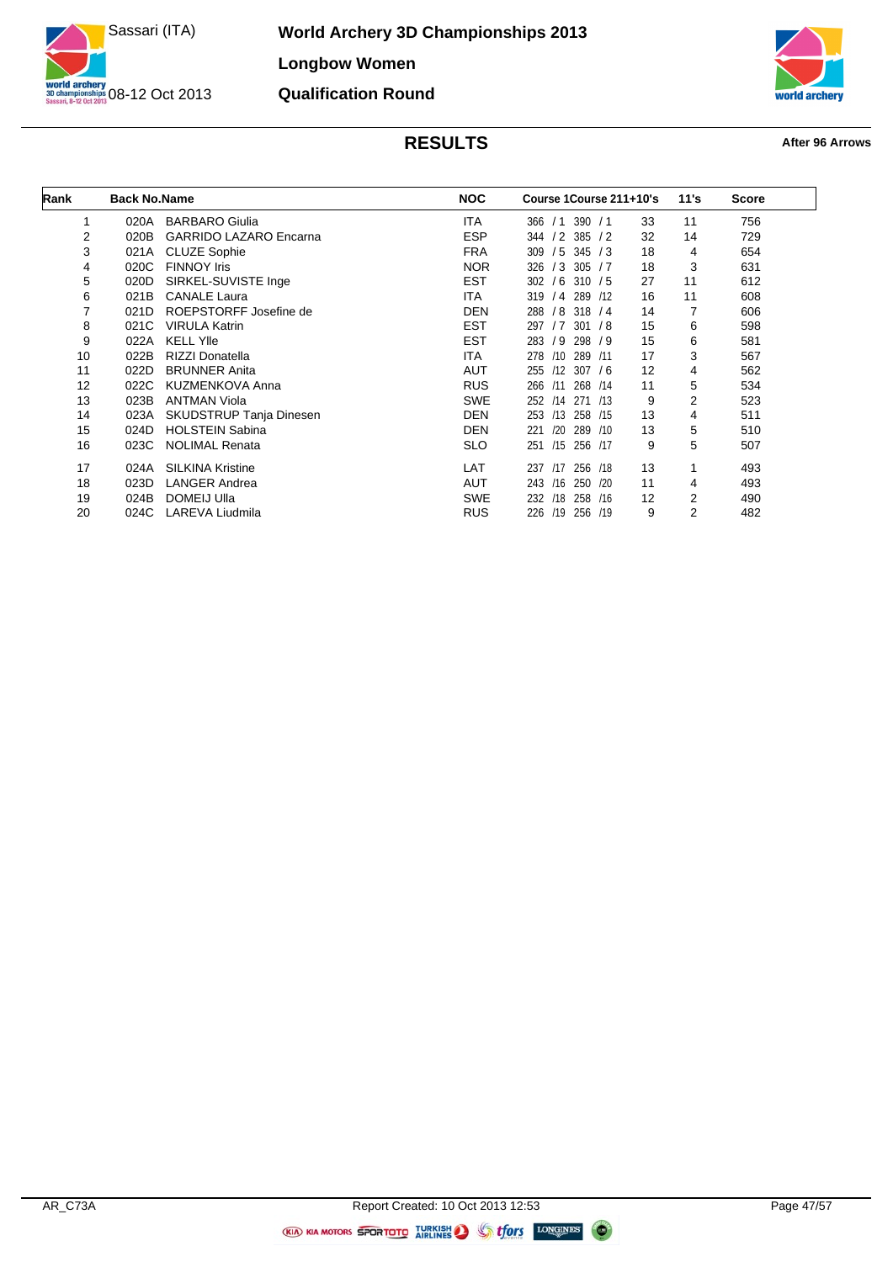

**World Archery 3D Championships 2013 Longbow Women Qualification Round**



| Rank | <b>Back No.Name</b> |                                | <b>NOC</b> | Course 1Course 211+10's           |    | 11's | <b>Score</b> |
|------|---------------------|--------------------------------|------------|-----------------------------------|----|------|--------------|
|      | 020A                | <b>BARBARO Giulia</b>          | <b>ITA</b> | 390 / 1<br>366<br>/1              | 33 | 11   | 756          |
| 2    | 020B                | <b>GARRIDO LAZARO Encarna</b>  | <b>ESP</b> | 385<br>/2<br>344<br>$\frac{1}{2}$ | 32 | 14   | 729          |
| 3    | 021A                | <b>CLUZE Sophie</b>            | <b>FRA</b> | 309<br>/5<br>345/3                | 18 | 4    | 654          |
| 4    | 020C                | <b>FINNOY Iris</b>             | <b>NOR</b> | 326<br>/3<br>305 / 7              | 18 | 3    | 631          |
| 5    | 020D                | SIRKEL-SUVISTE Inge            | <b>EST</b> | /6<br>302<br>310 / 5              | 27 | 11   | 612          |
| 6    | 021B                | <b>CANALE Laura</b>            | <b>ITA</b> | 319<br>/4<br>289 /12              | 16 | 11   | 608          |
| 7    | 021D                | ROEPSTORFF Josefine de         | <b>DEN</b> | 288<br>$/8$ 318 $/4$              | 14 | 7    | 606          |
| 8    | 021C                | <b>VIRULA Katrin</b>           | <b>EST</b> | /7<br>301 / 8<br>297              | 15 | 6    | 598          |
| 9    | 022A                | <b>KELL YIIe</b>               | <b>EST</b> | 283<br>/9<br>298 / 9              | 15 | 6    | 581          |
| 10   | 022B                | <b>RIZZI Donatella</b>         | <b>ITA</b> | 289<br>278<br>/10<br>/11          | 17 | 3    | 567          |
| 11   | 022D                | <b>BRUNNER Anita</b>           | <b>AUT</b> | /12<br>307 / 6<br>255             | 12 | 4    | 562          |
| 12   | 022C                | <b>KUZMENKOVA Anna</b>         | <b>RUS</b> | 266<br>/11<br>268 /14             | 11 | 5    | 534          |
| 13   | 023B                | <b>ANTMAN Viola</b>            | <b>SWE</b> | /14<br>271<br>252<br>/13          | 9  | 2    | 523          |
| 14   | 023A                | <b>SKUDSTRUP Tanja Dinesen</b> | <b>DEN</b> | /13<br>253<br>258 /15             | 13 | 4    | 511          |
| 15   | 024D                | <b>HOLSTEIN Sabina</b>         | <b>DEN</b> | 289<br>221<br>/20<br>/10          | 13 | 5    | 510          |
| 16   | 023C                | <b>NOLIMAL Renata</b>          | <b>SLO</b> | /15<br>251<br>256 /17             | 9  | 5    | 507          |
| 17   | 024A                | <b>SILKINA Kristine</b>        | LAT        | /17<br>256 /18<br>237             | 13 |      | 493          |
| 18   | 023D                | <b>LANGER Andrea</b>           | <b>AUT</b> | /16<br>250<br>120<br>243          | 11 | 4    | 493          |
| 19   | 024B                | DOMEIJ Ulla                    | <b>SWE</b> | 232<br>/18<br>258<br>/16          | 12 | 2    | 490          |
| 20   | 024C                | LAREVA Liudmila                | <b>RUS</b> | 226<br>256 /19<br>/19             | 9  | 2    | 482          |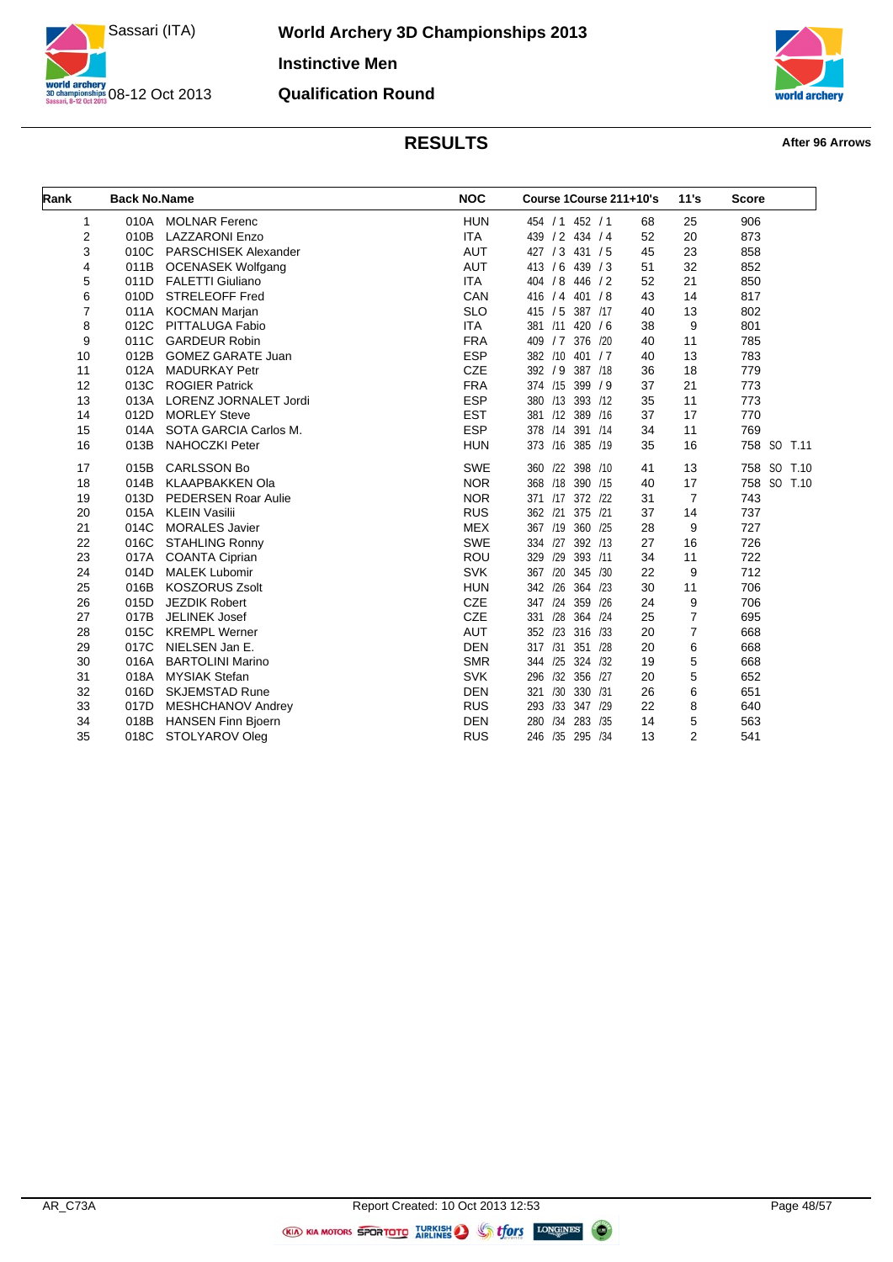

**World Archery 3D Championships 2013 Instinctive Men Qualification Round**



| Rank           | <b>Back No.Name</b> |                             | <b>NOC</b> | Course 1Course 211+10's |    | 11's           | <b>Score</b>   |
|----------------|---------------------|-----------------------------|------------|-------------------------|----|----------------|----------------|
| 1              | 010A                | <b>MOLNAR Ferenc</b>        | <b>HUN</b> | 454 / 1 452 / 1         | 68 | 25             | 906            |
| $\overline{2}$ | 010B                | <b>LAZZARONI Enzo</b>       | <b>ITA</b> | 439 / 2 434 / 4         | 52 | 20             | 873            |
| 3              | 010C                | <b>PARSCHISEK Alexander</b> | <b>AUT</b> | 427 / 3 431 / 5         | 45 | 23             | 858            |
| 4              | 011B                | <b>OCENASEK Wolfgang</b>    | <b>AUT</b> | 413 / 6 439 / 3         | 51 | 32             | 852            |
| 5              | 011D                | <b>FALETTI Giuliano</b>     | <b>ITA</b> | 404 / 8 446 / 2         | 52 | 21             | 850            |
| 6              | 010D                | <b>STRELEOFF Fred</b>       | CAN        | 416 / 4 401 / 8         | 43 | 14             | 817            |
| $\overline{7}$ |                     | 011A KOCMAN Marjan          | <b>SLO</b> | 415 / 5 387 /17         | 40 | 13             | 802            |
| 8              | 012C                | PITTALUGA Fabio             | <b>ITA</b> | 381 /11 420 / 6         | 38 | 9              | 801            |
| 9              | 011C                | <b>GARDEUR Robin</b>        | <b>FRA</b> | 409 / 7 376 / 20        | 40 | 11             | 785            |
| 10             | 012B                | <b>GOMEZ GARATE Juan</b>    | <b>ESP</b> | 382 /10 401 / 7         | 40 | 13             | 783            |
| 11             | 012A                | <b>MADURKAY Petr</b>        | <b>CZE</b> | 392 / 9 387 /18         | 36 | 18             | 779            |
| 12             | 013C                | <b>ROGIER Patrick</b>       | <b>FRA</b> | 374 /15 399 / 9         | 37 | 21             | 773            |
| 13             | 013A                | LORENZ JORNALET Jordi       | <b>ESP</b> | 380 /13 393 /12         | 35 | 11             | 773            |
| 14             | 012D                | <b>MORLEY Steve</b>         | <b>EST</b> | 381 /12 389 /16         | 37 | 17             | 770            |
| 15             | 014A                | SOTA GARCIA Carlos M.       | <b>ESP</b> | 378 /14<br>391 /14      | 34 | 11             | 769            |
| 16             | 013B                | <b>NAHOCZKI Peter</b>       | <b>HUN</b> | 373 /16 385 /19         | 35 | 16             | 758 SO<br>T.11 |
| 17             | 015B                | <b>CARLSSON Bo</b>          | <b>SWE</b> | 360 /22 398 /10         | 41 | 13             | 758 SO T.10    |
| 18             | 014B                | <b>KLAAPBAKKEN Ola</b>      | <b>NOR</b> | 368 /18 390 /15         | 40 | 17             | 758 SO T.10    |
| 19             | 013D                | <b>PEDERSEN Roar Aulie</b>  | <b>NOR</b> | 371 /17 372 /22         | 31 | $\overline{7}$ | 743            |
| 20             | 015A                | <b>KLEIN Vasilii</b>        | <b>RUS</b> | 362 /21<br>375 /21      | 37 | 14             | 737            |
| 21             | 014C                | <b>MORALES Javier</b>       | <b>MEX</b> | 367 /19<br>360 /25      | 28 | 9              | 727            |
| 22             | 016C                | <b>STAHLING Ronny</b>       | <b>SWE</b> | 334 /27<br>392 /13      | 27 | 16             | 726            |
| 23             | 017A                | <b>COANTA Ciprian</b>       | ROU        | /29<br>393 /11<br>329   | 34 | 11             | 722            |
| 24             | 014D                | <b>MALEK Lubomir</b>        | <b>SVK</b> | 367 /20<br>345 /30      | 22 | 9              | 712            |
| 25             | 016B                | <b>KOSZORUS Zsolt</b>       | <b>HUN</b> | 342 /26<br>364 /23      | 30 | 11             | 706            |
| 26             | 015D                | <b>JEZDIK Robert</b>        | <b>CZE</b> | 347 /24<br>359 /26      | 24 | 9              | 706            |
| 27             | 017B                | <b>JELINEK Josef</b>        | <b>CZE</b> | /28<br>364 /24<br>331   | 25 | $\overline{7}$ | 695            |
| 28             | 015C                | <b>KREMPL Werner</b>        | <b>AUT</b> | 352 /23<br>316 /33      | 20 | $\overline{7}$ | 668            |
| 29             | 017C                | NIELSEN Jan E.              | <b>DEN</b> | 317 /31<br>351 /28      | 20 | 6              | 668            |
| 30             | 016A                | <b>BARTOLINI Marino</b>     | <b>SMR</b> | /25<br>324 /32<br>344   | 19 | 5              | 668            |
| 31             | 018A                | <b>MYSIAK Stefan</b>        | <b>SVK</b> | /32<br>356 /27<br>296   | 20 | 5              | 652            |
| 32             | 016D                | <b>SKJEMSTAD Rune</b>       | <b>DEN</b> | /30<br>330 /31<br>321   | 26 | 6              | 651            |
| 33             | 017D                | MESHCHANOV Andrey           | <b>RUS</b> | 293 /33 347 /29         | 22 | 8              | 640            |
| 34             | 018B                | <b>HANSEN Finn Bjoern</b>   | <b>DEN</b> | /34<br>283 /35<br>280   | 14 | 5              | 563            |
| 35             | 018C                | STOLYAROV Oleg              | <b>RUS</b> | 246 /35 295 /34         | 13 | $\overline{2}$ | 541            |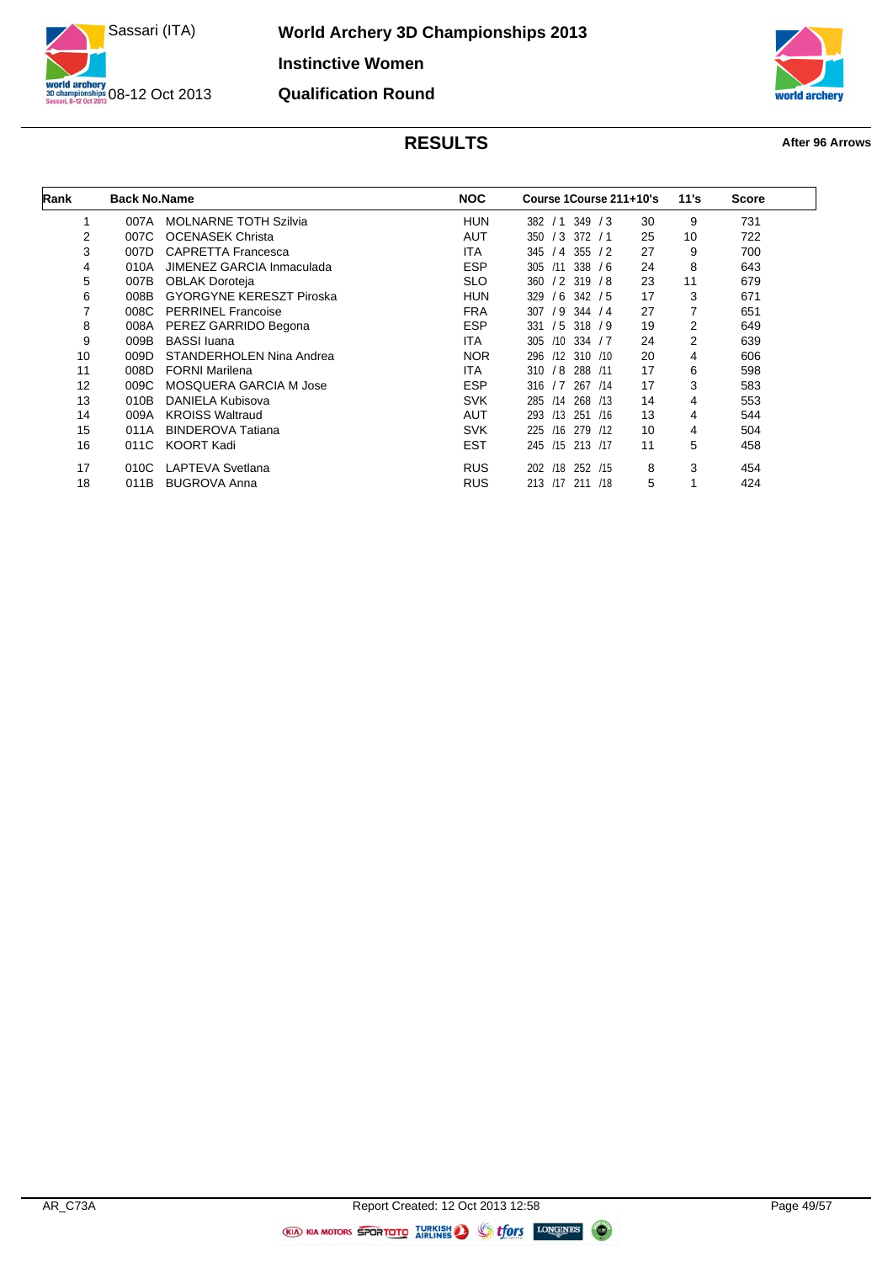

**World Archery 3D Championships 2013 Instinctive Women Qualification Round**



| Rank | <b>Back No.Name</b> |                                 | <b>NOC</b> | Course 1Course 211+10's        |    | 11's           | <b>Score</b> |
|------|---------------------|---------------------------------|------------|--------------------------------|----|----------------|--------------|
|      | 007A                | <b>MOLNARNE TOTH Szilvia</b>    | <b>HUN</b> | 349<br>/3<br>382 / 1           | 30 | 9              | 731          |
| 2    | 007C                | <b>OCENASEK Christa</b>         | <b>AUT</b> | $/3$ 372 $/1$<br>350           | 25 | 10             | 722          |
| 3    | 007D                | <b>CAPRETTA Francesca</b>       | ITA.       | 345<br>355<br>/4<br>$\sqrt{2}$ | 27 | 9              | 700          |
| 4    | 010A                | JIMENEZ GARCIA Inmaculada       | <b>ESP</b> | 338<br>305<br>/11<br>76        | 24 | 8              | 643          |
| 5    | 007B                | <b>OBLAK Doroteja</b>           | <b>SLO</b> | $/2$ 319<br>360<br>78          | 23 | 11             | 679          |
| 6    | 008B                | <b>GYORGYNE KERESZT Piroska</b> | <b>HUN</b> | 329<br>/ 6<br>342/5            | 17 | 3              | 671          |
| 7    | 008C                | <b>PERRINEL Francoise</b>       | <b>FRA</b> | 307<br>/ 9<br>344 / 4          | 27 |                | 651          |
| 8    | 008A                | PEREZ GARRIDO Begona            | <b>ESP</b> | /5<br>318 / 9<br>331           | 19 | 2              | 649          |
| 9    | 009B                | <b>BASSI</b> luana              | <b>ITA</b> | 334 / 7<br>305<br>/10          | 24 | $\overline{2}$ | 639          |
| 10   | 009D                | STANDERHOLEN Nina Andrea        | <b>NOR</b> | 296<br>$/12$ 310 $/10$         | 20 | 4              | 606          |
| 11   | 008D                | <b>FORNI Marilena</b>           | ITA.       | 310<br>/8<br>288<br>/11        | 17 | 6              | 598          |
| 12   | 009C                | MOSQUERA GARCIA M Jose          | <b>ESP</b> | 316<br>/7<br>267<br>/14        | 17 | 3              | 583          |
| 13   | 010B                | DANIELA Kubisova                | <b>SVK</b> | 268<br>285<br>/14<br>/13       | 14 | 4              | 553          |
| 14   | 009A                | <b>KROISS Waltraud</b>          | <b>AUT</b> | /13<br>251<br>293<br>/16       | 13 | 4              | 544          |
| 15   | 011A                | <b>BINDEROVA Tatiana</b>        | <b>SVK</b> | 225<br>/16<br>279<br>/12       | 10 | 4              | 504          |
| 16   | 011C                | <b>KOORT Kadi</b>               | <b>EST</b> | /15 213 /17<br>245             | 11 | 5              | 458          |
| 17   | 010C                | LAPTEVA Svetlana                | <b>RUS</b> | /18<br>252 /15<br>202          | 8  | 3              | 454          |
| 18   | 011B                | <b>BUGROVA Anna</b>             | <b>RUS</b> | /17<br>213<br>211<br>/18       | 5  | 1              | 424          |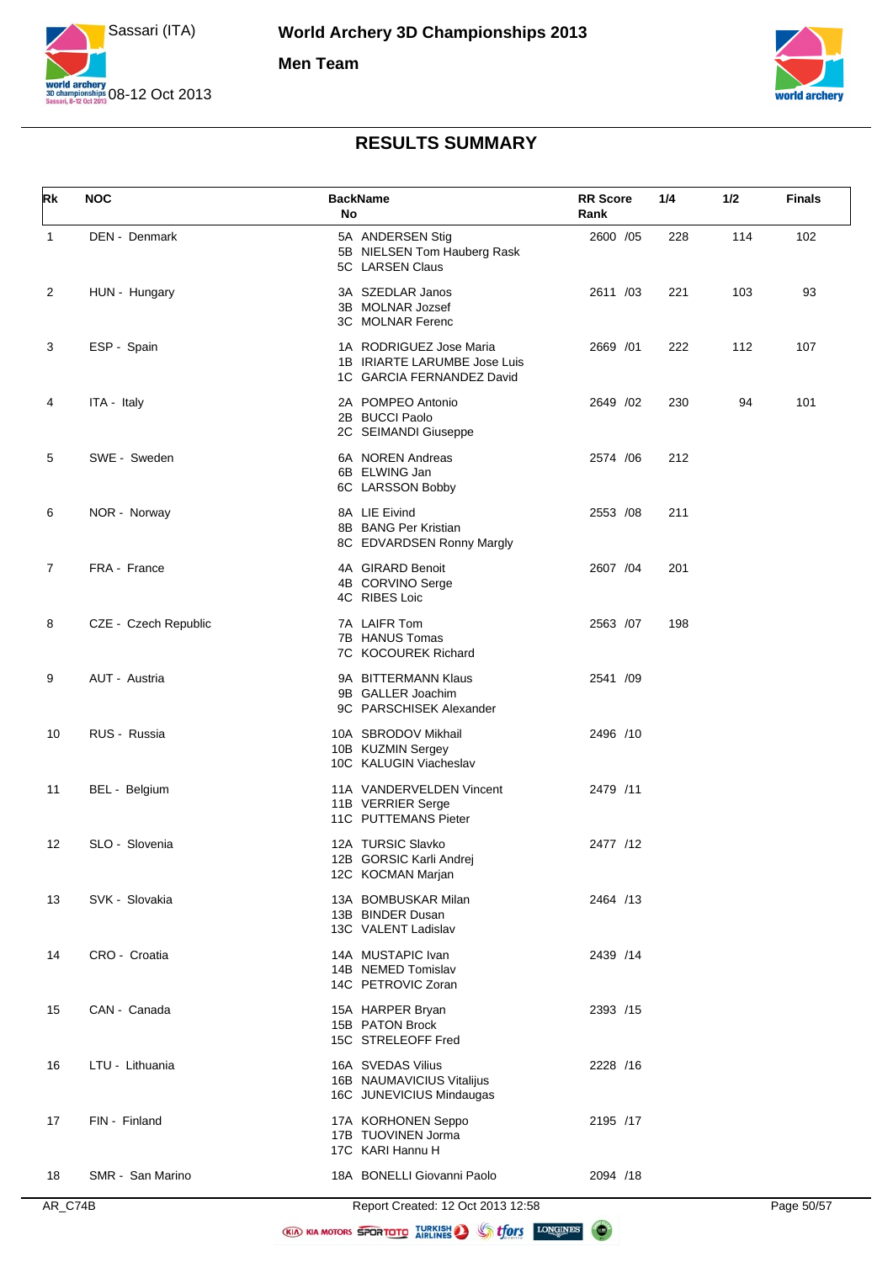



| Rk             | <b>NOC</b>           | <b>BackName</b><br>No                                                                | <b>RR</b> Score<br>Rank | 1/4 | 1/2 | <b>Finals</b> |
|----------------|----------------------|--------------------------------------------------------------------------------------|-------------------------|-----|-----|---------------|
| $\mathbf{1}$   | DEN - Denmark        | 5A ANDERSEN Stig<br>5B NIELSEN Tom Hauberg Rask<br>5C LARSEN Claus                   | 2600 /05                | 228 | 114 | 102           |
| 2              | HUN - Hungary        | 3A SZEDLAR Janos<br>3B MOLNAR Jozsef<br>3C MOLNAR Ferenc                             | 2611 /03                | 221 | 103 | 93            |
| 3              | ESP - Spain          | 1A RODRIGUEZ Jose Maria<br>1B IRIARTE LARUMBE Jose Luis<br>1C GARCIA FERNANDEZ David | 2669 / 01               | 222 | 112 | 107           |
| 4              | ITA - Italy          | 2A POMPEO Antonio<br>2B BUCCI Paolo<br>2C SEIMANDI Giuseppe                          | 2649 /02                | 230 | 94  | 101           |
| 5              | SWE - Sweden         | 6A NOREN Andreas<br>6B ELWING Jan<br>6C LARSSON Bobby                                | 2574 / 06               | 212 |     |               |
| 6              | NOR - Norway         | 8A LIE Eivind<br>8B BANG Per Kristian<br>8C EDVARDSEN Ronny Margly                   | 2553 /08                | 211 |     |               |
| $\overline{7}$ | FRA - France         | 4A GIRARD Benoit<br>4B CORVINO Serge<br>4C RIBES Loic                                | 2607 /04                | 201 |     |               |
| 8              | CZE - Czech Republic | 7A LAIFR Tom<br>7B HANUS Tomas<br>7C KOCOUREK Richard                                | 2563 /07                | 198 |     |               |
| 9              | AUT - Austria        | 9A BITTERMANN Klaus<br>9B GALLER Joachim<br>9C PARSCHISEK Alexander                  | 2541 /09                |     |     |               |
| 10             | RUS - Russia         | 10A SBRODOV Mikhail<br>10B KUZMIN Sergey<br>10C KALUGIN Viacheslav                   | 2496 /10                |     |     |               |
| 11             | BEL - Belgium        | 11A VANDERVELDEN Vincent<br>11B VERRIER Serge<br>11C PUTTEMANS Pieter                | 2479 /11                |     |     |               |
| 12             | SLO - Slovenia       | 12A TURSIC Slavko<br>12B GORSIC Karli Andrej<br>12C KOCMAN Marjan                    | 2477 /12                |     |     |               |
| 13             | SVK - Slovakia       | 13A BOMBUSKAR Milan<br>13B BINDER Dusan<br>13C VALENT Ladislav                       | 2464 /13                |     |     |               |
| 14             | CRO - Croatia        | 14A MUSTAPIC Ivan<br>14B NEMED Tomislav<br>14C PETROVIC Zoran                        | 2439 /14                |     |     |               |
| 15             | CAN - Canada         | 15A HARPER Bryan<br>15B PATON Brock<br>15C STRELEOFF Fred                            | 2393 /15                |     |     |               |
| 16             | LTU - Lithuania      | 16A SVEDAS Vilius<br>16B NAUMAVICIUS Vitalijus<br>16C JUNEVICIUS Mindaugas           | 2228 /16                |     |     |               |
| 17             | FIN - Finland        | 17A KORHONEN Seppo<br>17B TUOVINEN Jorma<br>17C KARI Hannu H                         | 2195 /17                |     |     |               |
| 18             | SMR - San Marino     | 18A BONELLI Giovanni Paolo                                                           | 2094 /18                |     |     |               |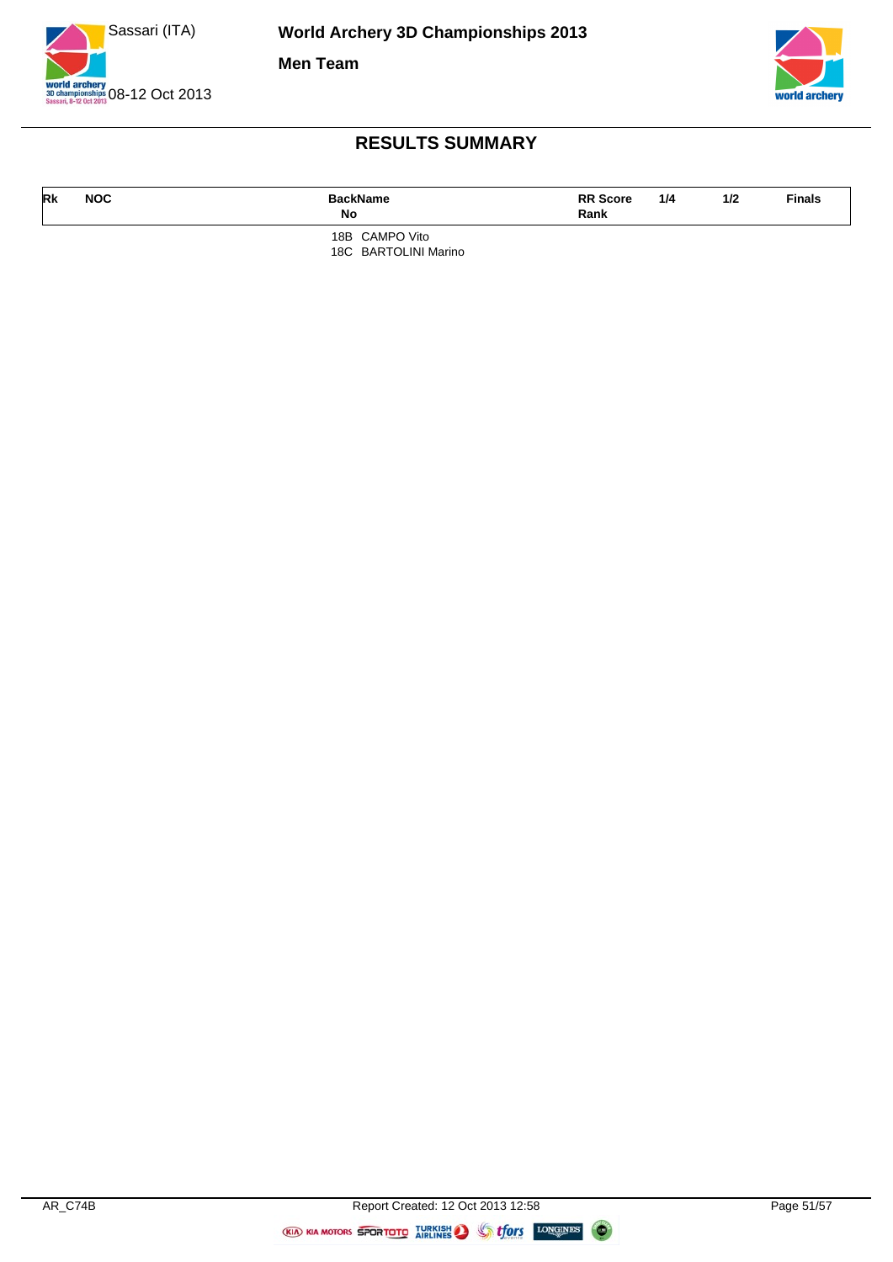



| Rk | <b>NOC</b> | <b>BackName</b><br>No | <b>RR Score</b><br>Rank | 1/4 | 1/2 | <b>Finals</b> |
|----|------------|-----------------------|-------------------------|-----|-----|---------------|
|    |            | 18B CAMPO Vito        |                         |     |     |               |

18C BARTOLINI Marino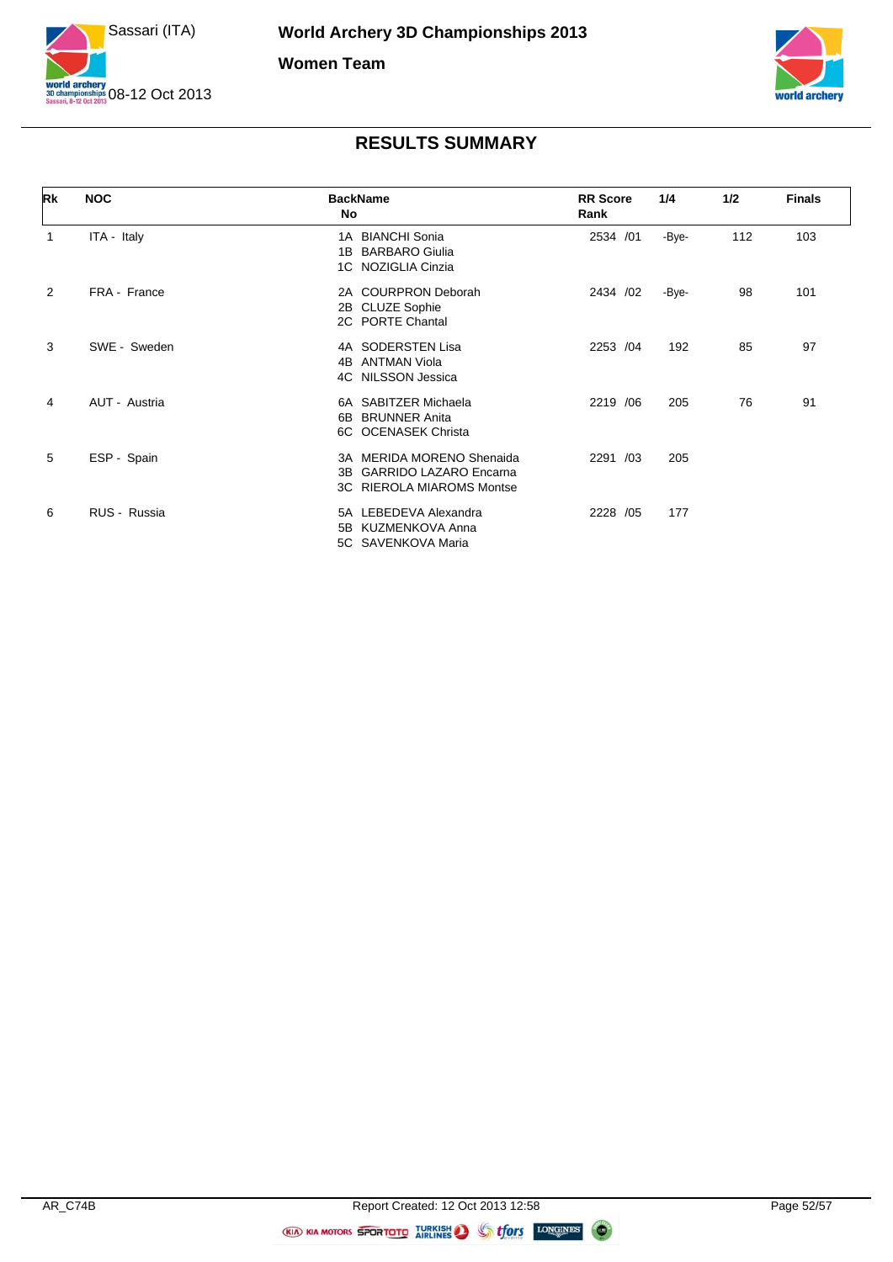![](_page_51_Picture_0.jpeg)

![](_page_51_Picture_2.jpeg)

| Rk             | <b>NOC</b>    | <b>BackName</b><br>No                                                                      | <b>RR Score</b><br>Rank | 1/4   | 1/2 | <b>Finals</b> |
|----------------|---------------|--------------------------------------------------------------------------------------------|-------------------------|-------|-----|---------------|
| 1              | ITA - Italy   | 1A BIANCHI Sonia<br>1B BARBARO Giulia<br>1C NOZIGLIA Cinzia                                | 2534 /01                | -Bye- | 112 | 103           |
| $\overline{2}$ | FRA - France  | 2A COURPRON Deborah<br>2B CLUZE Sophie<br>2C PORTE Chantal                                 | 2434 /02                | -Bye- | 98  | 101           |
| 3              | SWE - Sweden  | 4A SODERSTEN Lisa<br>4B ANTMAN Viola<br>4C NILSSON Jessica                                 | 2253 /04                | 192   | 85  | 97            |
| 4              | AUT - Austria | 6A SABITZER Michaela<br><b>BRUNNER Anita</b><br>6B.<br>6C OCENASEK Christa                 | 2219 / 06               | 205   | 76  | 91            |
| 5              | ESP - Spain   | 3A MERIDA MORENO Shenaida<br>3B GARRIDO LAZARO Encarna<br><b>3C RIEROLA MIAROMS Montse</b> | 2291 /03                | 205   |     |               |
| 6              | RUS - Russia  | 5A LEBEDEVA Alexandra<br>5B KUZMENKOVA Anna<br>5C SAVENKOVA Maria                          | 2228 /05                | 177   |     |               |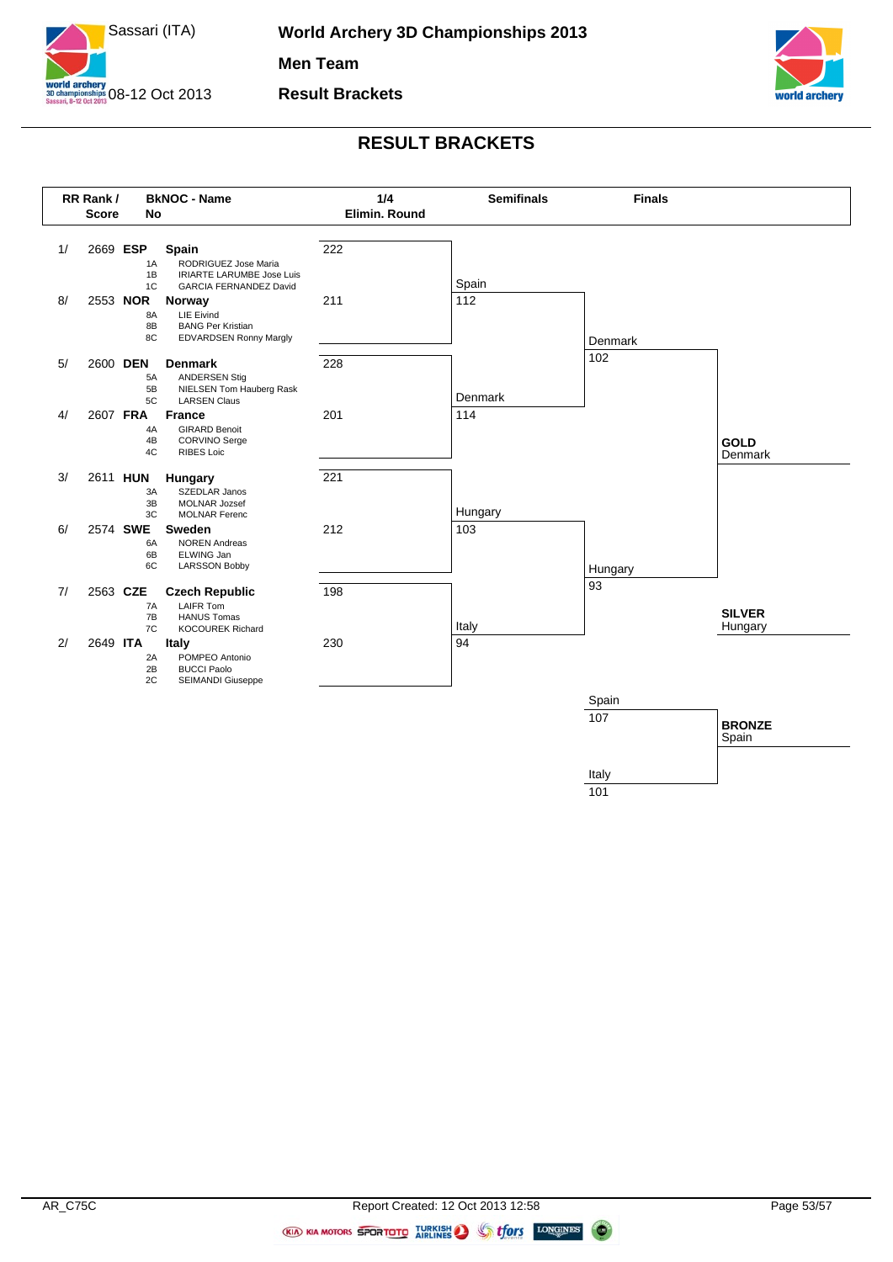![](_page_52_Picture_0.jpeg)

![](_page_52_Picture_2.jpeg)

![](_page_52_Figure_4.jpeg)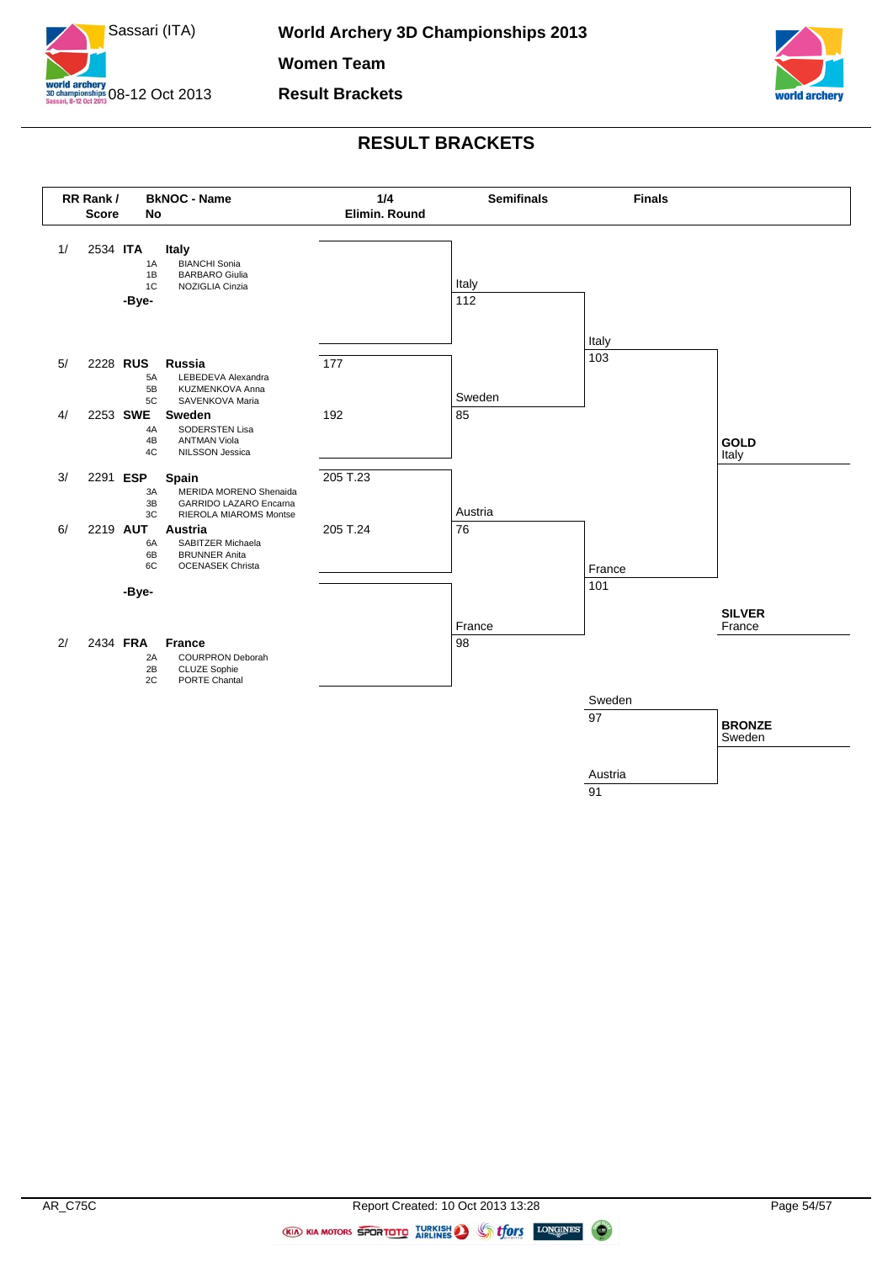![](_page_53_Picture_0.jpeg)

![](_page_53_Picture_2.jpeg)

![](_page_53_Figure_4.jpeg)

**CON** 

(KIA) KIA MOTORS SPORTOTO IURKISH STORY LONGINES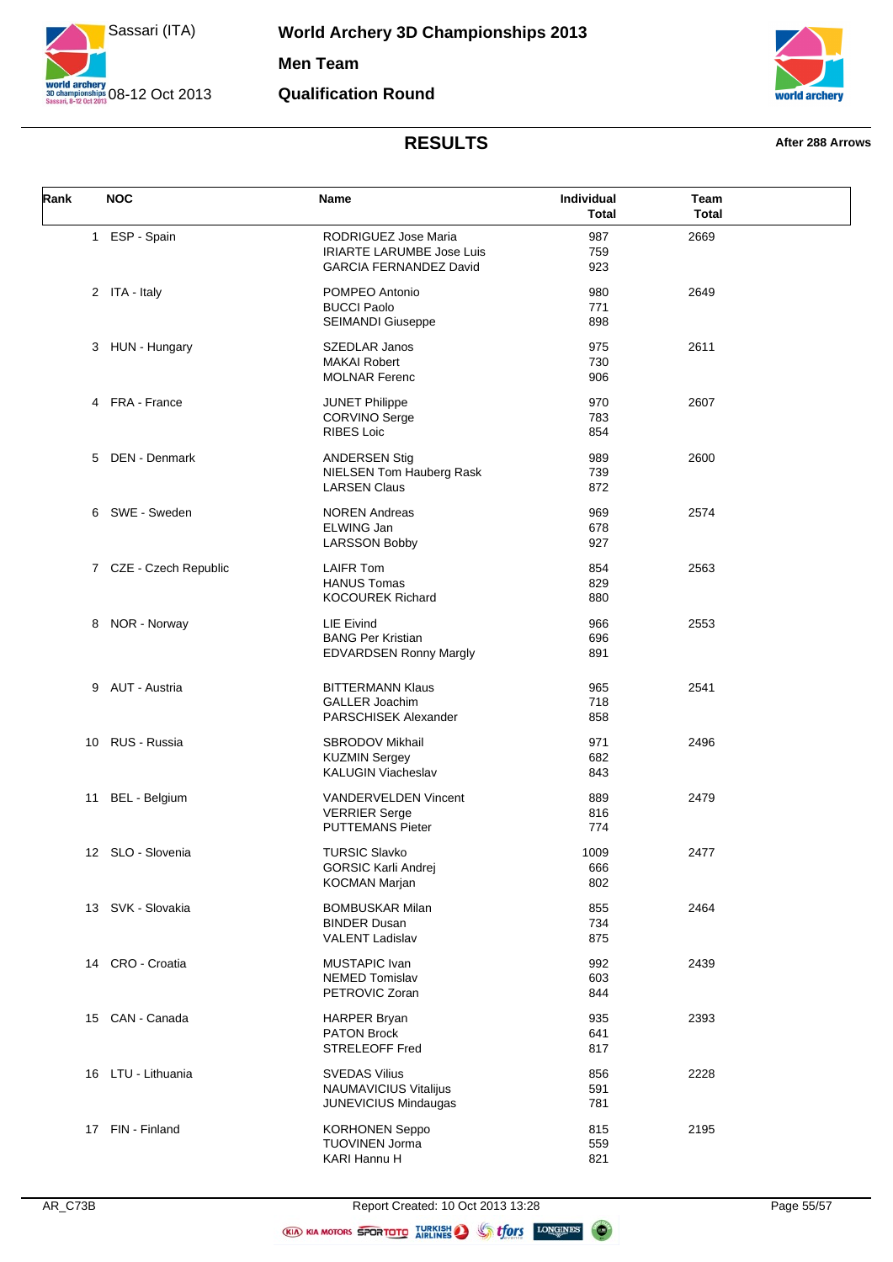![](_page_54_Picture_0.jpeg)

**World Archery 3D Championships 2013 Men Team Qualification Round**

![](_page_54_Picture_2.jpeg)

#### **RESULTS After 288 Arrows**

| Rank | <b>NOC</b>             | Name                                                                                      | Individual<br><b>Total</b> | Team<br><b>Total</b> |
|------|------------------------|-------------------------------------------------------------------------------------------|----------------------------|----------------------|
|      | 1 ESP - Spain          | RODRIGUEZ Jose Maria<br><b>IRIARTE LARUMBE Jose Luis</b><br><b>GARCIA FERNANDEZ David</b> | 987<br>759<br>923          | 2669                 |
|      | 2 ITA - Italy          | POMPEO Antonio<br><b>BUCCI Paolo</b>                                                      | 980<br>771                 | 2649                 |
|      | 3 HUN - Hungary        | <b>SEIMANDI Giuseppe</b><br><b>SZEDLAR Janos</b><br><b>MAKAI Robert</b>                   | 898<br>975<br>730          | 2611                 |
|      | 4 FRA - France         | <b>MOLNAR Ferenc</b><br><b>JUNET Philippe</b><br><b>CORVINO Serge</b>                     | 906<br>970<br>783          | 2607                 |
| 5    | DEN - Denmark          | <b>RIBES Loic</b><br><b>ANDERSEN Stig</b>                                                 | 854<br>989                 | 2600                 |
|      | 6 SWE - Sweden         | NIELSEN Tom Hauberg Rask<br><b>LARSEN Claus</b>                                           | 739<br>872                 |                      |
|      |                        | <b>NOREN Andreas</b><br>ELWING Jan<br><b>LARSSON Bobby</b>                                | 969<br>678<br>927          | 2574                 |
|      | 7 CZE - Czech Republic | <b>LAIFR Tom</b><br><b>HANUS Tomas</b><br><b>KOCOUREK Richard</b>                         | 854<br>829<br>880          | 2563                 |
| 8    | NOR - Norway           | LIE Eivind<br><b>BANG Per Kristian</b><br><b>EDVARDSEN Ronny Margly</b>                   | 966<br>696<br>891          | 2553                 |
|      | 9 AUT - Austria        | <b>BITTERMANN Klaus</b><br><b>GALLER Joachim</b><br>PARSCHISEK Alexander                  | 965<br>718<br>858          | 2541                 |
|      | 10 RUS - Russia        | <b>SBRODOV Mikhail</b><br><b>KUZMIN Sergey</b><br><b>KALUGIN Viacheslav</b>               | 971<br>682<br>843          | 2496                 |
| 11   | BEL - Belgium          | <b>VANDERVELDEN Vincent</b><br><b>VERRIER Serge</b><br><b>PUTTEMANS Pieter</b>            | 889<br>816<br>774          | 2479                 |
|      | 12 SLO - Slovenia      | <b>TURSIC Slavko</b><br><b>GORSIC Karli Andrej</b><br><b>KOCMAN Marjan</b>                | 1009<br>666<br>802         | 2477                 |
|      | 13 SVK - Slovakia      | <b>BOMBUSKAR Milan</b><br><b>BINDER Dusan</b><br><b>VALENT Ladislav</b>                   | 855<br>734<br>875          | 2464                 |
|      | 14 CRO - Croatia       | MUSTAPIC Ivan<br><b>NEMED Tomislav</b><br>PETROVIC Zoran                                  | 992<br>603<br>844          | 2439                 |
|      | 15 CAN - Canada        | <b>HARPER Bryan</b><br><b>PATON Brock</b><br>STRELEOFF Fred                               | 935<br>641<br>817          | 2393                 |
|      | 16 LTU - Lithuania     | <b>SVEDAS Vilius</b><br><b>NAUMAVICIUS Vitalijus</b><br>JUNEVICIUS Mindaugas              | 856<br>591<br>781          | 2228                 |
|      | 17 FIN - Finland       | <b>KORHONEN Seppo</b><br>TUOVINEN Jorma<br>KARI Hannu H                                   | 815<br>559<br>821          | 2195                 |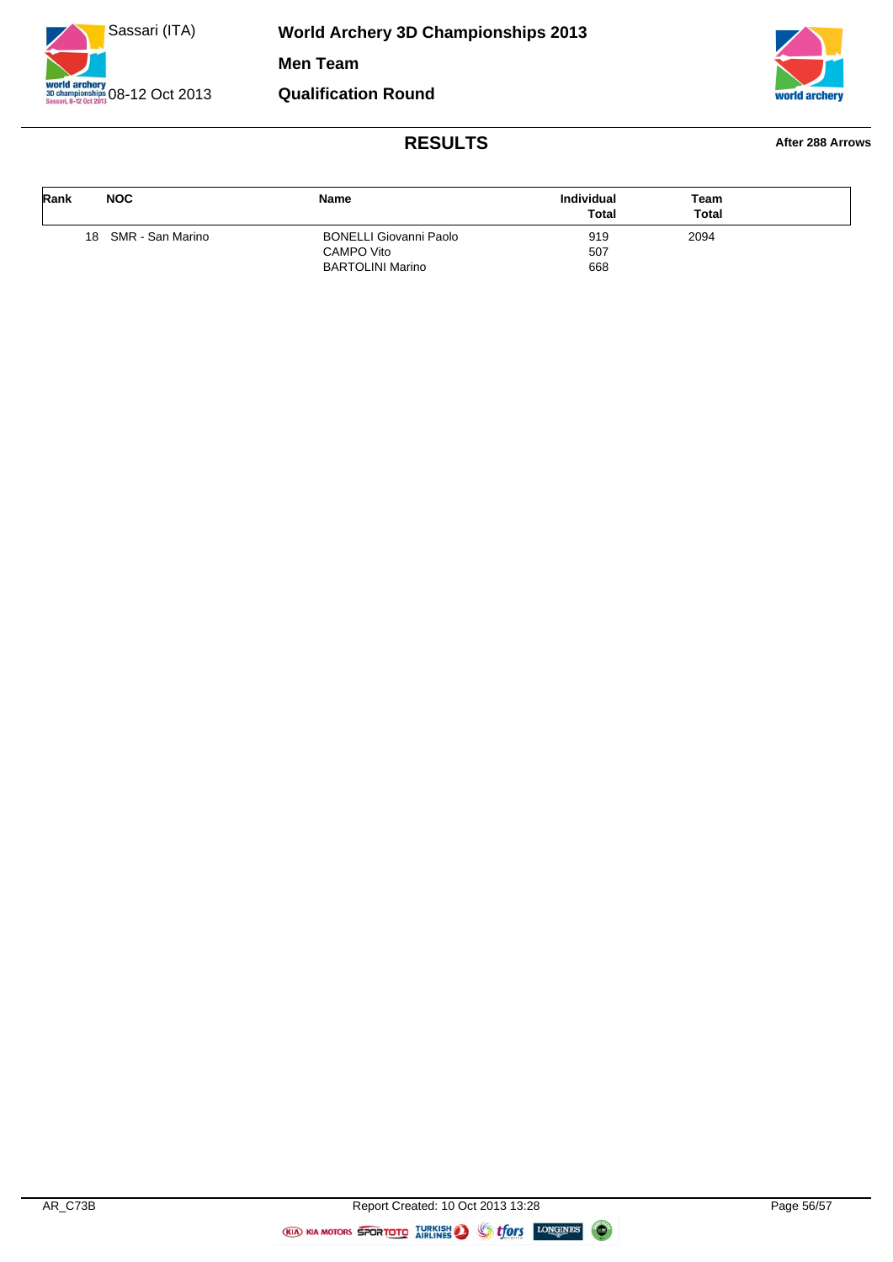![](_page_55_Picture_0.jpeg)

![](_page_55_Picture_2.jpeg)

#### **RESULTS After 288 Arrows**

| Rank | <b>NOC</b>          | Name                          | <b>Individual</b><br><b>Total</b> | Team<br><b>Total</b> |  |
|------|---------------------|-------------------------------|-----------------------------------|----------------------|--|
|      | 18 SMR - San Marino | <b>BONELLI Giovanni Paolo</b> | 919                               | 2094                 |  |
|      |                     | CAMPO Vito                    | 507                               |                      |  |
|      |                     | <b>BARTOLINI Marino</b>       | 668                               |                      |  |